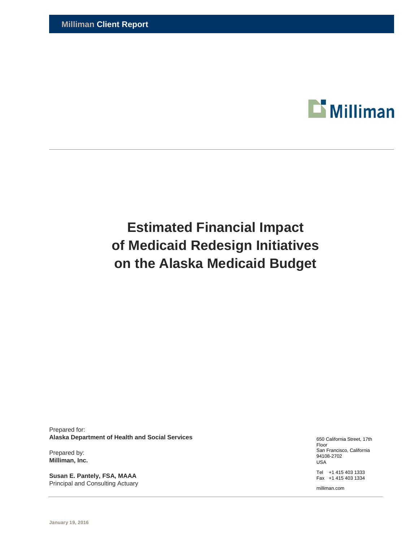

# **Estimated Financial Impact of Medicaid Redesign Initiatives on the Alaska Medicaid Budget**

Prepared for: **Alaska Department of Health and Social Services** 

Prepared by: **Milliman, Inc.** 

**Susan E. Pantely, FSA, MAAA**  Principal and Consulting Actuary 650 California Street, 17th Floor San Francisco, California 94108-2702 USA

Tel +1 415 403 1333 Fax +1 415 403 1334

milliman.com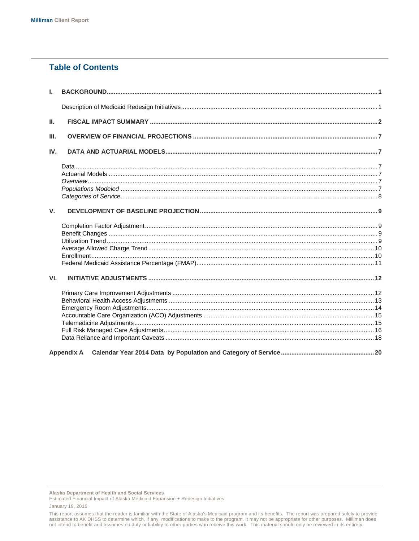# **Table of Contents**

| $\mathbf{L}$ |                   |  |
|--------------|-------------------|--|
|              |                   |  |
| Ш.           |                   |  |
| III.         |                   |  |
| IV.          |                   |  |
|              |                   |  |
|              |                   |  |
|              |                   |  |
|              |                   |  |
|              |                   |  |
| V.           |                   |  |
|              |                   |  |
|              |                   |  |
|              |                   |  |
|              |                   |  |
|              |                   |  |
|              |                   |  |
| VI.          |                   |  |
|              |                   |  |
|              |                   |  |
|              |                   |  |
|              |                   |  |
|              |                   |  |
|              |                   |  |
|              |                   |  |
|              | <b>Appendix A</b> |  |

Alaska Department of Health and Social Services

This report assumes that the reader is familiar with the State of Alaska's Medicaid program and its benefits. The report was prepared solely to provide assistance to AK DHSS to determine which, if any, modifications to make to the program. It may not be appropriate for other purposes. Milliman does not intend to benefit and assumes no duty or liability to other parties who receive this work. This material should only be reviewed in its entirety.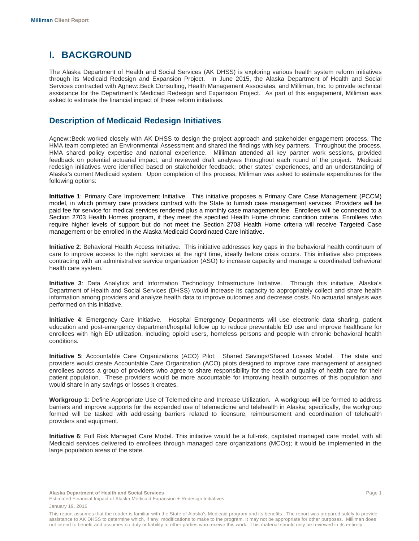# **I. BACKGROUND**

The Alaska Department of Health and Social Services (AK DHSS) is exploring various health system reform initiatives through its Medicaid Redesign and Expansion Project. In June 2015, the Alaska Department of Health and Social Services contracted with Agnew::Beck Consulting, Health Management Associates, and Milliman, Inc. to provide technical assistance for the Department's Medicaid Redesign and Expansion Project. As part of this engagement, Milliman was asked to estimate the financial impact of these reform initiatives.

# **Description of Medicaid Redesign Initiatives**

Agnew::Beck worked closely with AK DHSS to design the project approach and stakeholder engagement process. The HMA team completed an Environmental Assessment and shared the findings with key partners. Throughout the process, HMA shared policy expertise and national experience. Milliman attended all key partner work sessions, provided feedback on potential actuarial impact, and reviewed draft analyses throughout each round of the project. Medicaid redesign initiatives were identified based on stakeholder feedback, other states' experiences, and an understanding of Alaska's current Medicaid system. Upon completion of this process, Milliman was asked to estimate expenditures for the following options:

**Initiative 1**: Primary Care Improvement Initiative. This initiative proposes a Primary Care Case Management (PCCM) model, in which primary care providers contract with the State to furnish case management services. Providers will be paid fee for service for medical services rendered plus a monthly case management fee. Enrollees will be connected to a Section 2703 Health Homes program, if they meet the specified Health Home chronic condition criteria. Enrollees who require higher levels of support but do not meet the Section 2703 Health Home criteria will receive Targeted Case management or be enrolled in the Alaska Medicaid Coordinated Care Initiative.

**Initiative 2**: Behavioral Health Access Initiative. This initiative addresses key gaps in the behavioral health continuum of care to improve access to the right services at the right time, ideally before crisis occurs. This initiative also proposes contracting with an administrative service organization (ASO) to increase capacity and manage a coordinated behavioral health care system.

**Initiative 3**: Data Analytics and Information Technology Infrastructure Initiative. Through this initiative, Alaska's Department of Health and Social Services (DHSS) would increase its capacity to appropriately collect and share health information among providers and analyze health data to improve outcomes and decrease costs. No actuarial analysis was performed on this initiative.

**Initiative 4**: Emergency Care Initiative. Hospital Emergency Departments will use electronic data sharing, patient education and post-emergency department/hospital follow up to reduce preventable ED use and improve healthcare for enrollees with high ED utilization, including opioid users, homeless persons and people with chronic behavioral health conditions.

**Initiative 5**: Accountable Care Organizations (ACO) Pilot: Shared Savings/Shared Losses Model. The state and providers would create Accountable Care Organization (ACO) pilots designed to improve care management of assigned enrollees across a group of providers who agree to share responsibility for the cost and quality of health care for their patient population. These providers would be more accountable for improving health outcomes of this population and would share in any savings or losses it creates.

**Workgroup 1**: Define Appropriate Use of Telemedicine and Increase Utilization. A workgroup will be formed to address barriers and improve supports for the expanded use of telemedicine and telehealth in Alaska; specifically, the workgroup formed will be tasked with addressing barriers related to licensure, reimbursement and coordination of telehealth providers and equipment.

**Initiative 6**: Full Risk Managed Care Model. This initiative would be a full-risk, capitated managed care model, with all Medicaid services delivered to enrollees through managed care organizations (MCOs); it would be implemented in the large population areas of the state.

**Alaska Department of Health and Social Services** Page 1

Estimated Financial Impact of Alaska Medicaid Expansion + Redesign Initiatives January 19, 2016

This report assumes that the reader is familiar with the State of Alaska's Medicaid program and its benefits. The report was prepared solely to provide assistance to AK DHSS to determine which, if any, modifications to make to the program. It may not be appropriate for other purposes. Milliman does not intend to benefit and assumes no duty or liability to other parties who receive this work. This material should only be reviewed in its entirety.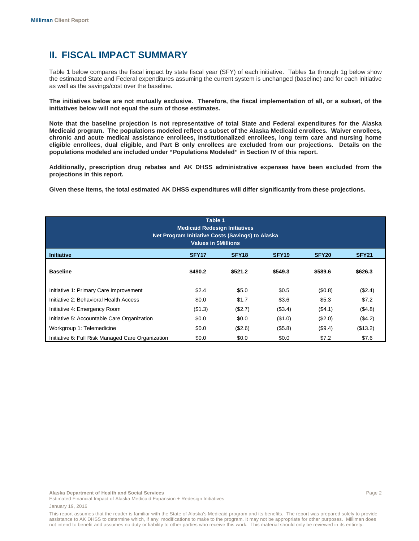# **II. FISCAL IMPACT SUMMARY**

Table 1 below compares the fiscal impact by state fiscal year (SFY) of each initiative. Tables 1a through 1g below show the estimated State and Federal expenditures assuming the current system is unchanged (baseline) and for each initiative as well as the savings/cost over the baseline.

**The initiatives below are not mutually exclusive. Therefore, the fiscal implementation of all, or a subset, of the initiatives below will not equal the sum of those estimates.** 

**Note that the baseline projection is not representative of total State and Federal expenditures for the Alaska Medicaid program. The populations modeled reflect a subset of the Alaska Medicaid enrollees. Waiver enrollees, chronic and acute medical assistance enrollees, Institutionalized enrollees, long term care and nursing home eligible enrollees, dual eligible, and Part B only enrollees are excluded from our projections. Details on the populations modeled are included under "Populations Modeled" in Section IV of this report.** 

**Additionally, prescription drug rebates and AK DHSS administrative expenses have been excluded from the projections in this report.** 

**Given these items, the total estimated AK DHSS expenditures will differ significantly from these projections.** 

| Table 1<br><b>Medicaid Redesign Initiatives</b><br>Net Program Initiative Costs (Savings) to Alaska<br><b>Values in SMillions</b> |                                                                                                       |         |         |          |          |  |
|-----------------------------------------------------------------------------------------------------------------------------------|-------------------------------------------------------------------------------------------------------|---------|---------|----------|----------|--|
| <b>Initiative</b>                                                                                                                 | SFY <sub>18</sub><br>SFY <sub>17</sub><br>SFY <sub>19</sub><br>SFY <sub>20</sub><br>SFY <sub>21</sub> |         |         |          |          |  |
| <b>Baseline</b>                                                                                                                   | \$490.2                                                                                               | \$521.2 | \$549.3 | \$589.6  | \$626.3  |  |
| Initiative 1: Primary Care Improvement                                                                                            | \$2.4                                                                                                 | \$5.0   | \$0.5   | (\$0.8)  | (\$2.4)  |  |
| Initiative 2: Behavioral Health Access                                                                                            | \$0.0                                                                                                 | \$1.7   | \$3.6   | \$5.3    | \$7.2    |  |
| Initiative 4: Emergency Room                                                                                                      | (\$1.3)                                                                                               | (\$2.7) | (\$3.4) | ( \$4.1) | (\$4.8)  |  |
| Initiative 5: Accountable Care Organization                                                                                       | \$0.0                                                                                                 | \$0.0   | (\$1.0) | (\$2.0)  | (\$4.2)  |  |
| Workgroup 1: Telemedicine                                                                                                         | \$0.0                                                                                                 | (\$2.6) | (\$5.8) | (\$9.4)  | (\$13.2) |  |
| Initiative 6: Full Risk Managed Care Organization                                                                                 | \$0.0                                                                                                 | \$0.0   | \$0.0   | \$7.2    | \$7.6    |  |

**Alaska Department of Health and Social Services** Page 2

Estimated Financial Impact of Alaska Medicaid Expansion + Redesign Initiatives January 19, 2016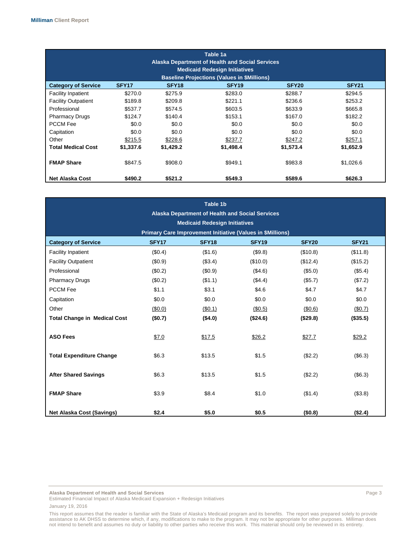| Table 1a<br><b>Alaska Department of Health and Social Services</b><br><b>Medicaid Redesign Initiatives</b>                                                                           |           |           |           |           |           |  |  |
|--------------------------------------------------------------------------------------------------------------------------------------------------------------------------------------|-----------|-----------|-----------|-----------|-----------|--|--|
| <b>Baseline Projections (Values in \$Millions)</b><br>SFY <sub>17</sub><br><b>Category of Service</b><br>SFY <sub>18</sub><br>SFY <sub>19</sub><br>SFY <sub>20</sub><br><b>SFY21</b> |           |           |           |           |           |  |  |
| <b>Facility Inpatient</b>                                                                                                                                                            | \$270.0   | \$275.9   | \$283.0   | \$288.7   | \$294.5   |  |  |
| <b>Facility Outpatient</b>                                                                                                                                                           | \$189.8   | \$209.8   | \$221.1   | \$236.6   | \$253.2   |  |  |
| Professional                                                                                                                                                                         | \$537.7   | \$574.5   | \$603.5   | \$633.9   | \$665.8   |  |  |
| <b>Pharmacy Drugs</b>                                                                                                                                                                | \$124.7   | \$140.4   | \$153.1   | \$167.0   | \$182.2   |  |  |
| <b>PCCM Fee</b>                                                                                                                                                                      | \$0.0     | \$0.0     | \$0.0     | \$0.0     | \$0.0     |  |  |
| Capitation                                                                                                                                                                           | \$0.0     | \$0.0     | \$0.0     | \$0.0     | \$0.0     |  |  |
| Other                                                                                                                                                                                | \$215.5   | \$228.6   | \$237.7   | \$247.2   | \$257.1   |  |  |
| <b>Total Medical Cost</b>                                                                                                                                                            | \$1,337.6 | \$1,429.2 | \$1,498.4 | \$1,573.4 | \$1,652.9 |  |  |
| <b>FMAP Share</b>                                                                                                                                                                    | \$847.5   | \$908.0   | \$949.1   | \$983.8   | \$1,026.6 |  |  |
| <b>Net Alaska Cost</b>                                                                                                                                                               | \$490.2   | \$521.2   | \$549.3   | \$589.6   | \$626.3   |  |  |

| Table 1b                            |                                                        |                                      |                                                                   |              |              |
|-------------------------------------|--------------------------------------------------------|--------------------------------------|-------------------------------------------------------------------|--------------|--------------|
|                                     | <b>Alaska Department of Health and Social Services</b> |                                      |                                                                   |              |              |
|                                     |                                                        | <b>Medicaid Redesign Initiatives</b> |                                                                   |              |              |
|                                     |                                                        |                                      | <b>Primary Care Improvement Initiative (Values in \$Millions)</b> |              |              |
| <b>Category of Service</b>          | SFY <sub>17</sub>                                      | SFY <sub>18</sub>                    | <b>SFY19</b>                                                      | <b>SFY20</b> | <b>SFY21</b> |
| <b>Facility Inpatient</b>           | (S0.4)                                                 | (\$1.6)                              | (\$9.8)                                                           | (\$10.8)     | (\$11.8)     |
| <b>Facility Outpatient</b>          | (\$0.9)                                                | (\$3.4)                              | (\$10.0)                                                          | (\$12.4)     | (\$15.2)     |
| Professional                        | (\$0.2)                                                | (\$0.9)                              | (\$4.6)                                                           | (\$5.0)      | (\$5.4)      |
| <b>Pharmacy Drugs</b>               | (\$0.2)                                                | (\$1.1)                              | (\$4.4)                                                           | (\$5.7)      | (\$7.2)      |
| <b>PCCM Fee</b>                     | \$1.1                                                  | \$3.1                                | \$4.6                                                             | \$4.7        | \$4.7        |
| Capitation                          | \$0.0                                                  | \$0.0                                | \$0.0                                                             | \$0.0        | \$0.0        |
| Other                               | (\$0.0)                                                | (\$0.1)                              | (\$0.5)                                                           | (\$0.6)      | (\$0.7)      |
| <b>Total Change in Medical Cost</b> | (\$0.7)                                                | ( \$4.0)                             | (\$24.6)                                                          | (\$29.8)     | (\$35.5)     |
|                                     |                                                        |                                      |                                                                   |              |              |
| <b>ASO Fees</b>                     | \$7.0                                                  | \$17.5                               | \$26.2                                                            | \$27.7       | \$29.2       |
|                                     |                                                        |                                      |                                                                   |              |              |
| <b>Total Expenditure Change</b>     | \$6.3                                                  | \$13.5                               | \$1.5                                                             | (\$2.2)      | (\$6.3)      |
|                                     |                                                        |                                      |                                                                   |              |              |
| <b>After Shared Savings</b>         | \$6.3                                                  | \$13.5                               | \$1.5                                                             | (\$2.2)      | (\$6.3)      |
|                                     |                                                        |                                      |                                                                   |              |              |
| <b>FMAP Share</b>                   | \$3.9                                                  | \$8.4                                | \$1.0                                                             | (\$1.4)      | (\$3.8)      |
|                                     |                                                        |                                      |                                                                   |              |              |
| <b>Net Alaska Cost (Savings)</b>    | \$2.4                                                  | \$5.0                                | \$0.5                                                             | (\$0.8)      | (\$2.4)      |

**Alaska Department of Health and Social Services** Page 3

Estimated Financial Impact of Alaska Medicaid Expansion + Redesign Initiatives January 19, 2016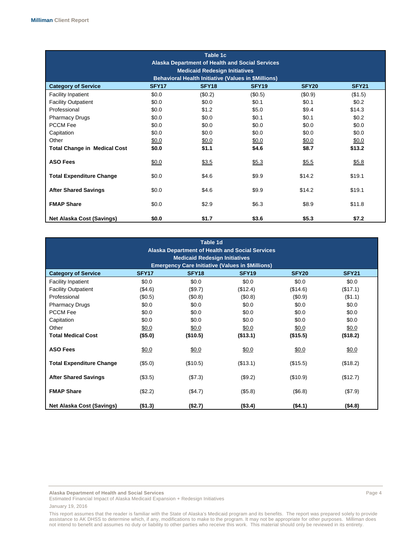| Table 1c<br><b>Alaska Department of Health and Social Services</b><br><b>Medicaid Redesign Initiatives</b><br><b>Behavioral Health Initiative (Values in \$Millions)</b> |                   |                   |              |              |              |
|--------------------------------------------------------------------------------------------------------------------------------------------------------------------------|-------------------|-------------------|--------------|--------------|--------------|
| <b>Category of Service</b>                                                                                                                                               | SFY <sub>17</sub> | SFY <sub>18</sub> | <b>SFY19</b> | <b>SFY20</b> | <b>SFY21</b> |
| <b>Facility Inpatient</b>                                                                                                                                                | \$0.0             | (\$0.2)           | (\$0.5)      | (\$0.9)      | (\$1.5)      |
| <b>Facility Outpatient</b>                                                                                                                                               | \$0.0             | \$0.0             | \$0.1        | \$0.1        | \$0.2        |
| Professional                                                                                                                                                             | \$0.0             | \$1.2             | \$5.0        | \$9.4        | \$14.3       |
| <b>Pharmacy Drugs</b>                                                                                                                                                    | \$0.0             | \$0.0             | \$0.1        | \$0.1        | \$0.2\$      |
| <b>PCCM Fee</b>                                                                                                                                                          | \$0.0             | \$0.0             | \$0.0        | \$0.0        | \$0.0        |
| Capitation                                                                                                                                                               | \$0.0             | \$0.0             | \$0.0        | \$0.0        | \$0.0        |
| Other                                                                                                                                                                    | \$0.0             | \$0.0             | \$0.0        | \$0.0        | \$0.0        |
| <b>Total Change in Medical Cost</b>                                                                                                                                      | \$0.0             | \$1.1             | \$4.6        | \$8.7        | \$13.2       |
| <b>ASO Fees</b>                                                                                                                                                          | \$0.0             | \$3.5             | \$5.3        | \$5.5        | \$5.8        |
| <b>Total Expenditure Change</b>                                                                                                                                          | \$0.0             | \$4.6             | \$9.9        | \$14.2       | \$19.1       |
| <b>After Shared Savings</b>                                                                                                                                              | \$0.0             | \$4.6             | \$9.9        | \$14.2       | \$19.1       |
| <b>FMAP Share</b>                                                                                                                                                        | \$0.0             | \$2.9             | \$6.3        | \$8.9        | \$11.8       |
| Net Alaska Cost (Savings)                                                                                                                                                | \$0.0             | \$1.7             | \$3.6        | \$5.3        | \$7.2        |

| Table 1d<br><b>Alaska Department of Health and Social Services</b><br><b>Medicaid Redesign Initiatives</b><br><b>Emergency Care Initiative (Values in \$Millions)</b> |                   |                   |                   |                   |              |
|-----------------------------------------------------------------------------------------------------------------------------------------------------------------------|-------------------|-------------------|-------------------|-------------------|--------------|
| <b>Category of Service</b>                                                                                                                                            | SFY <sub>17</sub> | SFY <sub>18</sub> | SFY <sub>19</sub> | SFY <sub>20</sub> | <b>SFY21</b> |
| <b>Facility Inpatient</b>                                                                                                                                             | \$0.0             | \$0.0             | \$0.0             | \$0.0\$           | \$0.0        |
| <b>Facility Outpatient</b>                                                                                                                                            | (\$4.6)           | (\$9.7)           | (\$12.4)          | (\$14.6)          | (\$17.1)     |
| Professional                                                                                                                                                          | (\$0.5)           | (\$0.8)           | (\$0.8)           | (\$0.9)           | (\$1.1)      |
| <b>Pharmacy Drugs</b>                                                                                                                                                 | \$0.0             | \$0.0             | \$0.0             | \$0.0\$           | \$0.0        |
| <b>PCCM Fee</b>                                                                                                                                                       | \$0.0             | \$0.0             | \$0.0             | \$0.0             | \$0.0        |
| Capitation                                                                                                                                                            | \$0.0             | \$0.0             | \$0.0             | \$0.0             | \$0.0        |
| Other                                                                                                                                                                 | \$0.0             | \$0.0             | \$0.0             | \$0.0             | \$0.0        |
| <b>Total Medical Cost</b>                                                                                                                                             | (\$5.0)           | (\$10.5)          | (\$13.1)          | (\$15.5)          | (\$18.2)     |
| <b>ASO Fees</b>                                                                                                                                                       | \$0.0             | \$0.0             | \$0.0             | \$0.0             | \$0.0        |
| <b>Total Expenditure Change</b>                                                                                                                                       | (\$5.0)           | (\$10.5)          | (\$13.1)          | (\$15.5)          | (\$18.2)     |
| <b>After Shared Savings</b>                                                                                                                                           | (\$3.5)           | (\$7.3)           | (\$9.2)           | (\$10.9)          | (\$12.7)     |
| <b>FMAP Share</b>                                                                                                                                                     | (\$2.2)           | (\$4.7)           | (\$5.8)           | (\$6.8)           | (\$7.9)      |
| <b>Net Alaska Cost (Savings)</b>                                                                                                                                      | ( \$1.3)          | (\$2.7)           | (\$3.4)           | (\$4.1)           | (\$4.8)      |

**Alaska Department of Health and Social Services** Page 4

Estimated Financial Impact of Alaska Medicaid Expansion + Redesign Initiatives January 19, 2016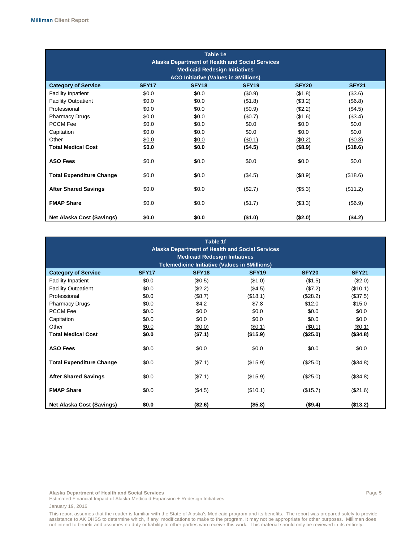| Table 1e<br><b>Alaska Department of Health and Social Services</b><br><b>Medicaid Redesign Initiatives</b><br><b>ACO Initiative (Values in \$Millions)</b> |                   |                   |              |              |              |
|------------------------------------------------------------------------------------------------------------------------------------------------------------|-------------------|-------------------|--------------|--------------|--------------|
| <b>Category of Service</b>                                                                                                                                 | SFY <sub>17</sub> | SFY <sub>18</sub> | <b>SFY19</b> | <b>SFY20</b> | <b>SFY21</b> |
| <b>Facility Inpatient</b>                                                                                                                                  | \$0.0             | \$0.0             | (\$0.9)      | (\$1.8)      | (\$3.6)      |
| <b>Facility Outpatient</b>                                                                                                                                 | \$0.0             | \$0.0             | (\$1.8)      | (\$3.2)      | (\$6.8)      |
| Professional                                                                                                                                               | \$0.0             | \$0.0             | (\$0.9)      | (\$2.2)      | (\$4.5)      |
| <b>Pharmacy Drugs</b>                                                                                                                                      | \$0.0             | \$0.0             | (\$0.7)      | (\$1.6)      | (\$3.4)      |
| <b>PCCM Fee</b>                                                                                                                                            | \$0.0             | \$0.0             | \$0.0        | \$0.0        | \$0.0        |
| Capitation                                                                                                                                                 | \$0.0             | \$0.0             | \$0.0        | \$0.0        | \$0.0        |
| Other                                                                                                                                                      | \$0.0             | \$0.0             | (\$0.1)      | (\$0.2)      | $($ \$0.3)   |
| <b>Total Medical Cost</b>                                                                                                                                  | \$0.0             | \$0.0             | (\$4.5)      | (\$8.9)      | (\$18.6)     |
| <b>ASO Fees</b>                                                                                                                                            | \$0.0             | \$0.0             | \$0.0        | \$0.0        | \$0.0        |
| <b>Total Expenditure Change</b>                                                                                                                            | \$0.0             | \$0.0             | (\$4.5)      | (\$8.9)      | (\$18.6)     |
| <b>After Shared Savings</b>                                                                                                                                | \$0.0             | \$0.0             | (\$2.7)      | (\$5.3)      | (\$11.2)     |
| <b>FMAP Share</b>                                                                                                                                          | \$0.0             | \$0.0             | (\$1.7)      | (\$3.3)      | (\$6.9)      |
| Net Alaska Cost (Savings)                                                                                                                                  | \$0.0             | \$0.0             | (\$1.0)      | (\$2.0)      | (\$4.2)      |

| Table 1f<br><b>Alaska Department of Health and Social Services</b> |                                      |                                                       |              |              |              |
|--------------------------------------------------------------------|--------------------------------------|-------------------------------------------------------|--------------|--------------|--------------|
|                                                                    | <b>Medicaid Redesign Initiatives</b> |                                                       |              |              |              |
|                                                                    |                                      | <b>Telemedicine Initiative (Values in \$Millions)</b> |              |              |              |
| <b>Category of Service</b>                                         | SFY <sub>17</sub>                    | SFY <sub>18</sub>                                     | <b>SFY19</b> | <b>SFY20</b> | <b>SFY21</b> |
| <b>Facility Inpatient</b>                                          | \$0.0                                | (\$0.5)                                               | (\$1.0)      | (\$1.5)      | (\$2.0)      |
| <b>Facility Outpatient</b>                                         | \$0.0                                | (\$2.2)                                               | (\$4.5)      | (\$7.2)      | (\$10.1)     |
| Professional                                                       | \$0.0                                | (\$8.7)                                               | (\$18.1)     | (\$28.2)     | (\$37.5)     |
| <b>Pharmacy Drugs</b>                                              | \$0.0                                | \$4.2                                                 | \$7.8        | \$12.0       | \$15.0       |
| <b>PCCM Fee</b>                                                    | \$0.0                                | \$0.0                                                 | \$0.0        | \$0.0        | \$0.0        |
| Capitation                                                         | \$0.0                                | \$0.0                                                 | \$0.0        | \$0.0        | \$0.0        |
| Other                                                              | \$0.0                                | (\$0.0)                                               | (\$0.1)      | (\$0.1)      | (\$0.1)      |
| <b>Total Medical Cost</b>                                          | \$0.0                                | (\$7.1)                                               | (\$15.9)     | (\$25.0)     | ( \$34.8)    |
| <b>ASO Fees</b>                                                    | \$0.0                                | \$0.0                                                 | \$0.0        | \$0.0        | \$0.0        |
| <b>Total Expenditure Change</b>                                    | \$0.0                                | (\$7.1)                                               | (\$15.9)     | (\$25.0)     | (\$34.8)     |
| <b>After Shared Savings</b>                                        | \$0.0                                | (\$7.1)                                               | (\$15.9)     | (\$25.0)     | (\$34.8)     |
| <b>FMAP Share</b>                                                  | \$0.0                                | (\$4.5)                                               | (\$10.1)     | (\$15.7)     | (\$21.6)     |
| <b>Net Alaska Cost (Savings)</b>                                   | \$0.0                                | (\$2.6)                                               | (\$5.8)      | (\$9.4)      | (\$13.2)     |

**Alaska Department of Health and Social Services** Page 5

Estimated Financial Impact of Alaska Medicaid Expansion + Redesign Initiatives January 19, 2016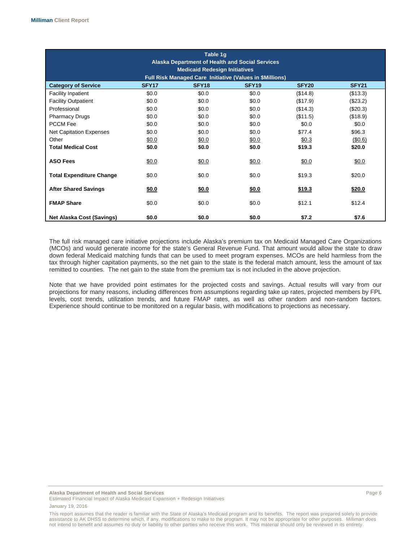| Table 1g<br><b>Alaska Department of Health and Social Services</b><br><b>Medicaid Redesign Initiatives</b><br>Full Risk Managed Care Initiative (Values in \$Millions) |                   |                   |                   |              |              |
|------------------------------------------------------------------------------------------------------------------------------------------------------------------------|-------------------|-------------------|-------------------|--------------|--------------|
| <b>Category of Service</b>                                                                                                                                             | SFY <sub>17</sub> | SFY <sub>18</sub> | SFY <sub>19</sub> | <b>SFY20</b> | <b>SFY21</b> |
| <b>Facility Inpatient</b>                                                                                                                                              | \$0.0             | \$0.0             | \$0.0             | (\$14.8)     | (\$13.3)     |
| <b>Facility Outpatient</b>                                                                                                                                             | \$0.0             | \$0.0             | \$0.0             | (\$17.9)     | (\$23.2)     |
| Professional                                                                                                                                                           | \$0.0             | \$0.0             | \$0.0             | (\$14.3)     | (\$20.3)     |
| <b>Pharmacy Drugs</b>                                                                                                                                                  | \$0.0             | \$0.0             | \$0.0             | (\$11.5)     | (\$18.9)     |
| <b>PCCM Fee</b>                                                                                                                                                        | \$0.0             | \$0.0             | \$0.0             | \$0.0        | \$0.0        |
| <b>Net Capitation Expenses</b>                                                                                                                                         | \$0.0             | \$0.0             | \$0.0             | \$77.4       | \$96.3       |
| Other                                                                                                                                                                  | \$0.0             | \$0.0             | \$0.0             | \$0.3        | (\$0.6)      |
| <b>Total Medical Cost</b>                                                                                                                                              | \$0.0             | \$0.0             | \$0.0             | \$19.3       | \$20.0       |
| <b>ASO Fees</b>                                                                                                                                                        | \$0.0             | \$0.0             | \$0.0             | \$0.0        | \$0.0        |
| <b>Total Expenditure Change</b>                                                                                                                                        | \$0.0             | \$0.0             | \$0.0             | \$19.3       | \$20.0       |
| <b>After Shared Savings</b>                                                                                                                                            | \$0.0             | \$0.0             | \$0.0             | \$19.3       | \$20.0       |
| <b>FMAP Share</b>                                                                                                                                                      | \$0.0             | \$0.0             | \$0.0             | \$12.1       | \$12.4       |
| Net Alaska Cost (Savings)                                                                                                                                              | \$0.0             | \$0.0             | \$0.0             | \$7.2        | \$7.6        |

The full risk managed care initiative projections include Alaska's premium tax on Medicaid Managed Care Organizations (MCOs) and would generate income for the state's General Revenue Fund. That amount would allow the state to draw down federal Medicaid matching funds that can be used to meet program expenses. MCOs are held harmless from the tax through higher capitation payments, so the net gain to the state is the federal match amount, less the amount of tax remitted to counties. The net gain to the state from the premium tax is not included in the above projection.

Note that we have provided point estimates for the projected costs and savings. Actual results will vary from our projections for many reasons, including differences from assumptions regarding take up rates, projected members by FPL levels, cost trends, utilization trends, and future FMAP rates, as well as other random and non-random factors. Experience should continue to be monitored on a regular basis, with modifications to projections as necessary.

**Alaska Department of Health and Social Services** Page 6

Estimated Financial Impact of Alaska Medicaid Expansion + Redesign Initiatives January 19, 2016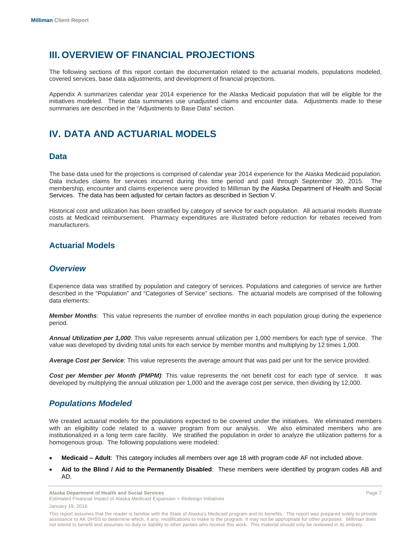# **III. OVERVIEW OF FINANCIAL PROJECTIONS**

The following sections of this report contain the documentation related to the actuarial models, populations modeled, covered services, base data adjustments, and development of financial projections.

Appendix A summarizes calendar year 2014 experience for the Alaska Medicaid population that will be eligible for the initiatives modeled. These data summaries use unadjusted claims and encounter data. Adjustments made to these summaries are described in the "Adjustments to Base Data" section.

# **IV. DATA AND ACTUARIAL MODELS**

### **Data**

The base data used for the projections is comprised of calendar year 2014 experience for the Alaska Medicaid population. Data includes claims for services incurred during this time period and paid through September 30, 2015. The membership, encounter and claims experience were provided to Milliman by the Alaska Department of Health and Social Services. The data has been adjusted for certain factors as described in Section V.

Historical cost and utilization has been stratified by category of service for each population. All actuarial models illustrate costs at Medicaid reimbursement. Pharmacy expenditures are illustrated before reduction for rebates received from manufacturers.

## **Actuarial Models**

### *Overview*

Experience data was stratified by population and category of services. Populations and categories of service are further described in the "Population" and "Categories of Service" sections. The actuarial models are comprised of the following data elements:

*Member Months*: This value represents the number of enrollee months in each population group during the experience period.

*Annual Utilization per 1,000*: This value represents annual utilization per 1,000 members for each type of service. The value was developed by dividing total units for each service by member months and multiplying by 12 times 1,000.

*Average Cost per Service*: This value represents the average amount that was paid per unit for the service provided.

*Cost per Member per Month (PMPM)*: This value represents the net benefit cost for each type of service. It was developed by multiplying the annual utilization per 1,000 and the average cost per service, then dividing by 12,000.

## *Populations Modeled*

We created actuarial models for the populations expected to be covered under the initiatives. We eliminated members with an eligibility code related to a waiver program from our analysis. We also eliminated members who are institutionalized in a long term care facility. We stratified the population in order to analyze the utilization patterns for a homogenous group. The following populations were modeled:

- **Medicaid Adult**: This category includes all members over age 18 with program code AF not included above.
- **Aid to the Blind / Aid to the Permanently Disabled**: These members were identified by program codes AB and AD.

**Alaska Department of Health and Social Services** Page 7 Estimated Financial Impact of Alaska Medicaid Expansion + Redesign Initiatives January 19, 2016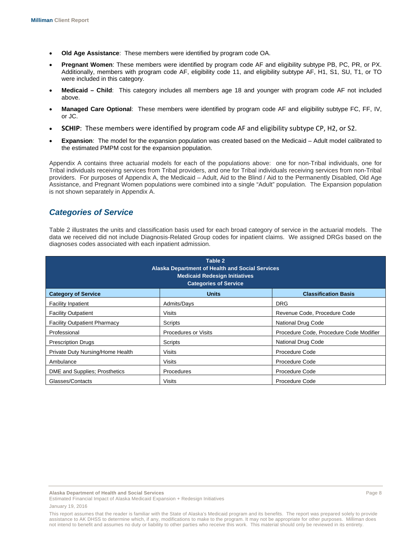- **Old Age Assistance**: These members were identified by program code OA.
- **Pregnant Women**: These members were identified by program code AF and eligibility subtype PB, PC, PR, or PX. Additionally, members with program code AF, eligibility code 11, and eligibility subtype AF, H1, S1, SU, T1, or TO were included in this category.
- **Medicaid Child**: This category includes all members age 18 and younger with program code AF not included above.
- **Managed Care Optional**: These members were identified by program code AF and eligibility subtype FC, FF, IV, or JC.
- **SCHIP**: These members were identified by program code AF and eligibility subtype CP, H2, or S2.
- **Expansion**: The model for the expansion population was created based on the Medicaid Adult model calibrated to the estimated PMPM cost for the expansion population.

Appendix A contains three actuarial models for each of the populations above: one for non-Tribal individuals, one for Tribal individuals receiving services from Tribal providers, and one for Tribal individuals receiving services from non-Tribal providers. For purposes of Appendix A, the Medicaid – Adult, Aid to the Blind / Aid to the Permanently Disabled, Old Age Assistance, and Pregnant Women populations were combined into a single "Adult" population. The Expansion population is not shown separately in Appendix A.

# *Categories of Service*

Table 2 illustrates the units and classification basis used for each broad category of service in the actuarial models. The data we received did not include Diagnosis-Related Group codes for inpatient claims. We assigned DRGs based on the diagnoses codes associated with each inpatient admission.

| Table 2<br>Alaska Department of Health and Social Services<br><b>Medicaid Redesign Initiatives</b><br><b>Categories of Service</b> |                             |                                         |  |  |  |
|------------------------------------------------------------------------------------------------------------------------------------|-----------------------------|-----------------------------------------|--|--|--|
| <b>Classification Basis</b><br><b>Category of Service</b><br><b>Units</b>                                                          |                             |                                         |  |  |  |
| <b>Facility Inpatient</b>                                                                                                          | Admits/Days                 | <b>DRG</b>                              |  |  |  |
| <b>Facility Outpatient</b>                                                                                                         | Visits                      | Revenue Code, Procedure Code            |  |  |  |
| <b>Facility Outpatient Pharmacy</b>                                                                                                | Scripts                     | <b>National Drug Code</b>               |  |  |  |
| Professional                                                                                                                       | <b>Procedures or Visits</b> | Procedure Code, Procedure Code Modifier |  |  |  |
| <b>Prescription Drugs</b>                                                                                                          | Scripts                     | <b>National Drug Code</b>               |  |  |  |
| Private Duty Nursing/Home Health                                                                                                   | <b>Visits</b>               | <b>Procedure Code</b>                   |  |  |  |
| Ambulance                                                                                                                          | <b>Visits</b>               | <b>Procedure Code</b>                   |  |  |  |
| DME and Supplies; Prosthetics                                                                                                      | Procedures                  | <b>Procedure Code</b>                   |  |  |  |
| Glasses/Contacts                                                                                                                   | Visits                      | <b>Procedure Code</b>                   |  |  |  |

**Alaska Department of Health and Social Services** Page 8

This report assumes that the reader is familiar with the State of Alaska's Medicaid program and its benefits. The report was prepared solely to provide assistance to AK DHSS to determine which, if any, modifications to make to the program. It may not be appropriate for other purposes. Milliman does not intend to benefit and assumes no duty or liability to other parties who receive this work. This material should only be reviewed in its entirety.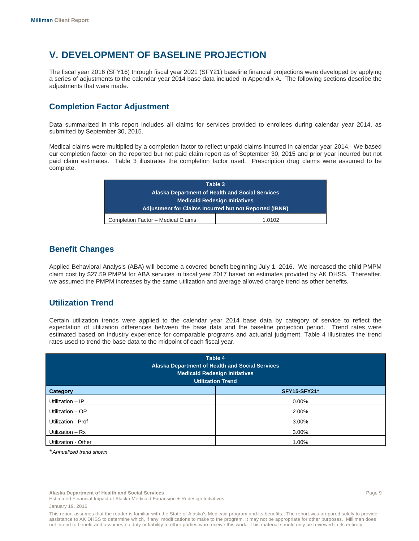# **V. DEVELOPMENT OF BASELINE PROJECTION**

The fiscal year 2016 (SFY16) through fiscal year 2021 (SFY21) baseline financial projections were developed by applying a series of adjustments to the calendar year 2014 base data included in Appendix A. The following sections describe the adjustments that were made.

# **Completion Factor Adjustment**

Data summarized in this report includes all claims for services provided to enrollees during calendar year 2014, as submitted by September 30, 2015.

Medical claims were multiplied by a completion factor to reflect unpaid claims incurred in calendar year 2014. We based our completion factor on the reported but not paid claim report as of September 30, 2015 and prior year incurred but not paid claim estimates. Table 3 illustrates the completion factor used. Prescription drug claims were assumed to be complete.

| Table 3                                                |        |  |  |
|--------------------------------------------------------|--------|--|--|
| <b>Alaska Department of Health and Social Services</b> |        |  |  |
| <b>Medicaid Redesign Initiatives</b>                   |        |  |  |
| Adjustment for Claims Incurred but not Reported (IBNR) |        |  |  |
| Completion Factor - Medical Claims                     | 1.0102 |  |  |

## **Benefit Changes**

Applied Behavioral Analysis (ABA) will become a covered benefit beginning July 1, 2016. We increased the child PMPM claim cost by \$27.59 PMPM for ABA services in fiscal year 2017 based on estimates provided by AK DHSS. Thereafter, we assumed the PMPM increases by the same utilization and average allowed charge trend as other benefits.

# **Utilization Trend**

Certain utilization trends were applied to the calendar year 2014 base data by category of service to reflect the expectation of utilization differences between the base data and the baseline projection period. Trend rates were estimated based on industry experience for comparable programs and actuarial judgment. Table 4 illustrates the trend rates used to trend the base data to the midpoint of each fiscal year.

| Table 4<br><b>Alaska Department of Health and Social Services</b><br><b>Medicaid Redesign Initiatives</b><br><b>Utilization Trend</b> |          |  |  |  |
|---------------------------------------------------------------------------------------------------------------------------------------|----------|--|--|--|
| <b>SFY15-SFY21*</b><br>Category                                                                                                       |          |  |  |  |
| Utilization - IP                                                                                                                      | $0.00\%$ |  |  |  |
| Utilization - OP                                                                                                                      | 2.00%    |  |  |  |
| Utilization - Prof                                                                                                                    | 3.00%    |  |  |  |
| Utilization $- Rx$                                                                                                                    | 3.00%    |  |  |  |
| Utilization - Other                                                                                                                   | 1.00%    |  |  |  |

*\* Annualized trend shown*

**Alaska Department of Health and Social Services** Page 9

This report assumes that the reader is familiar with the State of Alaska's Medicaid program and its benefits. The report was prepared solely to provide assistance to AK DHSS to determine which, if any, modifications to make to the program. It may not be appropriate for other purposes. Milliman does not intend to benefit and assumes no duty or liability to other parties who receive this work. This material should only be reviewed in its entirety.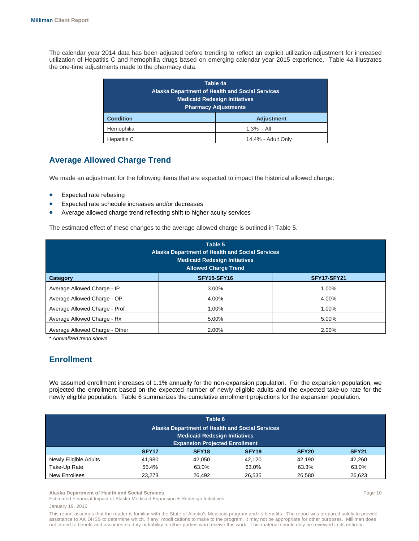The calendar year 2014 data has been adjusted before trending to reflect an explicit utilization adjustment for increased utilization of Hepatitis C and hemophilia drugs based on emerging calendar year 2015 experience. Table 4a illustrates the one-time adjustments made to the pharmacy data.

| Table 4a<br><b>Alaska Department of Health and Social Services</b><br><b>Medicaid Redesign Initiatives</b><br><b>Pharmacy Adjustments</b> |                   |  |  |
|-------------------------------------------------------------------------------------------------------------------------------------------|-------------------|--|--|
| <b>Condition</b>                                                                                                                          | <b>Adjustment</b> |  |  |
| Hemophilia<br>$1.3\% - All$                                                                                                               |                   |  |  |
| Hepatitis C<br>14.4% - Adult Only                                                                                                         |                   |  |  |

# **Average Allowed Charge Trend**

We made an adjustment for the following items that are expected to impact the historical allowed charge:

- Expected rate rebasing
- Expected rate schedule increases and/or decreases
- Average allowed charge trend reflecting shift to higher acuity services

The estimated effect of these changes to the average allowed charge is outlined in Table 5.

| Table 5<br><b>Alaska Department of Health and Social Services</b><br><b>Medicaid Redesign Initiatives</b><br><b>Allowed Charge Trend</b> |             |             |  |  |  |
|------------------------------------------------------------------------------------------------------------------------------------------|-------------|-------------|--|--|--|
| Category                                                                                                                                 | SFY15-SFY16 | SFY17-SFY21 |  |  |  |
| Average Allowed Charge - IP                                                                                                              | 3.00%       | 1.00%       |  |  |  |
| Average Allowed Charge - OP                                                                                                              | 4.00%       | 4.00%       |  |  |  |
| Average Allowed Charge - Prof                                                                                                            | 1.00%       | 1.00%       |  |  |  |
| Average Allowed Charge - Rx                                                                                                              | 5.00%       | 5.00%       |  |  |  |
| Average Allowed Charge - Other                                                                                                           | 2.00%       | 2.00%       |  |  |  |

\* *Annualized trend shown* 

## **Enrollment**

We assumed enrollment increases of 1.1% annually for the non-expansion population. For the expansion population, we projected the enrollment based on the expected number of newly eligible adults and the expected take-up rate for the newly eligible population. Table 6 summarizes the cumulative enrollment projections for the expansion population.

| Table 6               |                                                        |                                       |                   |                   |                   |  |
|-----------------------|--------------------------------------------------------|---------------------------------------|-------------------|-------------------|-------------------|--|
|                       | <b>Alaska Department of Health and Social Services</b> |                                       |                   |                   |                   |  |
|                       |                                                        | <b>Medicaid Redesign Initiatives</b>  |                   |                   |                   |  |
|                       |                                                        | <b>Expansion Projected Enrollment</b> |                   |                   |                   |  |
|                       | SFY <sub>17</sub>                                      | SFY <sub>18</sub>                     | SFY <sub>19</sub> | SFY <sub>20</sub> | SFY <sub>21</sub> |  |
| Newly Eligible Adults | 41.980                                                 | 42.050                                | 42.120            | 42.190            | 42.260            |  |
| Take-Up Rate          | 55.4%                                                  | 63.0%                                 | 63.0%             | 63.3%             | 63.0%             |  |
| New Enrollees         | 23,273                                                 | 26,492                                | 26,535            | 26,580            | 26,623            |  |

**Alaska Department of Health and Social Services** Page 10

Estimated Financial Impact of Alaska Medicaid Expansion + Redesign Initiatives January 19, 2016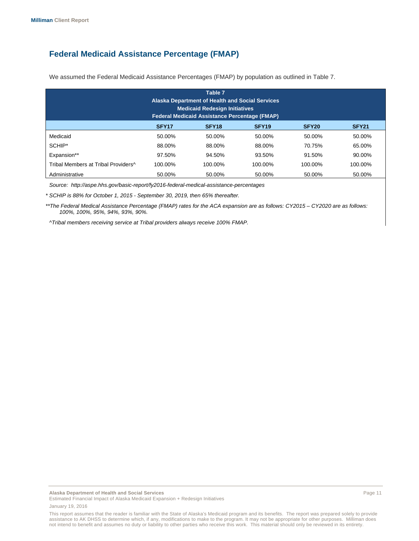# **Federal Medicaid Assistance Percentage (FMAP)**

| Table 7<br>Alaska Department of Health and Social Services<br><b>Medicaid Redesign Initiatives</b><br><b>Federal Medicaid Assistance Percentage (FMAP)</b> |                   |                   |                   |                   |              |
|------------------------------------------------------------------------------------------------------------------------------------------------------------|-------------------|-------------------|-------------------|-------------------|--------------|
|                                                                                                                                                            | SFY <sub>17</sub> | SFY <sub>18</sub> | SFY <sub>19</sub> | SFY <sub>20</sub> | <b>SFY21</b> |
| Medicaid                                                                                                                                                   | 50.00%            | 50.00%            | 50.00%            | 50.00%            | 50.00%       |
| SCHIP*                                                                                                                                                     | 88.00%            | 88.00%            | 88.00%            | 70.75%            | 65.00%       |
| Expansion**                                                                                                                                                | 97.50%            | 94.50%            | 93.50%            | 91.50%            | 90.00%       |
| Tribal Members at Tribal Providers <sup>^</sup>                                                                                                            | 100.00%           | 100.00%           | 100.00%           | 100.00%           | 100.00%      |
| Administrative                                                                                                                                             | 50.00%            | 50.00%            | 50.00%            | 50.00%            | 50.00%       |

We assumed the Federal Medicaid Assistance Percentages (FMAP) by population as outlined in Table 7.

*Source: http://aspe.hhs.gov/basic-report/fy2016-federal-medical-assistance-percentages*

*\* SCHIP is 88% for October 1, 2015 - September 30, 2019, then 65% thereafter.*

*\*\*The Federal Medical Assistance Percentage (FMAP) rates for the ACA expansion are as follows: CY2015 – CY2020 are as follows: 100%, 100%, 95%, 94%, 93%, 90%.* 

*^Tribal members receiving service at Tribal providers always receive 100% FMAP.* 

This report assumes that the reader is familiar with the State of Alaska's Medicaid program and its benefits. The report was prepared solely to provide assistance to AK DHSS to determine which, if any, modifications to make to the program. It may not be appropriate for other purposes. Milliman does not intend to benefit and assumes no duty or liability to other parties who receive this work. This material should only be reviewed in its entirety.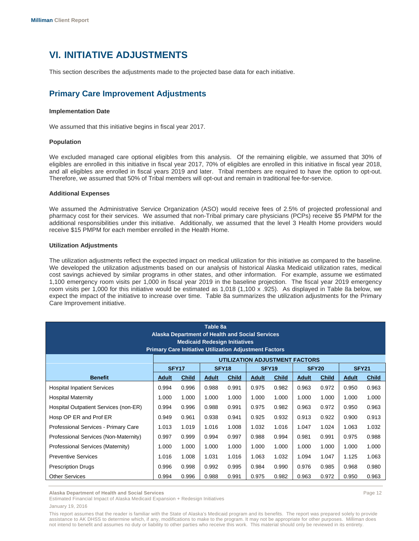# **VI. INITIATIVE ADJUSTMENTS**

This section describes the adjustments made to the projected base data for each initiative.

# **Primary Care Improvement Adjustments**

#### **Implementation Date**

We assumed that this initiative begins in fiscal year 2017.

#### **Population**

We excluded managed care optional eligibles from this analysis. Of the remaining eligible, we assumed that 30% of eligibles are enrolled in this initiative in fiscal year 2017, 70% of eligibles are enrolled in this initiative in fiscal year 2018, and all eligibles are enrolled in fiscal years 2019 and later. Tribal members are required to have the option to opt-out. Therefore, we assumed that 50% of Tribal members will opt-out and remain in traditional fee-for-service.

#### **Additional Expenses**

We assumed the Administrative Service Organization (ASO) would receive fees of 2.5% of projected professional and pharmacy cost for their services. We assumed that non-Tribal primary care physicians (PCPs) receive \$5 PMPM for the additional responsibilities under this initiative. Additionally, we assumed that the level 3 Health Home providers would receive \$15 PMPM for each member enrolled in the Health Home.

#### **Utilization Adjustments**

The utilization adjustments reflect the expected impact on medical utilization for this initiative as compared to the baseline. We developed the utilization adjustments based on our analysis of historical Alaska Medicaid utilization rates, medical cost savings achieved by similar programs in other states, and other information. For example, assume we estimated 1,100 emergency room visits per 1,000 in fiscal year 2019 in the baseline projection. The fiscal year 2019 emergency room visits per 1,000 for this initiative would be estimated as 1,018 (1,100 x .925). As displayed in Table 8a below, we expect the impact of the initiative to increase over time. Table 8a summarizes the utilization adjustments for the Primary Care Improvement initiative.

| Table 8a<br><b>Alaska Department of Health and Social Services</b><br><b>Medicaid Redesign Initiatives</b><br><b>Primary Care Initiative Utilization Adjustment Factors</b> |                   |              |              |                   |       |              |                                |              |              |              |
|-----------------------------------------------------------------------------------------------------------------------------------------------------------------------------|-------------------|--------------|--------------|-------------------|-------|--------------|--------------------------------|--------------|--------------|--------------|
|                                                                                                                                                                             |                   |              |              |                   |       |              | UTILIZATION ADJUSTMENT FACTORS |              |              |              |
|                                                                                                                                                                             | SFY <sub>17</sub> |              |              | SFY <sub>18</sub> |       | <b>SFY19</b> |                                | <b>SFY20</b> | <b>SFY21</b> |              |
| <b>Benefit</b>                                                                                                                                                              | <b>Adult</b>      | <b>Child</b> | <b>Adult</b> | <b>Child</b>      | Adult | <b>Child</b> | <b>Adult</b>                   | <b>Child</b> | <b>Adult</b> | <b>Child</b> |
| <b>Hospital Inpatient Services</b>                                                                                                                                          | 0.994             | 0.996        | 0.988        | 0.991             | 0.975 | 0.982        | 0.963                          | 0.972        | 0.950        | 0.963        |
| <b>Hospital Maternity</b>                                                                                                                                                   | 1.000             | 1.000        | 1.000        | 1.000             | 1.000 | 1.000        | 1.000                          | 1.000        | 1.000        | 1.000        |
| Hospital Outpatient Services (non-ER)                                                                                                                                       | 0.994             | 0.996        | 0.988        | 0.991             | 0.975 | 0.982        | 0.963                          | 0.972        | 0.950        | 0.963        |
| Hosp OP ER and Prof ER                                                                                                                                                      | 0.949             | 0.961        | 0.938        | 0.941             | 0.925 | 0.932        | 0.913                          | 0.922        | 0.900        | 0.913        |
| Professional Services - Primary Care                                                                                                                                        | 1.013             | 1.019        | 1.016        | 1.008             | 1.032 | 1.016        | 1.047                          | 1.024        | 1.063        | 1.032        |
| Professional Services (Non-Maternity)                                                                                                                                       | 0.997             | 0.999        | 0.994        | 0.997             | 0.988 | 0.994        | 0.981                          | 0.991        | 0.975        | 0.988        |
| Professional Services (Maternity)                                                                                                                                           | 1.000             | 1.000        | 1.000        | 1.000             | 1.000 | 1.000        | 1.000                          | 1.000        | 1.000        | 1.000        |
| <b>Preventive Services</b>                                                                                                                                                  | 1.016             | 1.008        | 1.031        | 1.016             | 1.063 | 1.032        | 1.094                          | 1.047        | 1.125        | 1.063        |
| <b>Prescription Drugs</b>                                                                                                                                                   | 0.996             | 0.998        | 0.992        | 0.995             | 0.984 | 0.990        | 0.976                          | 0.985        | 0.968        | 0.980        |
| <b>Other Services</b>                                                                                                                                                       | 0.994             | 0.996        | 0.988        | 0.991             | 0.975 | 0.982        | 0.963                          | 0.972        | 0.950        | 0.963        |

**Alaska Department of Health and Social Services** Page 12

Estimated Financial Impact of Alaska Medicaid Expansion + Redesign Initiatives January 19, 2016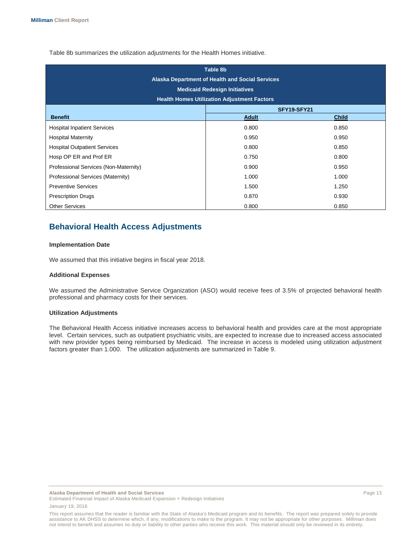Table 8b summarizes the utilization adjustments for the Health Homes initiative.

| Table 8b<br><b>Alaska Department of Health and Social Services</b><br><b>Medicaid Redesign Initiatives</b><br><b>Health Homes Utilization Adjustment Factors</b> |              |              |  |  |
|------------------------------------------------------------------------------------------------------------------------------------------------------------------|--------------|--------------|--|--|
| SFY19-SFY21                                                                                                                                                      |              |              |  |  |
| <b>Benefit</b>                                                                                                                                                   | <b>Adult</b> | <b>Child</b> |  |  |
| <b>Hospital Inpatient Services</b>                                                                                                                               | 0.800        | 0.850        |  |  |
| <b>Hospital Maternity</b>                                                                                                                                        | 0.950        | 0.950        |  |  |
| <b>Hospital Outpatient Services</b>                                                                                                                              | 0.800        | 0.850        |  |  |
| Hosp OP ER and Prof ER                                                                                                                                           | 0.750        | 0.800        |  |  |
| Professional Services (Non-Maternity)                                                                                                                            | 0.900        | 0.950        |  |  |
| Professional Services (Maternity)                                                                                                                                | 1.000        | 1.000        |  |  |
| <b>Preventive Services</b>                                                                                                                                       | 1.500        | 1.250        |  |  |
| <b>Prescription Drugs</b>                                                                                                                                        | 0.870        | 0.930        |  |  |
| <b>Other Services</b>                                                                                                                                            | 0.800        | 0.850        |  |  |

# **Behavioral Health Access Adjustments**

#### **Implementation Date**

We assumed that this initiative begins in fiscal year 2018.

#### **Additional Expenses**

We assumed the Administrative Service Organization (ASO) would receive fees of 3.5% of projected behavioral health professional and pharmacy costs for their services.

#### **Utilization Adjustments**

The Behavioral Health Access initiative increases access to behavioral health and provides care at the most appropriate level. Certain services, such as outpatient psychiatric visits, are expected to increase due to increased access associated with new provider types being reimbursed by Medicaid. The increase in access is modeled using utilization adjustment factors greater than 1.000. The utilization adjustments are summarized in Table 9.

**Alaska Department of Health and Social Services** Page 13

This report assumes that the reader is familiar with the State of Alaska's Medicaid program and its benefits. The report was prepared solely to provide assistance to AK DHSS to determine which, if any, modifications to make to the program. It may not be appropriate for other purposes. Milliman does not intend to benefit and assumes no duty or liability to other parties who receive this work. This material should only be reviewed in its entirety.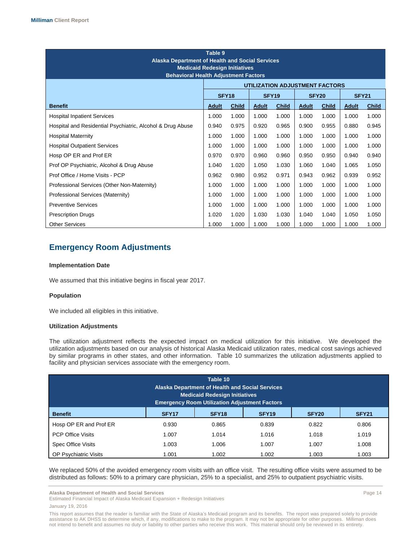| Table 9<br><b>Alaska Department of Health and Social Services</b><br><b>Medicaid Redesign Initiatives</b><br><b>Behavioral Health Adjustment Factors</b> |              |                   |       |                   |                                       |                   |              |              |
|----------------------------------------------------------------------------------------------------------------------------------------------------------|--------------|-------------------|-------|-------------------|---------------------------------------|-------------------|--------------|--------------|
|                                                                                                                                                          |              |                   |       |                   | <b>UTILIZATION ADJUSTMENT FACTORS</b> |                   |              |              |
|                                                                                                                                                          |              | SFY <sub>18</sub> |       | SFY <sub>19</sub> |                                       | SFY <sub>20</sub> | <b>SFY21</b> |              |
| <b>Benefit</b>                                                                                                                                           | <b>Adult</b> | <b>Child</b>      | Adult | <b>Child</b>      | Adult                                 | <b>Child</b>      | <b>Adult</b> | <b>Child</b> |
| <b>Hospital Inpatient Services</b>                                                                                                                       | 1.000        | 1.000             | 1.000 | 1.000             | 1.000                                 | 1.000             | 1.000        | 1.000        |
| Hospital and Residential Psychiatric, Alcohol & Drug Abuse                                                                                               | 0.940        | 0.975             | 0.920 | 0.965             | 0.900                                 | 0.955             | 0.880        | 0.945        |
| <b>Hospital Maternity</b>                                                                                                                                | 1.000        | 1.000             | 1.000 | 1.000             | 1.000                                 | 1.000             | 1.000        | 1.000        |
| <b>Hospital Outpatient Services</b>                                                                                                                      | 1.000        | 1.000             | 1.000 | 1.000             | 1.000                                 | 1.000             | 1.000        | 1.000        |
| Hosp OP ER and Prof ER                                                                                                                                   | 0.970        | 0.970             | 0.960 | 0.960             | 0.950                                 | 0.950             | 0.940        | 0.940        |
| Prof OP Psychiatric, Alcohol & Drug Abuse                                                                                                                | 1.040        | 1.020             | 1.050 | 1.030             | 1.060                                 | 1.040             | 1.065        | 1.050        |
| Prof Office / Home Visits - PCP                                                                                                                          | 0.962        | 0.980             | 0.952 | 0.971             | 0.943                                 | 0.962             | 0.939        | 0.952        |
| Professional Services (Other Non-Maternity)                                                                                                              | 1.000        | 1.000             | 1.000 | 1.000             | 1.000                                 | 1.000             | 1.000        | 1.000        |
| Professional Services (Maternity)                                                                                                                        | 1.000        | 1.000             | 1.000 | 1.000             | 1.000                                 | 1.000             | 1.000        | 1.000        |
| <b>Preventive Services</b>                                                                                                                               | 1.000        | 1.000             | 1.000 | 1.000             | 1.000                                 | 1.000             | 1.000        | 1.000        |
| <b>Prescription Drugs</b>                                                                                                                                | 1.020        | 1.020             | 1.030 | 1.030             | 1.040                                 | 1.040             | 1.050        | 1.050        |
| <b>Other Services</b>                                                                                                                                    | 1.000        | 1.000             | 1.000 | 1.000             | 1.000                                 | 1.000             | 1.000        | 1.000        |

# **Emergency Room Adjustments**

#### **Implementation Date**

We assumed that this initiative begins in fiscal year 2017.

#### **Population**

We included all eligibles in this initiative.

#### **Utilization Adjustments**

The utilization adjustment reflects the expected impact on medical utilization for this initiative. We developed the utilization adjustments based on our analysis of historical Alaska Medicaid utilization rates, medical cost savings achieved by similar programs in other states, and other information. Table 10 summarizes the utilization adjustments applied to facility and physician services associate with the emergency room.

| Table 10<br>Alaska Department of Health and Social Services<br><b>Medicaid Redesign Initiatives</b><br><b>Emergency Room Utilization Adjustment Factors</b> |                   |                   |                   |                   |              |
|-------------------------------------------------------------------------------------------------------------------------------------------------------------|-------------------|-------------------|-------------------|-------------------|--------------|
| <b>Benefit</b>                                                                                                                                              | SFY <sub>17</sub> | SFY <sub>18</sub> | SFY <sub>19</sub> | SFY <sub>20</sub> | <b>SFY21</b> |
| Hosp OP ER and Prof ER                                                                                                                                      | 0.930             | 0.865             | 0.839             | 0.822             | 0.806        |
| <b>PCP Office Visits</b>                                                                                                                                    | 1.007             | 1.014             | 1.016             | 1.018             | 1.019        |
| <b>Spec Office Visits</b>                                                                                                                                   | 1.003             | 1.006             | 1.007             | 1.007             | 1.008        |
| <b>OP Psychiatric Visits</b>                                                                                                                                | 1.001             | 1.002             | 1.002             | 1.003             | 1.003        |

We replaced 50% of the avoided emergency room visits with an office visit. The resulting office visits were assumed to be distributed as follows: 50% to a primary care physician, 25% to a specialist, and 25% to outpatient psychiatric visits.

Estimated Financial Impact of Alaska Medicaid Expansion + Redesign Initiatives January 19, 2016

**Alaska Department of Health and Social Services** Page 14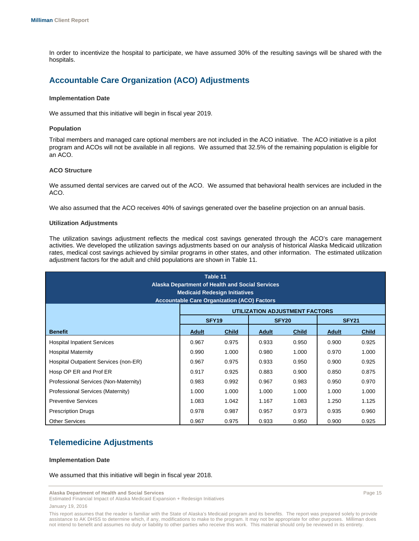In order to incentivize the hospital to participate, we have assumed 30% of the resulting savings will be shared with the hospitals.

# **Accountable Care Organization (ACO) Adjustments**

#### **Implementation Date**

We assumed that this initiative will begin in fiscal year 2019.

#### **Population**

Tribal members and managed care optional members are not included in the ACO initiative. The ACO initiative is a pilot program and ACOs will not be available in all regions. We assumed that 32.5% of the remaining population is eligible for an ACO.

#### **ACO Structure**

We assumed dental services are carved out of the ACO. We assumed that behavioral health services are included in the ACO.

We also assumed that the ACO receives 40% of savings generated over the baseline projection on an annual basis.

#### **Utilization Adjustments**

The utilization savings adjustment reflects the medical cost savings generated through the ACO's care management activities. We developed the utilization savings adjustments based on our analysis of historical Alaska Medicaid utilization rates, medical cost savings achieved by similar programs in other states, and other information. The estimated utilization adjustment factors for the adult and child populations are shown in Table 11.

| Table 11<br><b>Alaska Department of Health and Social Services</b><br><b>Medicaid Redesign Initiatives</b> |                                                    |                   |       |                                |              |              |
|------------------------------------------------------------------------------------------------------------|----------------------------------------------------|-------------------|-------|--------------------------------|--------------|--------------|
|                                                                                                            | <b>Accountable Care Organization (ACO) Factors</b> |                   |       |                                |              |              |
|                                                                                                            |                                                    |                   |       | UTILIZATION ADJUSTMENT FACTORS |              |              |
|                                                                                                            |                                                    | SFY <sub>19</sub> |       | SFY <sub>20</sub>              | <b>SFY21</b> |              |
| <b>Benefit</b>                                                                                             | <b>Adult</b>                                       | <b>Child</b>      | Adult | <b>Child</b>                   | <b>Adult</b> | <b>Child</b> |
| <b>Hospital Inpatient Services</b>                                                                         | 0.967                                              | 0.975             | 0.933 | 0.950                          | 0.900        | 0.925        |
| <b>Hospital Maternity</b>                                                                                  | 0.990                                              | 1.000             | 0.980 | 1.000                          | 0.970        | 1.000        |
| Hospital Outpatient Services (non-ER)                                                                      | 0.967                                              | 0.975             | 0.933 | 0.950                          | 0.900        | 0.925        |
| Hosp OP ER and Prof ER                                                                                     | 0.917                                              | 0.925             | 0.883 | 0.900                          | 0.850        | 0.875        |
| Professional Services (Non-Maternity)                                                                      | 0.983                                              | 0.992             | 0.967 | 0.983                          | 0.950        | 0.970        |
| Professional Services (Maternity)                                                                          | 1.000                                              | 1.000             | 1.000 | 1.000                          | 1.000        | 1.000        |
| <b>Preventive Services</b>                                                                                 | 1.083                                              | 1.042             | 1.167 | 1.083                          | 1.250        | 1.125        |
| <b>Prescription Drugs</b>                                                                                  | 0.978                                              | 0.987             | 0.957 | 0.973                          | 0.935        | 0.960        |
| <b>Other Services</b>                                                                                      | 0.967                                              | 0.975             | 0.933 | 0.950                          | 0.900        | 0.925        |

# **Telemedicine Adjustments**

#### **Implementation Date**

We assumed that this initiative will begin in fiscal year 2018.

**Alaska Department of Health and Social Services** Page 15

Estimated Financial Impact of Alaska Medicaid Expansion + Redesign Initiatives January 19, 2016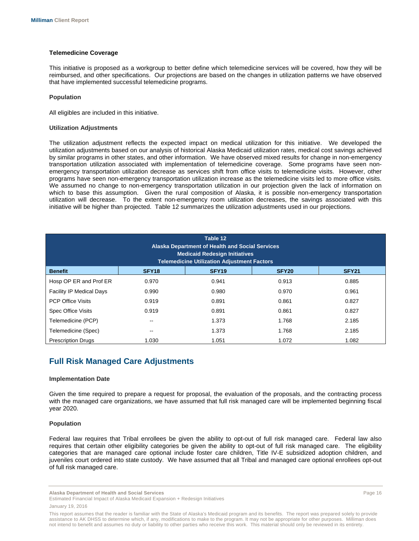#### **Telemedicine Coverage**

This initiative is proposed as a workgroup to better define which telemedicine services will be covered, how they will be reimbursed, and other specifications. Our projections are based on the changes in utilization patterns we have observed that have implemented successful telemedicine programs.

#### **Population**

All eligibles are included in this initiative.

#### **Utilization Adjustments**

The utilization adjustment reflects the expected impact on medical utilization for this initiative. We developed the utilization adjustments based on our analysis of historical Alaska Medicaid utilization rates, medical cost savings achieved by similar programs in other states, and other information. We have observed mixed results for change in non-emergency transportation utilization associated with implementation of telemedicine coverage. Some programs have seen nonemergency transportation utilization decrease as services shift from office visits to telemedicine visits. However, other programs have seen non-emergency transportation utilization increase as the telemedicine visits led to more office visits. We assumed no change to non-emergency transportation utilization in our projection given the lack of information on which to base this assumption. Given the rural composition of Alaska, it is possible non-emergency transportation utilization will decrease. To the extent non-emergency room utilization decreases, the savings associated with this initiative will be higher than projected. Table 12 summarizes the utilization adjustments used in our projections.

| Table 12<br><b>Alaska Department of Health and Social Services</b><br><b>Medicaid Redesign Initiatives</b><br><b>Telemedicine Utilization Adjustment Factors</b> |                   |                   |                   |              |  |
|------------------------------------------------------------------------------------------------------------------------------------------------------------------|-------------------|-------------------|-------------------|--------------|--|
| <b>Benefit</b>                                                                                                                                                   | SFY <sub>18</sub> | SFY <sub>19</sub> | SFY <sub>20</sub> | <b>SFY21</b> |  |
| Hosp OP ER and Prof ER                                                                                                                                           | 0.970             | 0.941             | 0.913             | 0.885        |  |
| <b>Facility IP Medical Days</b>                                                                                                                                  | 0.990             | 0.980             | 0.970             | 0.961        |  |
| <b>PCP Office Visits</b>                                                                                                                                         | 0.919             | 0.891             | 0.861             | 0.827        |  |
| Spec Office Visits                                                                                                                                               | 0.919             | 0.891             | 0.861             | 0.827        |  |
| Telemedicine (PCP)                                                                                                                                               | $- -$             | 1.373             | 1.768             | 2.185        |  |
| Telemedicine (Spec)                                                                                                                                              | --                | 1.373             | 1.768             | 2.185        |  |
| <b>Prescription Drugs</b>                                                                                                                                        | 1.030             | 1.051             | 1.072             | 1.082        |  |

### **Full Risk Managed Care Adjustments**

#### **Implementation Date**

Given the time required to prepare a request for proposal, the evaluation of the proposals, and the contracting process with the managed care organizations, we have assumed that full risk managed care will be implemented beginning fiscal year 2020.

#### **Population**

Federal law requires that Tribal enrollees be given the ability to opt-out of full risk managed care. Federal law also requires that certain other eligibility categories be given the ability to opt-out of full risk managed care. The eligibility categories that are managed care optional include foster care children, Title IV-E subsidized adoption children, and juveniles court ordered into state custody. We have assumed that all Tribal and managed care optional enrollees opt-out of full risk managed care.

**Alaska Department of Health and Social Services** Page 16

This report assumes that the reader is familiar with the State of Alaska's Medicaid program and its benefits. The report was prepared solely to provide assistance to AK DHSS to determine which, if any, modifications to make to the program. It may not be appropriate for other purposes. Milliman does not intend to benefit and assumes no duty or liability to other parties who receive this work. This material should only be reviewed in its entirety.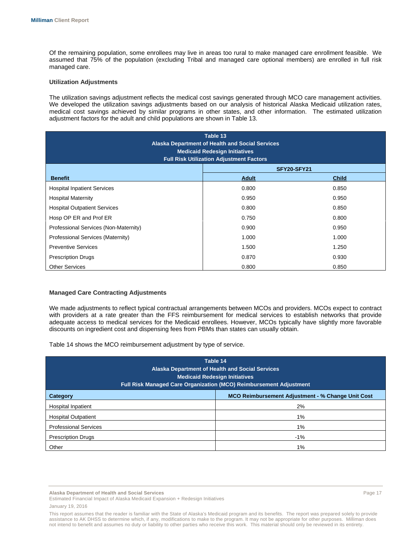Of the remaining population, some enrollees may live in areas too rural to make managed care enrollment feasible. We assumed that 75% of the population (excluding Tribal and managed care optional members) are enrolled in full risk managed care.

#### **Utilization Adjustments**

The utilization savings adjustment reflects the medical cost savings generated through MCO care management activities. We developed the utilization savings adjustments based on our analysis of historical Alaska Medicaid utilization rates, medical cost savings achieved by similar programs in other states, and other information. The estimated utilization adjustment factors for the adult and child populations are shown in Table 13.

| Table 13<br>Alaska Department of Health and Social Services<br><b>Medicaid Redesign Initiatives</b><br><b>Full Risk Utilization Adjustment Factors</b> |              |              |  |  |
|--------------------------------------------------------------------------------------------------------------------------------------------------------|--------------|--------------|--|--|
|                                                                                                                                                        | SFY20-SFY21  |              |  |  |
| <b>Benefit</b>                                                                                                                                         | <b>Adult</b> | <b>Child</b> |  |  |
| <b>Hospital Inpatient Services</b>                                                                                                                     | 0.800        | 0.850        |  |  |
| <b>Hospital Maternity</b>                                                                                                                              | 0.950        | 0.950        |  |  |
| <b>Hospital Outpatient Services</b>                                                                                                                    | 0.800        | 0.850        |  |  |
| Hosp OP ER and Prof ER                                                                                                                                 | 0.750        | 0.800        |  |  |
| Professional Services (Non-Maternity)                                                                                                                  | 0.900        | 0.950        |  |  |
| Professional Services (Maternity)                                                                                                                      | 1.000        | 1.000        |  |  |
| <b>Preventive Services</b>                                                                                                                             | 1.500        | 1.250        |  |  |
| <b>Prescription Drugs</b>                                                                                                                              | 0.870        | 0.930        |  |  |
| <b>Other Services</b>                                                                                                                                  | 0.800        | 0.850        |  |  |

#### **Managed Care Contracting Adjustments**

We made adjustments to reflect typical contractual arrangements between MCOs and providers. MCOs expect to contract with providers at a rate greater than the FFS reimbursement for medical services to establish networks that provide adequate access to medical services for the Medicaid enrollees. However, MCOs typically have slightly more favorable discounts on ingredient cost and dispensing fees from PBMs than states can usually obtain.

Table 14 shows the MCO reimbursement adjustment by type of service.

| Table 14<br><b>Alaska Department of Health and Social Services</b><br><b>Medicaid Redesign Initiatives</b><br><b>Full Risk Managed Care Organization (MCO) Reimbursement Adjustment</b> |    |  |  |  |
|-----------------------------------------------------------------------------------------------------------------------------------------------------------------------------------------|----|--|--|--|
| <b>MCO Reimbursement Adjustment - % Change Unit Cost</b><br>Category                                                                                                                    |    |  |  |  |
| <b>Hospital Inpatient</b>                                                                                                                                                               | 2% |  |  |  |
| <b>Hospital Outpatient</b>                                                                                                                                                              | 1% |  |  |  |
| <b>Professional Services</b>                                                                                                                                                            | 1% |  |  |  |
| $-1%$<br><b>Prescription Drugs</b>                                                                                                                                                      |    |  |  |  |
| Other                                                                                                                                                                                   | 1% |  |  |  |

**Alaska Department of Health and Social Services** Page 17

Estimated Financial Impact of Alaska Medicaid Expansion + Redesign Initiatives January 19, 2016

This report assumes that the reader is familiar with the State of Alaska's Medicaid program and its benefits. The report was prepared solely to provide assistance to AK DHSS to determine which, if any, modifications to make to the program. It may not be appropriate for other purposes. Milliman does not intend to benefit and assumes no duty or liability to other parties who receive this work. This material should only be reviewed in its entirety.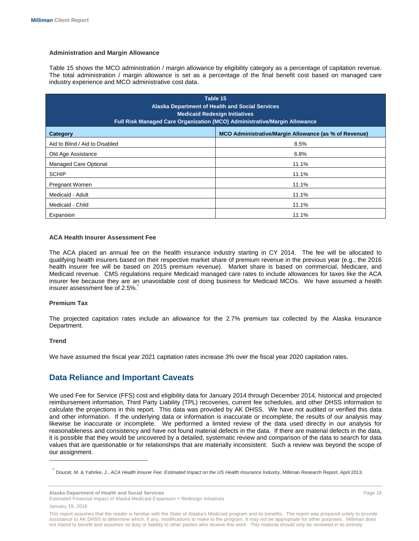#### **Administration and Margin Allowance**

Table 15 shows the MCO administration / margin allowance by eligibility category as a percentage of capitation revenue. The total administration / margin allowance is set as a percentage of the final benefit cost based on managed care industry experience and MCO administrative cost data.

| Table 15<br>Alaska Department of Health and Social Services<br><b>Medicaid Redesign Initiatives</b><br>Full Risk Managed Care Organization (MCO) Administrative/Margin Allowance |                                                       |  |  |  |  |  |  |  |  |
|----------------------------------------------------------------------------------------------------------------------------------------------------------------------------------|-------------------------------------------------------|--|--|--|--|--|--|--|--|
| Category                                                                                                                                                                         | MCO Administrative/Margin Allowance (as % of Revenue) |  |  |  |  |  |  |  |  |
| Aid to Blind / Aid to Disabled                                                                                                                                                   | 8.5%                                                  |  |  |  |  |  |  |  |  |
| Old Age Assistance                                                                                                                                                               | 6.8%                                                  |  |  |  |  |  |  |  |  |
| <b>Managed Care Optional</b>                                                                                                                                                     | 11.1%                                                 |  |  |  |  |  |  |  |  |
| <b>SCHIP</b>                                                                                                                                                                     | 11.1%                                                 |  |  |  |  |  |  |  |  |
| <b>Pregnant Women</b>                                                                                                                                                            | 11.1%                                                 |  |  |  |  |  |  |  |  |
| Medicaid - Adult                                                                                                                                                                 | 11.1%                                                 |  |  |  |  |  |  |  |  |
| Medicaid - Child<br>11.1%                                                                                                                                                        |                                                       |  |  |  |  |  |  |  |  |
| Expansion                                                                                                                                                                        | 11.1%                                                 |  |  |  |  |  |  |  |  |

#### **ACA Health Insurer Assessment Fee**

The ACA placed an annual fee on the health insurance industry starting in CY 2014. The fee will be allocated to qualifying health insurers based on their respective market share of premium revenue in the previous year (e.g., the 2016 health insurer fee will be based on 2015 premium revenue). Market share is based on commercial, Medicare, and Medicaid revenue. CMS regulations require Medicaid managed care rates to include allowances for taxes like the ACA insurer fee because they are an unavoidable cost of doing business for Medicaid MCOs. We have assumed a health insurer assessment fee of 2.5%.

#### **Premium Tax**

The projected capitation rates include an allowance for the 2.7% premium tax collected by the Alaska Insurance Department.

#### **Trend**

 $\overline{a}$ 

We have assumed the fiscal year 2021 capitation rates increase 3% over the fiscal year 2020 capitation rates.

# **Data Reliance and Important Caveats**

We used Fee for Service (FFS) cost and eligibility data for January 2014 through December 2014, historical and projected reimbursement information, Third Party Liability (TPL) recoveries, current fee schedules, and other DHSS information to calculate the projections in this report. This data was provided by AK DHSS. We have not audited or verified this data and other information. If the underlying data or information is inaccurate or incomplete, the results of our analysis may likewise be inaccurate or incomplete. We performed a limited review of the data used directly in our analysis for reasonableness and consistency and have not found material defects in the data. If there are material defects in the data, it is possible that they would be uncovered by a detailed, systematic review and comparison of the data to search for data values that are questionable or for relationships that are materially inconsistent. Such a review was beyond the scope of our assignment.

**Alaska Department of Health and Social Services** Page 18

<sup>\*</sup> Doucet, M. & Yahnke, J., *ACA Health Insurer Fee: Estimated Impact on the US Health Insurance Industry*, Milliman Research Report, April 2013.

This report assumes that the reader is familiar with the State of Alaska's Medicaid program and its benefits. The report was prepared solely to provide assistance to AK DHSS to determine which, if any, modifications to make to the program. It may not be appropriate for other purposes. Milliman does not intend to benefit and assumes no duty or liability to other parties who receive this work. This material should only be reviewed in its entirety.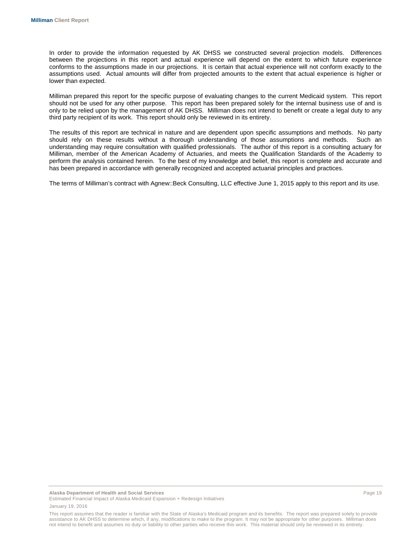In order to provide the information requested by AK DHSS we constructed several projection models. Differences between the projections in this report and actual experience will depend on the extent to which future experience conforms to the assumptions made in our projections. It is certain that actual experience will not conform exactly to the assumptions used. Actual amounts will differ from projected amounts to the extent that actual experience is higher or lower than expected.

Milliman prepared this report for the specific purpose of evaluating changes to the current Medicaid system. This report should not be used for any other purpose. This report has been prepared solely for the internal business use of and is only to be relied upon by the management of AK DHSS. Milliman does not intend to benefit or create a legal duty to any third party recipient of its work. This report should only be reviewed in its entirety.

The results of this report are technical in nature and are dependent upon specific assumptions and methods. No party should rely on these results without a thorough understanding of those assumptions and methods. Such an understanding may require consultation with qualified professionals. The author of this report is a consulting actuary for Milliman, member of the American Academy of Actuaries, and meets the Qualification Standards of the Academy to perform the analysis contained herein. To the best of my knowledge and belief, this report is complete and accurate and has been prepared in accordance with generally recognized and accepted actuarial principles and practices.

The terms of Milliman's contract with Agnew::Beck Consulting, LLC effective June 1, 2015 apply to this report and its use.

This report assumes that the reader is familiar with the State of Alaska's Medicaid program and its benefits. The report was prepared solely to provide assistance to AK DHSS to determine which, if any, modifications to make to the program. It may not be appropriate for other purposes. Milliman does not intend to benefit and assumes no duty or liability to other parties who receive this work. This material should only be reviewed in its entirety.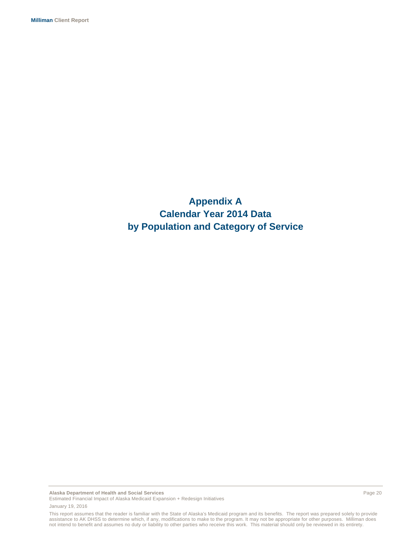**Appendix A Calendar Year 2014 Data by Population and Category of Service**

**Alaska Department of Health and Social Services** Page 20 Estimated Financial Impact of Alaska Medicaid Expansion + Redesign Initiatives January 19, 2016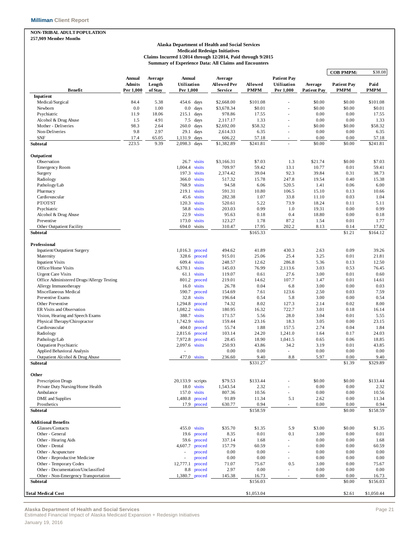#### **NON-TRIBAL ADULT POPULATION 257,909 Member Months**

#### **Alaska Department of Health and Social Services Medicaid Redesign Initiatives Claims Incurred 1/2014 through 12/2014, Paid through 9/2015 Summary of Experience Data: All Claims and Encounters**

|                                                                            |                                |                   |                              |                        |                        |                                                |                    | <b>COB PMPM:</b>   | \$38.08       |
|----------------------------------------------------------------------------|--------------------------------|-------------------|------------------------------|------------------------|------------------------|------------------------------------------------|--------------------|--------------------|---------------|
| <b>Benefit</b>                                                             | <b>Annual</b><br><b>Admits</b> | Average<br>Length | Annual<br>Utilization        | Average<br>Allowed Per | Allowed<br><b>PMPM</b> | <b>Patient Pay</b><br>Utilization<br>Per 1,000 | Average            | <b>Patient Pay</b> | Paid          |
| Inpatient                                                                  | Per 1,000                      | of Stay           | Per 1,000                    | Service                |                        |                                                | <b>Patient Pay</b> | <b>PMPM</b>        | PMPM          |
| Medical/Surgical                                                           | 84.4                           | 5.38              | 454.6 days                   | \$2,668.00             | \$101.08               |                                                | \$0.00             | \$0.00             | \$101.08      |
| Newborn                                                                    | 0.0                            | 1.00              | $0.0\,$<br>days              | \$3,678.34             | \$0.01                 |                                                | \$0.00             | \$0.00             | \$0.01        |
| Psychiatric                                                                | 11.9                           | 18.06             | days<br>215.1                | 978.86                 | 17.55                  |                                                | 0.00               | 0.00               | 17.55         |
| Alcohol & Drug Abuse                                                       | 1.5                            | 4.91              | 7.5<br>days                  | 2,117.17               | 1.33                   |                                                | 0.00               | 0.00               | 1.33          |
| Mother - Deliveries                                                        | 98.3                           | 2.64              | 260.0<br>days                | \$2,692.00             | \$58.32                |                                                | \$0.00             | \$0.00             | \$58.32       |
| Non-Deliveries                                                             | 9.8                            | 2.97              | 29.1<br>days                 | 2,614.33               | 6.35                   |                                                | 0.00               | 0.00               | 6.35          |
| SNF                                                                        | 17.4                           | 65.05             | 1,131.9<br>days              | 606.22                 | 57.18                  | ٠                                              | 0.00               | 0.00               | 57.18         |
| Subtotal                                                                   | 223.5                          | 9.39              | days<br>2,098.3              | \$1,382.89             | \$241.81               |                                                | \$0.00             | \$0.00             | \$241.81      |
| Outpatient                                                                 |                                |                   |                              |                        |                        |                                                |                    |                    |               |
| Observation                                                                |                                |                   | 26.7 visits                  | \$3,166.31             | \$7.03                 | 1.3                                            | \$21.74            | \$0.00             | \$7.03        |
| <b>Emergency Room</b>                                                      |                                |                   | 1,004.4<br>visits            | 709.97                 | 59.42                  | 13.1                                           | 10.77              | 0.01               | 59.41         |
| Surgery                                                                    |                                |                   | 197.3 visits                 | 2,374.42               | 39.04                  | 92.3                                           | 39.84              | 0.31               | 38.73         |
| Radiology                                                                  |                                |                   | 366.0<br>visits              | 517.32                 | 15.78                  | 247.8                                          | 19.54              | 0.40               | 15.38         |
| Pathology/Lab                                                              |                                |                   | 768.9<br>visits              | 94.58                  | 6.06                   | 520.5                                          | 1.41               | 0.06               | 6.00          |
| Pharmacy                                                                   |                                |                   | visits<br>219.1              | 591.31                 | 10.80                  | 106.5                                          | 15.10              | 0.13               | 10.66         |
| Cardiovascular                                                             |                                |                   | 45.6<br>visits               | 282.38                 | 1.07                   | 33.8                                           | 11.10              | 0.03               | 1.04          |
| PT/OT/ST                                                                   |                                |                   | 120.3<br>visits              | 520.61                 | 5.22                   | 73.9                                           | 18.24              | 0.11               | 5.11          |
| Psychiatric                                                                |                                |                   | 58.8<br>visits               | 203.03                 | 0.99                   | 1.0                                            | 19.31              | 0.00               | 0.99          |
| Alcohol & Drug Abuse                                                       |                                |                   | 22.9<br>visits               | 95.63                  | 0.18                   | 0.4                                            | 18.80              | 0.00               | 0.18          |
| Preventive                                                                 |                                |                   | 173.0<br>visits              | 123.27                 | 1.78                   | 87.2                                           | 1.54               | 0.01               | 1.77          |
| Other Outpatient Facility                                                  |                                |                   | 694.0 visits                 | 310.47                 | 17.95                  | 202.2                                          | 8.13               | 0.14               | 17.82         |
| Subtotal                                                                   |                                |                   |                              |                        | \$165.33               |                                                |                    | \$1.21             | \$164.12      |
| Professional                                                               |                                |                   |                              |                        |                        |                                                |                    |                    |               |
| Inpatient/Outpatient Surgery                                               |                                |                   | 1,016.3 proced               | 494.62                 | 41.89                  | 430.3                                          | 2.63               | 0.09               | 39.26         |
| Maternity                                                                  |                                |                   | 328.6<br>proced              | 915.01                 | 25.06                  | 25.4                                           | 3.25               | 0.01               | 21.81         |
| <b>Inpatient Visits</b>                                                    |                                |                   | 609.4<br>visits              | 248.57                 | 12.62                  | 286.8                                          | 5.36               | 0.13               | 12.50         |
| Office/Home Visits                                                         |                                |                   | 6,370.1<br>visits            | 145.03                 | 76.99                  | 2,113.6                                        | 3.03               | 0.53               | 76.45         |
| <b>Urgent Care Visits</b>                                                  |                                |                   | 61.1<br>visits               | 119.07                 | 0.61                   | 27.6                                           | 3.00               | 0.01               | 0.60          |
| Office Administered Drugs/Allergy Testing                                  |                                |                   | 801.2<br>proced              | 219.01                 | 14.62                  | 107.7                                          | 1.47               | 0.01               | 14.61         |
| Allergy Immunotherapy                                                      |                                |                   | 16.0<br>visits               | 26.78                  | 0.04                   | 6.8                                            | 3.00               | 0.00               | 0.03          |
| Miscellaneous Medical                                                      |                                |                   | 590.7<br>proced              | 154.69                 | 7.61                   | 123.6                                          | 2.50               | 0.03               | 7.59          |
| Preventive Exams                                                           |                                |                   | 32.8<br>visits               | 196.64                 | 0.54                   | 5.8                                            | 3.00               | 0.00               | 0.54          |
| Other Preventive                                                           |                                |                   | 1,294.8<br>proced            | 74.32                  | 8.02                   | 127.3                                          | 2.14               | 0.02               | 8.00          |
| ER Visits and Observation                                                  |                                |                   | 1,082.2<br>visits            | 180.95                 | 16.32                  | 722.7                                          | 3.01               | 0.18               | 16.14         |
| Vision, Hearing and Speech Exams                                           |                                |                   | 388.7<br>visits              | 171.57                 | 5.56                   | 28.0                                           | 3.04               | 0.01               | 5.55          |
| Physical Therapy/Chiropractor                                              |                                |                   | 1,742.9<br>visits            | 159.44                 | 23.16                  | 18.3                                           | 3.05               | 0.00               | 23.15         |
| Cardiovascular                                                             |                                |                   | 404.0<br>proced              | 55.74                  | 1.88                   | 157.5                                          | 2.74               | 0.04               | 1.84          |
| Radiology                                                                  |                                |                   | 2,815.6<br>proced            | 103.14                 | 24.20                  | 1,241.0                                        | 1.64               | 0.17               | 24.03         |
| Pathology/Lab                                                              |                                |                   | 7,972.8<br>proced            | 28.45                  | 18.90                  | 1,041.5                                        | 0.65               | 0.06               | 18.85         |
| <b>Outpatient Psychiatric</b>                                              |                                |                   | 2,097.6 visits               | 250.93                 | 43.86                  | 34.2                                           | 3.19               | 0.01               | 43.85         |
| Applied Behavioral Analysis                                                |                                |                   |                              | 0.00                   | 0.00                   | $\overline{\phantom{a}}$                       | 0.00               | 0.00               | 0.00          |
| Outpatient Alcohol & Drug Abuse                                            |                                |                   | 477.0 visits                 | 236.60                 | 9.40                   | $8.8\,$                                        | 5.97               | 0.00               | 9.40          |
| Subtotal                                                                   |                                |                   |                              |                        | \$331.27               |                                                |                    | \$1.39             | \$329.89      |
| Other                                                                      |                                |                   |                              |                        |                        |                                                |                    |                    |               |
| Prescription Drugs                                                         |                                |                   | 20,133.9 scripts             | \$79.53                | \$133.44               |                                                | \$0.00             | \$0.00             | \$133.44      |
| Private Duty Nursing/Home Health                                           |                                |                   | 18.0 visits                  | 1,543.54               | 2.32                   |                                                | 0.00               | 0.00               | 2.32          |
| Ambulance                                                                  |                                |                   | 157.0<br>visits              | 807.36                 | 10.56                  | ×.                                             | 0.00               | 0.00               | 10.56         |
| DME and Supplies                                                           |                                |                   | 1,480.8 proced               | 91.89                  | 11.34                  | 5.1                                            | 2.62               | 0.00               | 11.34         |
| Prosthetics                                                                |                                |                   | 17.9 proced                  | 630.77                 | 0.94                   | $\sim$                                         | 0.00               | 0.00               | 0.94          |
| Subtotal                                                                   |                                |                   |                              |                        | \$158.59               |                                                |                    | \$0.00             | \$158.59      |
| <b>Additional Benefits</b>                                                 |                                |                   |                              |                        |                        |                                                |                    |                    |               |
| Glasses/Contacts                                                           |                                |                   | 455.0 visits                 | \$35.70                | \$1.35                 | 5.9                                            | \$3.00             | \$0.00             | \$1.35        |
| Other - General                                                            |                                |                   | 19.6<br>proced               | 8.35                   | 0.01                   | 0.1                                            | 3.00               | 0.00               | 0.01          |
| Other - Hearing Aids                                                       |                                |                   | 59.6<br>proced               | 337.14                 | 1.68                   | $\sim$                                         | 0.00               | 0.00               | 1.68          |
| Other - Dental                                                             |                                |                   | 4,607.7<br>proced            | 157.79                 | 60.59                  |                                                | 0.00               | 0.00               | 60.59         |
| Other - Acupuncture                                                        |                                |                   | proced                       | 0.00                   | 0.00                   |                                                | 0.00               | 0.00               | 0.00          |
| Other - Reproductive Medicine                                              |                                |                   | proced<br>J.                 | 0.00                   | 0.00                   | $\overline{\phantom{a}}$                       | 0.00               | 0.00               | 0.00          |
|                                                                            |                                |                   | 12,777.1<br>proced           | 71.07                  | 75.67                  | 0.5                                            | 3.00               | 0.00               | 75.67         |
| Other - Temporary Codes                                                    |                                |                   |                              |                        |                        |                                                |                    |                    |               |
| Other - Documentation/Unclassified<br>Other - Non-Emergency Transportation |                                |                   | 8.8 proced<br>1,380.7 proced | 2.97<br>145.38         | 0.00<br>16.73          | $\sim$<br>٠                                    | 0.00<br>0.00       | 0.00<br>0.00       | 0.00<br>16.73 |
| Subtotal                                                                   |                                |                   |                              |                        | \$156.03               |                                                |                    | \$0.00             | \$156.03      |
|                                                                            |                                |                   |                              |                        |                        |                                                |                    |                    |               |
| <b>Total Medical Cost</b>                                                  |                                |                   |                              |                        | \$1,053.04             |                                                |                    | \$2.61             | \$1,050.44    |

**Alaska Department of Health and Social Services** Page 21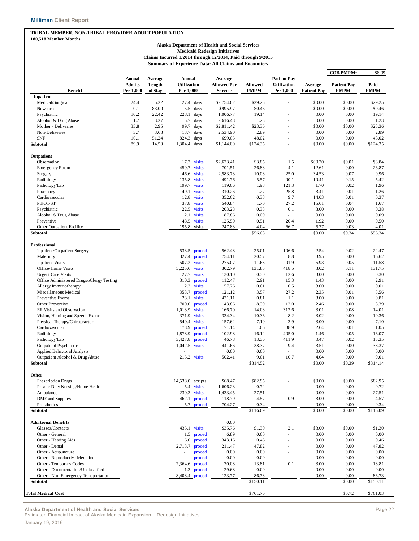#### **TRIBAL MEMBER, NON-TRIBAL PROVIDER ADULT POPULATION 180,518 Member Months**

#### **Alaska Department of Health and Social Services Medicaid Redesign Initiatives Claims Incurred 1/2014 through 12/2014, Paid through 9/2015 Summary of Experience Data: All Claims and Encounters**

|                                                               |                                |                   |                              |                  |                               |                |                                   |                    | <b>COB PMPM:</b>   | \$8.09        |
|---------------------------------------------------------------|--------------------------------|-------------------|------------------------------|------------------|-------------------------------|----------------|-----------------------------------|--------------------|--------------------|---------------|
|                                                               | <b>Annual</b><br><b>Admits</b> | Average<br>Length | <b>Annual</b><br>Utilization |                  | Average<br><b>Allowed Per</b> | Allowed        | <b>Patient Pay</b><br>Utilization | Average            | <b>Patient Pay</b> | Paid          |
| Benefit                                                       | Per 1,000                      | of Stay           | Per 1,000                    |                  | <b>Service</b>                | <b>PMPM</b>    | Per 1,000                         | <b>Patient Pay</b> | <b>PMPM</b>        | <b>PMPM</b>   |
| <b>Inpatient</b>                                              |                                |                   |                              |                  |                               |                |                                   |                    |                    |               |
| Medical/Surgical                                              | 24.4                           | 5.22              | 127.4 days                   |                  | \$2,754.62                    | \$29.25        |                                   | \$0.00             | \$0.00             | \$29.25       |
| Newborn                                                       | 0.1                            | 83.00             | 5.5                          | days             | \$995.97                      | \$0.46         |                                   | \$0.00             | \$0.00             | \$0.46        |
| Psychiatric                                                   | 10.2                           | 22.42             | 228.1 days                   |                  | 1,006.77                      | 19.14          |                                   | 0.00               | 0.00               | 19.14         |
| Alcohol & Drug Abuse                                          | 1.7                            | 3.27              | 5.7                          | days             | 2,616.48                      | 1.23           |                                   | 0.00               | 0.00               | 1.23          |
| Mother - Deliveries                                           | 33.8                           | 2.95              | 99.7                         | days             | \$2,811.42                    | \$23.36        |                                   | \$0.00             | \$0.00             | \$23.36       |
| Non-Deliveries                                                | 3.7                            | 3.68              | 13.7                         | days             | 2,534.90                      | 2.89           |                                   | 0.00               | 0.00               | 2.89          |
| <b>SNF</b>                                                    | 16.1                           | 51.24             | 824.3                        | days             | 699.05                        | 48.02          | ä,                                | 0.00               | 0.00               | 48.02         |
| Subtotal                                                      | 89.9                           | 14.50             | 1,304.4                      | days             | \$1,144.00                    | \$124.35       |                                   | \$0.00             | \$0.00             | \$124.35      |
| Outpatient                                                    |                                |                   |                              |                  |                               |                |                                   |                    |                    |               |
| Observation                                                   |                                |                   | 17.3                         | visits           | \$2,673.41                    | \$3.85         | 1.5                               | \$60.20            | \$0.01             | \$3.84        |
| <b>Emergency Room</b>                                         |                                |                   | 459.7                        | visits           | 701.51                        | 26.88          | 4.1                               | 12.61              | 0.00               | 26.87         |
| Surgery                                                       |                                |                   | 46.6                         | visits           | 2,583.73                      | 10.03          | 25.0                              | 34.53              | 0.07               | 9.96          |
| Radiology                                                     |                                |                   | 135.8                        | visits           | 491.76                        | 5.57           | 90.1                              | 19.41              | 0.15               | 5.42          |
| Pathology/Lab                                                 |                                |                   | 199.7                        | visits           | 119.06                        | 1.98           | 121.3                             | 1.70               | 0.02               | 1.96          |
| Pharmacy                                                      |                                |                   | 49.1                         | visits           | 310.26                        | 1.27           | 25.8                              | 3.41               | 0.01               | 1.26          |
| Cardiovascular                                                |                                |                   | 12.8                         | visits           | 352.62                        | 0.38           | 9.7                               | 14.03              | 0.01               | 0.37          |
| PT/OT/ST                                                      |                                |                   | 37.8                         | visits           | 540.84                        | 1.70           | 27.2                              | 15.61              | 0.04               | 1.67          |
| Psychiatric                                                   |                                |                   | 22.5                         | visits           | 203.28                        | 0.38           | 0.1                               | 3.00               | 0.00               | 0.38          |
| Alcohol & Drug Abuse<br>Preventive                            |                                |                   | 12.1<br>48.5 visits          | visits           | 87.86<br>125.50               | 0.09<br>0.51   | ä,<br>20.4                        | 0.00<br>1.92       | 0.00<br>0.00       | 0.09<br>0.50  |
| Other Outpatient Facility                                     |                                |                   | 195.8 visits                 |                  | 247.83                        | 4.04           | 66.7                              | 5.77               | 0.03               | 4.01          |
| Subtotal                                                      |                                |                   |                              |                  |                               | \$56.68        |                                   | \$0.00             | \$0.34             | \$56.34       |
|                                                               |                                |                   |                              |                  |                               |                |                                   |                    |                    |               |
| Professional                                                  |                                |                   |                              |                  |                               |                |                                   |                    |                    |               |
| Inpatient/Outpatient Surgery                                  |                                |                   | 533.5 proced                 |                  | 562.48                        | 25.01          | 106.6                             | 2.54               | 0.02               | 22.47         |
| Maternity                                                     |                                |                   | 327.4                        | proced           | 754.11                        | 20.57          | 8.8                               | 3.95               | 0.00               | 16.62         |
| <b>Inpatient Visits</b>                                       |                                |                   | 507.2 visits                 |                  | 275.07                        | 11.63          | 91.9                              | 5.93               | 0.05               | 11.58         |
| Office/Home Visits                                            |                                |                   | 5,225.6                      | visits           | 302.79                        | 131.85         | 418.5                             | 3.02               | 0.11               | 131.75        |
| <b>Urgent Care Visits</b>                                     |                                |                   | 27.7                         | visits           | 130.10                        | 0.30           | 12.6                              | 3.00               | 0.00               | 0.30          |
| Office Administered Drugs/Allergy Testing                     |                                |                   | 310.3                        | proced           | 112.47                        | 2.91           | 15.3                              | 1.43               | 0.00               | 2.91          |
| Allergy Immunotherapy                                         |                                |                   | 2.3                          | visits           | 57.76                         | 0.01           | 0.5                               | 3.00               | 0.00               | 0.01          |
| Miscellaneous Medical                                         |                                |                   | 353.7                        | proced           | 121.12                        | 3.57           | 27.2                              | 2.35               | 0.01               | 3.56          |
| Preventive Exams                                              |                                |                   | 23.1                         | visits           | 421.11                        | 0.81           | 1.1                               | 3.00               | 0.00               | 0.81          |
| Other Preventive                                              |                                |                   | 700.0<br>1,013.9             | proced<br>visits | 143.86                        | 8.39           | 12.0<br>312.6                     | 2.46               | 0.00<br>0.08       | 8.39<br>14.01 |
| ER Visits and Observation<br>Vision, Hearing and Speech Exams |                                |                   | 371.9 visits                 |                  | 166.70<br>334.34              | 14.08<br>10.36 | 8.2                               | 3.01<br>3.02       | 0.00               | 10.36         |
| Physical Therapy/Chiropractor                                 |                                |                   | 540.4                        | visits           | 157.62                        | 7.10           | 3.9                               | 3.00               | 0.00               | 7.10          |
| Cardiovascular                                                |                                |                   | 178.9                        | proced           | 71.14                         | 1.06           | 38.9                              | 2.64               | 0.01               | 1.05          |
| Radiology                                                     |                                |                   | 1,878.9                      | proced           | 102.98                        | 16.12          | 405.0                             | 1.46               | 0.05               | 16.07         |
| Pathology/Lab                                                 |                                |                   | 3,427.8                      | proced           | 46.78                         | 13.36          | 411.9                             | 0.47               | 0.02               | 13.35         |
| <b>Outpatient Psychiatric</b>                                 |                                |                   | 1,042.5 visits               |                  | 441.66                        | 38.37          | 9.4                               | 3.51               | 0.00               | 38.37         |
| Applied Behavioral Analysis                                   |                                |                   |                              |                  | 0.00                          | 0.00           | ÷,                                | 0.00               | 0.00               | 0.00          |
| Outpatient Alcohol & Drug Abuse                               |                                |                   | 215.2 visits                 |                  | 502.41                        | 9.01           | 10.7                              | 4.04               | 0.00               | 9.01          |
| Subtotal                                                      |                                |                   |                              |                  |                               | \$314.52       |                                   | \$0.00             | \$0.39             | \$314.14      |
|                                                               |                                |                   |                              |                  |                               |                |                                   |                    |                    |               |
| Other                                                         |                                |                   |                              |                  |                               |                |                                   |                    |                    |               |
| <b>Prescription Drugs</b>                                     |                                |                   | 14,538.0 scripts             |                  | \$68.47                       | \$82.95        |                                   | \$0.00             | \$0.00             | \$82.95       |
| Private Duty Nursing/Home Health                              |                                |                   | 5.4 visits                   |                  | 1,606.23                      | 0.72           |                                   | 0.00               | 0.00               | 0.72          |
| Ambulance                                                     |                                |                   | 230.3 visits<br>462.1 proced |                  | 1,433.45<br>118.79            | 27.51<br>4.57  | 0.9                               | 0.00<br>3.00       | 0.00<br>0.00       | 27.51<br>4.57 |
| DME and Supplies<br>Prosthetics                               |                                |                   | 5.7 proced                   |                  | 704.27                        | 0.34           |                                   | 0.00               | 0.00               | 0.34          |
| Subtotal                                                      |                                |                   |                              |                  |                               | \$116.09       |                                   | \$0.00             | \$0.00             | \$116.09      |
|                                                               |                                |                   |                              |                  |                               |                |                                   |                    |                    |               |
| <b>Additional Benefits</b>                                    |                                |                   |                              |                  | 0.00                          |                |                                   |                    |                    |               |
| Glasses/Contacts                                              |                                |                   | 435.1 visits                 |                  | \$35.76                       | \$1.30         | 2.1                               | \$3.00             | \$0.00             | \$1.30        |
| Other - General                                               |                                |                   | 1.5 proced                   |                  | 6.89                          | 0.00           |                                   | 0.00               | 0.00               | 0.00          |
| Other - Hearing Aids                                          |                                |                   | 16.0                         | proced           | 343.16                        | 0.46           |                                   | 0.00               | 0.00               | 0.46          |
| Other - Dental                                                |                                |                   | 2,713.7                      | proced           | 211.47                        | 47.82          |                                   | 0.00               | 0.00               | 47.82         |
| Other - Acupuncture                                           |                                |                   | ä,                           | proced           | 0.00<br>0.00                  | 0.00<br>0.00   | ٠                                 | 0.00<br>0.00       | 0.00<br>0.00       | 0.00          |
| Other - Reproductive Medicine<br>Other - Temporary Codes      |                                |                   | 2,364.6 proced               | proced           | 70.08                         | 13.81          | 0.1                               | 3.00               | 0.00               | 0.00<br>13.81 |
| Other - Documentation/Unclassified                            |                                |                   | 1.3 proced                   |                  | 29.68                         | 0.00           |                                   | 0.00               | 0.00               | 0.00          |
| Other - Non-Emergency Transportation                          |                                |                   | 8,408.4 proced               |                  | 123.77                        | 86.73          | $\overline{\phantom{a}}$          | 0.00               | 0.00               | 86.73         |
| Subtotal                                                      |                                |                   |                              |                  |                               | \$150.11       |                                   |                    | \$0.00             | \$150.11      |
|                                                               |                                |                   |                              |                  |                               |                |                                   |                    |                    |               |
| <b>Total Medical Cost</b>                                     |                                |                   |                              |                  |                               | \$761.76       |                                   |                    | \$0.72             | \$761.03      |

**Alaska Department of Health and Social Services** Page 22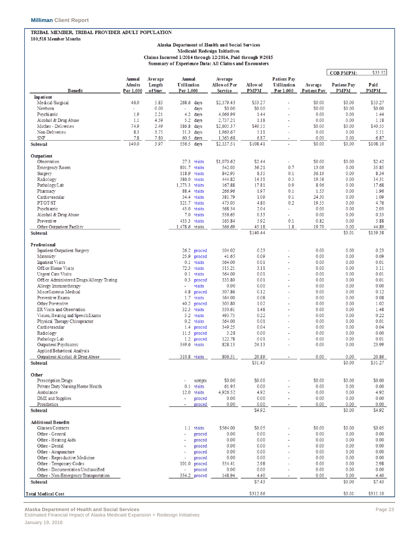#### TRIBAL MEMBER, TRIBAL PROVIDER ADULT POPULATION 180,518 Member Months

#### Alaska Department of Health and Social Services Medicaid Redesign Initiatives

Claims Incurred 1/2014 through 12/2014, Paid through 9/2015 Summary of Experience Data: All Claims and Encounters

|                                           |                          |                   |                          |                |                        |          |                            |             | <b>COB PMPM:</b> | \$33.52  |
|-------------------------------------------|--------------------------|-------------------|--------------------------|----------------|------------------------|----------|----------------------------|-------------|------------------|----------|
|                                           | Annual<br>Admits         | Average<br>Length | Annual<br>Utilization    |                | Average<br>Allowed Per | Allow ed | Patient Pay<br>Utilization | Average     | Patient Pay      | Paid     |
| Benefit                                   | Per 1.000                | ofStav            | Per 1.000                |                | Service                | PMPM     | Per 1,000                  | Patient Pav | <b>PMPM</b>      | PMPM     |
| Inpatient<br>Medical/Surgical             | 46.0                     | 5.83              | 268.6                    | days           | \$2,379.43             | \$53.27  |                            | \$0.00      | \$0.00           | \$53.27  |
| Newborn                                   | $\overline{\phantom{a}}$ | 0.00              | $\overline{a}$           | days           | \$0.00                 | \$0.00   | $\overline{a}$             | \$0.00      | \$0.00           | \$0.00   |
| Psychiatric                               | 1.9                      | 2.21              | 4.2                      | days           | 4,066.99               | 1.44     |                            | 0.00        | 0.00             | 1.44     |
| Alcohol & Drug Abuse                      | 1.1                      | 4.59              | 5.2                      | days           | 2,737.21               | 1.18     |                            | 0.00        | 0.00             | 1.18     |
| Mother - Deliveries                       | 74.9                     | 2.49              | 186.8                    | days           | \$2,605.37             | \$40.55  | $\overline{a}$             | \$0.00      | \$0.00           | \$40.55  |
| Non-Deliveries                            | 8.3                      | 3.75              | 31.3                     | days           | 1,960.67               | 5.11     |                            | 0.00        | 0.00             | 5.11     |
| SNF                                       | 7.8                      | 7.80              | 60.5                     | days           | 1,363.68               | 6.87     |                            | 0.00        | 0.00             | 6.87     |
| Subto tal                                 | 140.0                    | 3.97              | 556.5 days               |                | \$2,337.51             | \$108.41 | ÷                          | \$0.00      | \$0.00           | \$108.10 |
| Outpatient                                |                          |                   |                          |                |                        |          |                            |             |                  |          |
| Observation                               |                          |                   |                          | 27.3 visits    | \$1,070.62             | \$2.44   | $\overline{\phantom{a}}$   | \$0.00      | \$0.00           | \$2.42   |
| Emergency Room                            |                          |                   | 801.7                    | visits         | 542.03                 | 36.21    | 0.7                        | 13.06       | 0.00             | 35.85    |
| Surgery                                   |                          |                   | 118.9                    | visits         | 842.95                 | 8.35     | 0.1                        | 36.19       | 0.00             | 8.34     |
| Radiology                                 |                          |                   | 386.0                    | visits         | 444.82                 | 14.31    | 0.5                        | 19.58       | 0.00             | 14.31    |
| Pathology/Lab                             |                          |                   | 1,273.3 visits           |                | 167.88                 | 17.81    | 0.9                        | 8.96        | 0.00             | 17.68    |
| Pharmacy                                  |                          |                   |                          | 88.4 visits    | 266.96                 | 1.97     | 0.1                        | 1.53        | 0.00             | 1.96     |
| Cardiovascular                            |                          |                   |                          | 34.4 visits    | 381.79                 | 1.09     | 0.1                        | 24.30       | 0.00             | 1.09     |
| PTOT/ST                                   |                          |                   |                          | $121.7$ visits | 473.05                 | 4.80     | 0.2                        | 19.55       | 0.00             | 4.76     |
| Psychiatric                               |                          |                   | 43.0                     | visits         | 568.54                 | 2.04     | $\overline{a}$             | 0.00        | 0.00             | 2.03     |
| Alcohol & Drug Abuse                      |                          |                   | 7.0                      | visits         | 556.65                 | 0.33     | $\overline{a}$             | 0.00        | 0.00             | 0.33     |
| Preventive                                |                          |                   | 433.3                    | visits         | 163.84                 | 5.92     | 0.1                        | 0.82        | 0.00             | 5.88     |
| Other Outpatient Facility                 |                          |                   | 1,478.6 visits           |                | 366.69                 | 45.18    | 1.8                        | 19.79       | 0.00             | 44.89    |
| <b>Subtotal</b>                           |                          |                   |                          |                |                        | \$140.44 |                            |             | \$0.01           | \$139.38 |
| Professional                              |                          |                   |                          |                |                        |          |                            |             |                  |          |
| Inpatient/Outpatient Surgery              |                          |                   | 26.2                     | proced         | 104.02                 | 0.23     |                            | 0.00        | 0.00             | 0.23     |
| Maternity                                 |                          |                   | 25.9                     | proced         | 41.65                  | 0.09     | ÷                          | 0.00        | 0.00             | 0.09     |
| Impatient Visits                          |                          |                   |                          | 0.1 visits     | 564.00                 | 0.01     |                            | 0.00        | 0.00             | 0.01     |
| Office/Home Visits                        |                          |                   | 72.3                     | visits         | 515.21                 | 3.11     |                            | 0.00        | 0.00             | 3.11     |
| Urgent Care Visits                        |                          |                   |                          | $0.1$ visits   | 564.00                 | 0.01     |                            | 0.00        | 0.00             | 0.01     |
| Office Administered Drugs/Allergy Testing |                          |                   | 0.3                      | proced         | 333.80                 | 0.01     |                            | 0.00        | 0.00             | 0.01     |
| Allergy Immuno therapy                    |                          |                   | $\overline{a}$           | visits         | 0.00                   | 0.00     |                            | 0.00        | 0.00             | 0.00     |
| Miscellaneous Medical                     |                          |                   | 4.8                      | proced         | 307.86                 | 0.12     |                            | 0.00        | 0.00             | 0.12     |
| Preventive Exams                          |                          |                   | 1.7                      | visits         | 564.00                 | 0.08     |                            | 0.00        | 0.00             | 0.08     |
| Other Preventive                          |                          |                   | 40.2                     | proced         | 303.80                 | 1.02     |                            | 0.00        | 0.00             | 1.02     |
| ER Visits and Observation                 |                          |                   |                          | 32.3 visits    | 550.61                 | 1.48     |                            | 0.00        | 0.00             | 1.48     |
| Vision, Hearing and Speech Exams          |                          |                   |                          | 5.2 visits     | 493.75                 | 0.22     |                            | 0.00        | 0.00             | 0.22     |
| Physical Therapy/Chiropractor             |                          |                   | 0.2                      | visits         | 564.00                 | 0.01     |                            | 0.00        | 0.00             | 0.01     |
| Cardiovascular                            |                          |                   | 1.4                      | proced         | 349.25                 | 0.04     | $\overline{a}$             | 0.00        | 0.00             | 0.04     |
| Radiology                                 |                          |                   | 11.5                     | proced         | 3.28                   | 0.00     |                            | 0.00        | 0.00             | 0.00     |
| Pathology/Lab                             |                          |                   | 1.2                      | proced         | 122.78                 | 0.01     |                            | 0.00        | 0.00             | 0.01     |
| Outpatient Psychiatric                    |                          |                   | 349.6                    | visits         | 828.13                 | 24.13    |                            | 0.00        | 0.00             | 23.99    |
| Applied Behavioral Analysis               |                          |                   |                          |                |                        |          |                            |             |                  |          |
| Outpatient Alcohol & Drug Abuse           |                          |                   |                          | 310.8 visits   | 806.51                 | 20.89    |                            | 0.00        | 0.00             | 20.86    |
| Subtotal                                  |                          |                   |                          |                |                        | \$51.45  |                            |             | \$0.00           | \$51.27  |
| Other                                     |                          |                   |                          |                |                        |          |                            |             |                  |          |
| Prescription Drugs                        |                          |                   | $\overline{\phantom{a}}$ | scripts        | \$0.00                 | \$0.00   |                            | \$0.00      | \$0.00           | \$0.00   |
| Private Duty Nursing Home Health          |                          |                   | 0.1                      | visits         | 61.95                  | 0.00     |                            | 0.00        | 0.00             | 0.00     |
| Ambulance                                 |                          |                   | 12.0                     | visits         | 4,926.52               | 4.92     |                            | 0.00        | 0.00             | 4.92     |
| DME and Supplies                          |                          |                   | ٠                        | proced         | 0.00                   | 0.00     |                            | 0.00        | 0.00             | 0.00     |
| Prosthetics                               |                          |                   | $\overline{a}$           | proced         | 0.00                   | 0.00     |                            | 0.00        | 0.00             | 0.00     |
| <b>Subtotal</b>                           |                          |                   |                          |                |                        | \$4.92   |                            |             | \$0.00           | \$4.92   |
| <b>Additional Benefits</b>                |                          |                   |                          |                |                        |          |                            |             |                  |          |
| Glasses/Contacts                          |                          |                   |                          | 1.1 visits     | \$564.00               | \$0.05   |                            | \$0.00      | \$0.00           | \$0.05   |
| Other - General                           |                          |                   |                          | proced         | 0.00                   | 0.00     |                            | 0.00        | 0.00             | 0.00     |
| Other - Hearing Aids                      |                          |                   |                          | proced         | 0.00                   | 0.00     |                            | 0.00        | 0.00             | 0.00     |
| Other - Dental                            |                          |                   |                          | proced         | 0.00                   | 0.00     |                            | 0.00        | 0.00             | 0.00     |
| Other - Acupuncture                       |                          |                   |                          | proced         | 0.00                   | 0.00     |                            | 0.00        | 0.00             | 0.00     |
| Other - Reproductive Medicine             |                          |                   |                          | proced         | 0.00                   | 0.00     |                            | 0.00        | 0.00             | 0.00     |
| Other - Temporary Codes                   |                          |                   | 101.0                    | proced         | 354.41                 | 2.98     |                            | 0.00        | 0.00             | 2.98     |
| Other - Documentation Unclassified        |                          |                   | ¥                        | proced         | 0.00                   | 0.00     |                            | 0.00        | 0.00             | 0.00     |
| Other - Non-Emergency Transportation      |                          |                   | 354.2                    | proced         | 148.94                 | 4.40     |                            | 0.00        | 0.00             | 4.40     |
| Subtotal                                  |                          |                   |                          |                |                        | \$7.43   |                            |             | \$0.00           | \$7.43   |
|                                           |                          |                   |                          |                |                        |          |                            |             |                  |          |
| <b>Total Medical Cost</b>                 |                          |                   |                          |                |                        | \$312.66 |                            |             | \$0.01           | \$311.10 |

**Alaska Department of Health and Social Services** Page 23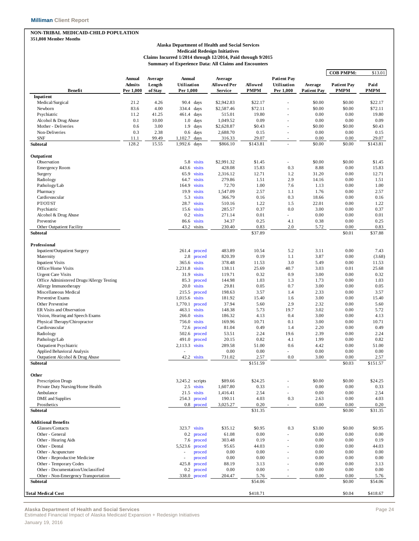#### **NON-TRIBAL MEDICAID-CHILD POPULATION 351,808 Member Months**

### **Alaska Department of Health and Social Services Medicaid Redesign Initiatives**

**Claims Incurred 1/2014 through 12/2014, Paid through 9/2015 Summary of Experience Data: All Claims and Encounters**

|                                                                            |                                      |                              |                                    |                                   |                        |                                                |                               | <b>COB PMPM:</b>                  | \$13.01             |
|----------------------------------------------------------------------------|--------------------------------------|------------------------------|------------------------------------|-----------------------------------|------------------------|------------------------------------------------|-------------------------------|-----------------------------------|---------------------|
| Benefit                                                                    | <b>Annual</b><br>Admits<br>Per 1,000 | Average<br>Length<br>of Stay | Annual<br>Utilization<br>Per 1,000 | Average<br>Allowed Per<br>Service | Allowed<br><b>PMPM</b> | <b>Patient Pay</b><br>Utilization<br>Per 1,000 | Average<br><b>Patient Pay</b> | <b>Patient Pay</b><br><b>PMPM</b> | Paid<br><b>PMPM</b> |
| Inpatient                                                                  |                                      |                              |                                    |                                   |                        |                                                |                               |                                   |                     |
| Medical/Surgical                                                           | 21.2                                 | 4.26                         | 90.4<br>days                       | \$2,942.83                        | \$22.17                |                                                | \$0.00                        | \$0.00                            | \$22.17             |
| Newborn                                                                    | 83.6                                 | 4.00                         | 334.4<br>days                      | \$2,587.46                        | \$72.11                |                                                | \$0.00                        | \$0.00                            | \$72.11             |
| Psychiatric                                                                | 11.2                                 | 41.25                        | 461.4<br>days                      | 515.01                            | 19.80                  |                                                | 0.00                          | 0.00                              | 19.80               |
| Alcohol & Drug Abuse<br>Mother - Deliveries                                | 0.1<br>0.6                           | 10.00<br>3.00                | 1.0<br>days<br>1.9                 | 1,049.52<br>\$2,628.87            | 0.09<br>\$0.43         |                                                | 0.00<br>\$0.00                | 0.00<br>\$0.00                    | 0.09<br>\$0.43      |
| Non-Deliveries                                                             | 0.3                                  | 2.38                         | days<br>$0.6\,$<br>days            | 2,688.70                          | 0.15                   |                                                | 0.00                          | 0.00                              | 0.15                |
| <b>SNF</b>                                                                 | 11.1                                 | 99.49                        | 1,102.7<br>days                    | 316.33                            | 29.07                  |                                                | 0.00                          | 0.00                              | 29.07               |
| Subtotal                                                                   | 128.2                                | 15.55                        | 1,992.6<br>days                    | \$866.10                          | \$143.81               |                                                | \$0.00                        | \$0.00                            | \$143.81            |
| Outpatient                                                                 |                                      |                              |                                    |                                   |                        |                                                |                               |                                   |                     |
| Observation                                                                |                                      |                              | visits<br>5.8                      | \$2,991.32                        | \$1.45                 |                                                | \$0.00                        | \$0.00                            | \$1.45              |
| <b>Emergency Room</b>                                                      |                                      |                              | 443.6<br>visits                    | 428.08                            | 15.83                  | 0.3                                            | 8.88                          | 0.00                              | 15.83               |
| Surgery                                                                    |                                      |                              | visits<br>65.9                     | 2,316.12                          | 12.71                  | 1.2                                            | 31.20                         | 0.00                              | 12.71               |
| Radiology                                                                  |                                      |                              | visits<br>64.7                     | 279.86                            | 1.51                   | 2.9                                            | 14.16                         | 0.00                              | 1.51                |
| Pathology/Lab                                                              |                                      |                              | visits<br>164.9                    | 72.70                             | 1.00                   | 7.6                                            | 1.13                          | 0.00                              | 1.00                |
| Pharmacy                                                                   |                                      |                              | visits<br>19.9                     | 1,547.09                          | 2.57                   | 1.1                                            | 1.76                          | 0.00                              | 2.57                |
| Cardiovascular                                                             |                                      |                              | 5.3<br>visits                      | 366.79                            | 0.16                   | 0.3                                            | 18.66                         | 0.00                              | 0.16                |
| PT/OT/ST                                                                   |                                      |                              | 28.7<br>visits                     | 510.16                            | 1.22                   | 1.5                                            | 22.01                         | 0.00                              | 1.22                |
| Psychiatric                                                                |                                      |                              | 15.6<br>visits                     | 285.57                            | 0.37                   | 0.0                                            | 3.00                          | 0.00                              | 0.37                |
| Alcohol & Drug Abuse                                                       |                                      |                              | visits<br>0.2                      | 271.14                            | 0.01                   |                                                | 0.00                          | 0.00                              | 0.01                |
| Preventive                                                                 |                                      |                              | visits<br>86.6                     | 34.37                             | 0.25                   | 4.1                                            | 0.38                          | 0.00                              | 0.25                |
| Other Outpatient Facility<br>Subtotal                                      |                                      |                              | 43.2<br>visits                     | 230.40                            | 0.83<br>\$37.89        | 2.0                                            | 5.72                          | 0.00<br>\$0.01                    | 0.83<br>\$37.88     |
| Professional                                                               |                                      |                              |                                    |                                   |                        |                                                |                               |                                   |                     |
| Inpatient/Outpatient Surgery                                               |                                      |                              | 261.4<br>proced                    | 483.89                            | 10.54                  | 5.2                                            | 3.11                          | 0.00                              | 7.43                |
| Maternity                                                                  |                                      |                              | 2.8<br>proced                      | 820.39                            | 0.19                   | 1.1                                            | 3.87                          | 0.00                              | (3.68)              |
| <b>Inpatient Visits</b>                                                    |                                      |                              | visits<br>365.6                    | 378.48                            | 11.53                  | 3.0                                            | 5.49                          | 0.00                              | 11.53               |
| Office/Home Visits                                                         |                                      |                              | 2,231.8<br>visits                  | 138.11                            | 25.69                  | 40.7                                           | 3.03                          | 0.01                              | 25.68               |
| <b>Urgent Care Visits</b>                                                  |                                      |                              | 31.9<br>visits                     | 119.71                            | 0.32                   | 0.9                                            | 3.00                          | 0.00                              | 0.32                |
| Office Administered Drugs/Allergy Testing                                  |                                      |                              | 85.3<br>proced                     | 144.98                            | 1.03                   | 1.3                                            | 1.73                          | 0.00                              | 1.03                |
| Allergy Immunotherapy                                                      |                                      |                              | 20.0<br>visits                     | 29.81                             | 0.05                   | 0.7                                            | 3.00                          | 0.00                              | 0.05                |
| Miscellaneous Medical                                                      |                                      |                              | 215.5<br>proced                    | 198.63                            | 3.57                   | 1.4                                            | 2.33                          | 0.00                              | 3.57                |
| Preventive Exams                                                           |                                      |                              | 1,015.6<br>visits                  | 181.92                            | 15.40                  | 1.6                                            | 3.00                          | 0.00                              | 15.40               |
| Other Preventive                                                           |                                      |                              | 1,770.1<br>proced                  | 37.94                             | 5.60                   | 2.9                                            | 2.32                          | 0.00                              | 5.60                |
| ER Visits and Observation                                                  |                                      |                              | 463.1<br>visits                    | 148.38                            | 5.73                   | 19.7                                           | 3.02                          | 0.00                              | 5.72                |
| Vision, Hearing and Speech Exams                                           |                                      |                              | 266.0<br>visits                    | 186.32                            | 4.13                   | 0.4                                            | 3.00                          | 0.00                              | 4.13                |
| Physical Therapy/Chiropractor                                              |                                      |                              | 756.0<br>visits                    | 169.96                            | 10.71                  | 0.1                                            | 3.00                          | 0.00                              | 10.71               |
| Cardiovascular                                                             |                                      |                              | 72.6<br>proced                     | 81.04                             | 0.49                   | 1.4                                            | 2.20                          | 0.00                              | 0.49                |
| Radiology                                                                  |                                      |                              | 502.6<br>proced                    | 53.51                             | 2.24                   | 19.6                                           | 2.39                          | 0.00                              | 2.24                |
| Pathology/Lab                                                              |                                      |                              | proced<br>491.0                    | 20.15                             | 0.82                   | 4.1                                            | 1.99                          | 0.00                              | 0.82                |
| <b>Outpatient Psychiatric</b>                                              |                                      |                              | visits<br>2,113.3                  | 289.58                            | 51.00                  | 0.6                                            | 4.42                          | 0.00                              | 51.00               |
| Applied Behavioral Analysis                                                |                                      |                              |                                    | 0.00                              | 0.00                   |                                                | 0.00                          | 0.00                              | 0.00                |
| Outpatient Alcohol & Drug Abuse<br>Subtotal                                |                                      |                              | 42.2<br>visits                     | 731.02                            | 2.57<br>\$151.59       | 0.0                                            | 3.00                          | 0.00<br>\$0.03                    | 2.57<br>\$151.57    |
|                                                                            |                                      |                              |                                    |                                   |                        |                                                |                               |                                   |                     |
| Other<br><b>Prescription Drugs</b>                                         |                                      |                              | 3,245.2 scripts                    | \$89.66                           | \$24.25                |                                                | \$0.00                        | \$0.00                            | \$24.25             |
| Private Duty Nursing/Home Health                                           |                                      |                              | 2.5 visits                         | 1,607.80                          | 0.33                   |                                                | 0.00                          | 0.00                              | 0.33                |
| Ambulance                                                                  |                                      |                              | 21.5 visits                        | 1,416.41                          | 2.54                   | $\overline{\phantom{a}}$                       | 0.00                          | 0.00                              | 2.54                |
| DME and Supplies                                                           |                                      |                              | 254.3<br>proced                    | 190.11                            | 4.03                   | 0.3                                            | 2.63                          | 0.00                              | 4.03                |
| Prosthetics                                                                |                                      |                              | 0.8 proced                         | 3,025.27                          | 0.20                   |                                                | 0.00                          | 0.00                              | 0.20                |
| <b>Subtotal</b>                                                            |                                      |                              |                                    |                                   | \$31.35                |                                                |                               | \$0.00                            | \$31.35             |
| <b>Additional Benefits</b>                                                 |                                      |                              |                                    |                                   |                        |                                                |                               |                                   |                     |
| Glasses/Contacts                                                           |                                      |                              | 323.7 visits                       | \$35.12                           | \$0.95                 | 0.3                                            | \$3.00                        | \$0.00                            | \$0.95              |
| Other - General                                                            |                                      |                              | $0.2\,$<br>proced                  | 61.08                             | 0.00                   |                                                | 0.00                          | 0.00                              | 0.00                |
| Other - Hearing Aids                                                       |                                      |                              | proced<br>7.6                      | 303.48                            | 0.19                   |                                                | 0.00                          | 0.00                              | 0.19                |
| Other - Dental                                                             |                                      |                              | 5,523.6<br>proced                  | 95.65                             | 44.03                  |                                                | 0.00                          | 0.00                              | 44.03               |
| Other - Acupuncture                                                        |                                      |                              | proced                             | 0.00                              | 0.00                   |                                                | 0.00                          | 0.00                              | 0.00                |
| Other - Reproductive Medicine                                              |                                      |                              | proced<br>÷,                       | 0.00                              | 0.00                   |                                                | 0.00                          | 0.00                              | 0.00                |
| Other - Temporary Codes                                                    |                                      |                              | 425.8<br>proced                    | 88.19                             | 3.13                   |                                                | 0.00                          | 0.00                              | 3.13                |
| Other - Documentation/Unclassified<br>Other - Non-Emergency Transportation |                                      |                              | proced<br>0.2                      | 0.00<br>204.47                    | 0.00<br>5.76           |                                                | 0.00<br>0.00                  | 0.00<br>0.00                      | 0.00                |
| Subtotal                                                                   |                                      |                              | 338.0 proced                       |                                   | \$54.06                |                                                |                               | \$0.00                            | 5.76<br>\$54.06     |
|                                                                            |                                      |                              |                                    |                                   |                        |                                                |                               | \$0.04                            | \$418.67            |
| Total Medical Cost                                                         |                                      |                              |                                    |                                   | \$418.71               |                                                |                               |                                   |                     |

**Alaska Department of Health and Social Services** Page 24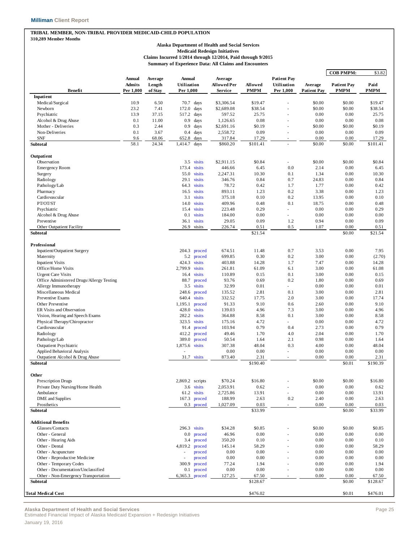### **TRIBAL MEMBER, NON-TRIBAL PROVIDER MEDICAID-CHILD POPULATION**

#### **310,289 Member Months**

#### **Alaska Department of Health and Social Services Medicaid Redesign Initiatives Claims Incurred 1/2014 through 12/2014, Paid through 9/2015 Summary of Experience Data: All Claims and Encounters**

|                                           |                         |                   |                       |                  |                               |               |                                   |                    | <b>COB PMPM:</b>   | \$3.82        |
|-------------------------------------------|-------------------------|-------------------|-----------------------|------------------|-------------------------------|---------------|-----------------------------------|--------------------|--------------------|---------------|
|                                           | Annual<br><b>Admits</b> | Average<br>Length | Annual<br>Utilization |                  | Average<br><b>Allowed Per</b> | Allowed       | <b>Patient Pay</b><br>Utilization | Average            | <b>Patient Pay</b> | Paid          |
| <b>Benefit</b>                            | Per 1,000               | of Stay           | Per 1,000             |                  | Service                       | <b>PMPM</b>   | Per 1,000                         | <b>Patient Pay</b> | <b>PMPM</b>        | <b>PMPM</b>   |
| Inpatient                                 |                         |                   |                       |                  |                               |               |                                   |                    |                    |               |
| Medical/Surgical                          | 10.9                    | 6.50              | 70.7                  | days             | \$3,306.54                    | \$19.47       |                                   | \$0.00             | \$0.00             | \$19.47       |
| Newborn                                   | 23.2                    | 7.41              | 172.0                 | days             | \$2,689.08                    | \$38.54       |                                   | \$0.00             | \$0.00             | \$38.54       |
| Psychiatric                               | 13.9                    | 37.15             | 517.2                 | days             | 597.52                        | 25.75         |                                   | 0.00               | 0.00               | 25.75         |
| Alcohol & Drug Abuse                      | 0.1                     | 11.00             | 0.9                   | days             | 1,126.65                      | 0.08          | ä,                                | 0.00               | 0.00               | 0.08          |
| Mother - Deliveries                       | 0.3                     | 2.44              | 0.9                   | days             | \$2,691.16                    | \$0.19        |                                   | \$0.00             | \$0.00             | \$0.19        |
| Non-Deliveries<br><b>SNF</b>              | 0.1<br>9.6              | 3.67<br>68.06     | 0.4<br>652.8          | days<br>days     | 2,558.72<br>317.84            | 0.09<br>17.29 | ä,                                | 0.00<br>0.00       | 0.00<br>0.00       | 0.09<br>17.29 |
| Subtotal                                  | 58.1                    | 24.34             | 1,414.7               | days             | \$860.20                      | \$101.41      | L.                                | \$0.00             | \$0.00             | \$101.41      |
| Outpatient                                |                         |                   |                       |                  |                               |               |                                   |                    |                    |               |
| Observation                               |                         |                   |                       | 3.5 visits       | \$2,911.15                    | \$0.84        | $\overline{\phantom{a}}$          | \$0.00             | \$0.00             | \$0.84        |
| <b>Emergency Room</b>                     |                         |                   | 173.4                 | visits           | 446.66                        | 6.45          | 0.0                               | 2.14               | 0.00               | 6.45          |
| Surgery                                   |                         |                   | 55.0                  | visits           | 2,247.31                      | 10.30         | 0.1                               | 1.34               | 0.00               | 10.30         |
| Radiology                                 |                         |                   | 29.1                  | visits           | 346.76                        | 0.84          | 0.7                               | 24.83              | 0.00               | 0.84          |
| Pathology/Lab                             |                         |                   | 64.3                  | visits           | 78.72                         | 0.42          | 1.7                               | 1.77               | 0.00               | 0.42          |
| Pharmacy                                  |                         |                   | 16.5                  | visits           | 893.11                        | 1.23          | 0.2                               | 3.38               | 0.00               | 1.23          |
| Cardiovascular                            |                         |                   | 3.1                   | visits           | 375.18                        | 0.10          | 0.2                               | 13.95              | 0.00               | 0.10          |
| PT/OT/ST                                  |                         |                   | 14.0                  | visits           | 409.96                        | 0.48          | 0.1                               | 18.75              | 0.00               | 0.48          |
| Psychiatric                               |                         |                   | 15.4                  | visits           | 223.48                        | 0.29          |                                   | 0.00               | 0.00               | 0.29          |
| Alcohol & Drug Abuse                      |                         |                   | 0.1                   | visits           | 184.00                        | 0.00          | a.                                | 0.00               | 0.00               | 0.00          |
| Preventive                                |                         |                   | 36.1                  | visits           | 29.05                         | 0.09          | 1.2                               | 0.94               | 0.00               | 0.09          |
| Other Outpatient Facility                 |                         |                   | 26.9                  | visits           | 226.74                        | 0.51          | 0.5                               | 1.07               | 0.00               | 0.51          |
| Subtotal                                  |                         |                   |                       |                  |                               | \$21.54       |                                   |                    | \$0.00             | \$21.54       |
| Professional                              |                         |                   |                       |                  |                               |               |                                   |                    |                    |               |
| Inpatient/Outpatient Surgery              |                         |                   | 204.3                 | proced           | 674.51                        | 11.48         | 0.7                               | 3.53               | 0.00               | 7.95          |
| Maternity                                 |                         |                   |                       | 5.2 proced       | 699.85                        | 0.30          | 0.2                               | 3.00               | 0.00               | (2.70)        |
| <b>Inpatient Visits</b>                   |                         |                   | 424.3                 | visits           | 403.88                        | 14.28         | 1.7                               | 7.47               | 0.00               | 14.28         |
| Office/Home Visits                        |                         |                   | 2,799.9               | visits           | 261.81                        | 61.09         | 6.1                               | 3.00               | 0.00               | 61.08         |
| <b>Urgent Care Visits</b>                 |                         |                   | 16.4                  | visits           | 110.89                        | 0.15          | 0.1                               | 3.00               | 0.00               | 0.15          |
| Office Administered Drugs/Allergy Testing |                         |                   | 88.7                  | proced           | 93.76                         | 0.69          | 0.2                               | 1.80               | 0.00               | 0.69          |
| Allergy Immunotherapy                     |                         |                   | 3.5                   | visits           | 32.99                         | 0.01          | ä,                                | 0.00               | 0.00               | 0.01          |
| Miscellaneous Medical                     |                         |                   | 248.6                 | proced           | 135.52                        | 2.81          | 0.1                               | 3.00               | 0.00               | 2.81          |
| Preventive Exams                          |                         |                   | 640.4                 | visits           | 332.52                        | 17.75         | 2.0                               | 3.00               | 0.00               | 17.74         |
| Other Preventive                          |                         |                   | 1,195.1               | proced           | 91.33                         | 9.10          | 0.6                               | 2.60               | 0.00               | 9.10          |
| ER Visits and Observation                 |                         |                   | 428.0                 | visits           | 139.03                        | 4.96          | 7.3                               | 3.00               | 0.00               | 4.96          |
| Vision, Hearing and Speech Exams          |                         |                   | 282.2                 | visits           | 364.88                        | 8.58          | 0.1                               | 3.00               | 0.00               | 8.58          |
| Physical Therapy/Chiropractor             |                         |                   |                       | 323.5 visits     | 175.16                        | 4.72          | $\overline{\phantom{a}}$          | 0.00               | 0.00               | 4.72          |
| Cardiovascular                            |                         |                   | 91.4                  | proced           | 103.94                        | 0.79          | 0.4                               | 2.73               | 0.00               | 0.79          |
| Radiology                                 |                         |                   | 412.2                 | proced           | 49.46                         | 1.70          | 4.0                               | 2.04               | 0.00               | 1.70          |
| Pathology/Lab                             |                         |                   | 389.0                 | proced           | 50.54                         | 1.64          | 2.1                               | 0.98               | 0.00               | 1.64          |
| <b>Outpatient Psychiatric</b>             |                         |                   | 1,875.6 visits        |                  | 307.38                        | 48.04         | 0.3                               | 4.00               | 0.00               | 48.04         |
| Applied Behavioral Analysis               |                         |                   |                       |                  | 0.00                          | 0.00          | ä,                                | 0.00               | 0.00               | 0.00          |
| Outpatient Alcohol & Drug Abuse           |                         |                   |                       | 31.7 visits      | 873.40                        | 2.31          | ٠                                 | 0.00               | 0.00               | 2.31          |
| Subtotal                                  |                         |                   |                       |                  |                               | \$190.40      |                                   |                    | \$0.01             | \$190.39      |
| Other                                     |                         |                   |                       |                  |                               |               |                                   |                    |                    |               |
| <b>Prescription Drugs</b>                 |                         |                   |                       | 2,869.2 scripts  | \$70.24                       | \$16.80       |                                   | \$0.00             | \$0.00             | \$16.80       |
| Private Duty Nursing/Home Health          |                         |                   |                       | 3.6 visits       | 2,053.91                      | 0.62          | ä,                                | 0.00               | 0.00               | 0.62          |
| Ambulance                                 |                         |                   |                       | 61.2 visits      | 2,725.86                      | 13.91         | ä,                                | 0.00               | 0.00               | 13.91         |
| <b>DME</b> and Supplies                   |                         |                   |                       | 167.3 proced     | 188.99                        | 2.63          | 0.2                               | 2.40               | 0.00               | 2.63          |
| Prosthetics                               |                         |                   |                       | 0.3 proced       | 1,027.09                      | 0.03          | ä,                                | 0.00               | 0.00               | 0.03          |
| Subtotal                                  |                         |                   |                       |                  |                               | \$33.99       |                                   |                    | \$0.00             | \$33.99       |
| <b>Additional Benefits</b>                |                         |                   |                       |                  |                               |               |                                   |                    |                    |               |
| Glasses/Contacts                          |                         |                   |                       | $296.3$ visits   | \$34.28                       | \$0.85        |                                   | \$0.00             | \$0.00             | \$0.85        |
| Other - General                           |                         |                   | $0.0\,$               | proced           | 46.96                         | 0.00          |                                   | 0.00               | 0.00               | 0.00          |
| Other - Hearing Aids                      |                         |                   | 3.4                   | proced           | 350.20                        | 0.10          |                                   | 0.00               | 0.00               | 0.10          |
| Other - Dental                            |                         |                   | 4,819.2               | proced           | 145.14                        | 58.29         |                                   | 0.00               | 0.00               | 58.29         |
| Other - Acupuncture                       |                         |                   |                       |                  | 0.00                          | 0.00          |                                   | 0.00               | 0.00               | 0.00          |
| Other - Reproductive Medicine             |                         |                   |                       | proced<br>proced | 0.00                          | 0.00          |                                   | 0.00               | 0.00               | 0.00          |
| Other - Temporary Codes                   |                         |                   | 300.9                 | proced           | 77.24                         | 1.94          |                                   | 0.00               | 0.00               | 1.94          |
| Other - Documentation/Unclassified        |                         |                   |                       | 0.1 proced       | 0.00                          | 0.00          |                                   | 0.00               | 0.00               | 0.00          |
| Other - Non-Emergency Transportation      |                         |                   |                       | 6,365.3 proced   | 127.25                        | 67.50         | ٠                                 | 0.00               | 0.00               | 67.50         |
| Subtotal                                  |                         |                   |                       |                  |                               | \$128.67      |                                   |                    | \$0.00             | \$128.67      |
|                                           |                         |                   |                       |                  |                               |               |                                   |                    |                    |               |
| <b>Total Medical Cost</b>                 |                         |                   |                       |                  |                               | \$476.02      |                                   |                    | \$0.01             | \$476.01      |

**Alaska Department of Health and Social Services** Page 25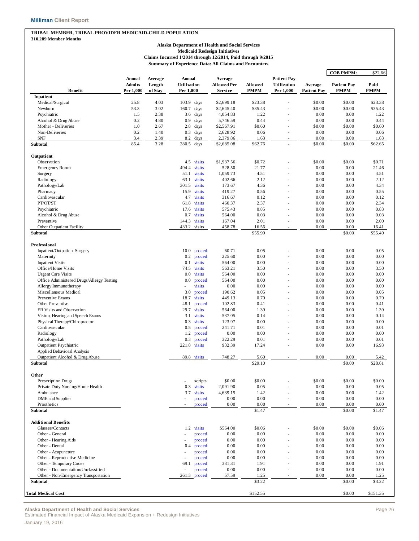#### **TRIBAL MEMBER, TRIBAL PROVIDER MEDICAID-CHILD POPULATION 310,289 Member Months**

### **Alaska Department of Health and Social Services**

**Medicaid Redesign Initiatives**

**Claims Incurred 1/2014 through 12/2014, Paid through 9/2015 Summary of Experience Data: All Claims and Encounters**

|                                                    |                         |                   |                              |                   |                        |                    |                                   |                    | <b>COB PMPM:</b>   | \$22.66         |
|----------------------------------------------------|-------------------------|-------------------|------------------------------|-------------------|------------------------|--------------------|-----------------------------------|--------------------|--------------------|-----------------|
|                                                    | Annual<br><b>Admits</b> | Average<br>Length | <b>Annual</b><br>Utilization |                   | Average<br>Allowed Per | Allowed            | <b>Patient Pay</b><br>Utilization | Average            | <b>Patient Pay</b> | Paid            |
| <b>Benefit</b>                                     | Per 1,000               | of Stay           | Per 1,000                    |                   | Service                | <b>PMPM</b>        | Per 1,000                         | <b>Patient Pay</b> | <b>PMPM</b>        | PMPM            |
| Inpatient                                          |                         |                   |                              |                   |                        |                    |                                   |                    |                    |                 |
| Medical/Surgical                                   | 25.8                    | 4.03<br>3.02      | 103.9                        | days              | \$2,699.18             | \$23.38<br>\$35.43 |                                   | \$0.00             | \$0.00             | \$23.38         |
| Newborn                                            | 53.3                    | 2.38              | 160.7                        | days              | \$2,645.40             | 1.22               | ×                                 | \$0.00<br>0.00     | \$0.00<br>0.00     | \$35.43<br>1.22 |
| Psychiatric<br>Alcohol & Drug Abuse                | 1.5<br>0.2              | 4.80              | 3.6<br>0.9                   | days              | 4,054.83<br>5,746.59   | 0.44               |                                   | 0.00               | 0.00               | 0.44            |
| Mother - Deliveries                                | 1.0                     | 2.67              | 2.8                          | days<br>days      | \$2,567.91             | \$0.60             |                                   | \$0.00             | \$0.00             | \$0.60          |
| Non-Deliveries                                     | 0.2                     | 1.40              | 0.3                          | days              | 2,628.92               | 0.06               |                                   | 0.00               | 0.00               | 0.06            |
| <b>SNF</b>                                         | 3.4                     | 2.39              | 8.2                          | days              | 2,379.86               | 1.63               |                                   | 0.00               | 0.00               | 1.63            |
| Subtotal                                           | 85.4                    | 3.28              | 280.5                        | days              | \$2,685.08             | \$62.76            |                                   | \$0.00             | \$0.00             | \$62.65         |
| Outpatient                                         |                         |                   |                              |                   |                        |                    |                                   |                    |                    |                 |
| Observation                                        |                         |                   | 4.5 visits                   |                   | \$1,937.56             | \$0.72             |                                   | \$0.00             | \$0.00             | \$0.71          |
| <b>Emergency Room</b>                              |                         |                   | 494.4                        | visits            | 528.50                 | 21.77              |                                   | 0.00               | 0.00               | 21.46           |
| Surgery                                            |                         |                   | 51.1                         | visits            | 1,059.73               | 4.51               |                                   | 0.00               | 0.00               | 4.51            |
| Radiology                                          |                         |                   | 63.1 visits                  |                   | 402.66                 | 2.12               |                                   | 0.00               | 0.00               | 2.12            |
| Pathology/Lab                                      |                         |                   | 301.5                        | visits            | 173.67                 | 4.36               |                                   | 0.00               | 0.00               | 4.34            |
| Pharmacy                                           |                         |                   | 15.9                         | visits            | 419.27                 | 0.56               |                                   | 0.00               | 0.00               | 0.55            |
| Cardiovascular                                     |                         |                   | 4.7                          | visits            | 316.67                 | 0.12               |                                   | 0.00               | 0.00               | 0.12            |
| PT/OT/ST                                           |                         |                   | 61.8                         | visits            | 460.37                 | 2.37               |                                   | 0.00               | 0.00               | 2.34            |
| Psychiatric                                        |                         |                   | 17.6                         | visits            | 575.43                 | 0.85               |                                   | 0.00               | 0.00               | 0.83            |
| Alcohol & Drug Abuse                               |                         |                   | 0.7                          | visits            | 564.00                 | 0.03               |                                   | 0.00               | 0.00               | 0.03            |
| Preventive                                         |                         |                   | 144.3                        | visits            | 167.04                 | 2.01               |                                   | 0.00               | 0.00               | 2.00            |
| Other Outpatient Facility                          |                         |                   | 433.2                        | visits            | 458.78                 | 16.56              | ٠                                 | 0.00               | 0.00               | 16.41           |
| Subtotal                                           |                         |                   |                              |                   |                        | \$55.99            |                                   |                    | \$0.00             | \$55.40         |
|                                                    |                         |                   |                              |                   |                        |                    |                                   |                    |                    |                 |
| Professional                                       |                         |                   |                              |                   | 60.71                  | 0.05               |                                   | 0.00               | 0.00               | 0.05            |
| Inpatient/Outpatient Surgery                       |                         |                   | 10.0                         | proced            |                        |                    |                                   |                    |                    |                 |
| Maternity                                          |                         |                   | 0.2                          | proced            | 225.60                 | 0.00               |                                   | 0.00               | 0.00               | 0.00            |
| <b>Inpatient Visits</b>                            |                         |                   | 0.1                          | visits            | 564.00                 | 0.00               |                                   | 0.00               | 0.00               | 0.00            |
| Office/Home Visits                                 |                         |                   | 74.5                         | visits            | 563.21                 | 3.50               |                                   | 0.00               | 0.00               | 3.50            |
| <b>Urgent Care Visits</b>                          |                         |                   | 0.0                          | visits            | 564.00                 | 0.00<br>0.00       |                                   | 0.00               | 0.00<br>0.00       | 0.00            |
| Office Administered Drugs/Allergy Testing          |                         |                   | $0.0\,$<br>Ĭ.                | proced            | 564.00                 |                    |                                   | 0.00               |                    | 0.00            |
| Allergy Immunotherapy                              |                         |                   |                              | visits            | 0.00                   | 0.00               |                                   | 0.00               | 0.00               | 0.00            |
| Miscellaneous Medical                              |                         |                   | 3.0                          | proced            | 190.62                 | 0.05               |                                   | 0.00               | 0.00               | 0.05            |
| Preventive Exams                                   |                         |                   | 18.7                         | visits            | 449.13                 | 0.70               |                                   | 0.00               | 0.00               | 0.70            |
| Other Preventive                                   |                         |                   | 48.1                         | proced            | 102.83                 | 0.41               |                                   | 0.00               | 0.00               | 0.41            |
| ER Visits and Observation                          |                         |                   | 29.7                         | visits            | 564.00                 | 1.39               |                                   | 0.00               | 0.00               | 1.39            |
| Vision, Hearing and Speech Exams                   |                         |                   | 3.1                          | visits            | 537.05                 | 0.14               |                                   | 0.00               | 0.00               | 0.14            |
| Physical Therapy/Chiropractor                      |                         |                   | 0.3                          | visits            | 123.97                 | 0.00               |                                   | 0.00               | 0.00               | 0.00            |
| Cardiovascular                                     |                         |                   | 0.5                          | proced            | 241.71                 | 0.01               |                                   | 0.00               | 0.00               | 0.01            |
| Radiology                                          |                         |                   | 1.2                          | proced            | 0.00                   | 0.00               |                                   | 0.00               | 0.00               | 0.00            |
| Pathology/Lab                                      |                         |                   | 0.3                          | proced            | 322.29                 | 0.01               |                                   | 0.00               | 0.00               | 0.01            |
| <b>Outpatient Psychiatric</b>                      |                         |                   | 221.8 visits                 |                   | 932.39                 | 17.24              |                                   | 0.00               | 0.00               | 16.93           |
| Applied Behavioral Analysis                        |                         |                   |                              |                   |                        |                    |                                   |                    |                    |                 |
| Outpatient Alcohol & Drug Abuse<br><b>Subtotal</b> |                         |                   | 89.8 visits                  |                   | 748.27                 | 5.60<br>\$29.10    |                                   | 0.00               | 0.00<br>\$0.00     | 5.42<br>\$28.61 |
|                                                    |                         |                   |                              |                   |                        |                    |                                   |                    |                    |                 |
| Other<br>Prescription Drugs                        |                         |                   | ä,                           |                   | \$0.00                 | \$0.00             |                                   | \$0.00             | \$0.00             | \$0.00          |
|                                                    |                         |                   | 0.3                          | scripts<br>visits | 2,091.90               | 0.05               |                                   | 0.00               | 0.00               | 0.05            |
| Private Duty Nursing/Home Health<br>Ambulance      |                         |                   | 3.7                          |                   | 4,639.15               |                    |                                   |                    |                    |                 |
|                                                    |                         |                   |                              | visits            | 0.00                   | 1.42<br>0.00       |                                   | 0.00<br>0.00       | 0.00<br>0.00       | 1.42<br>0.00    |
| DME and Supplies<br>Prosthetics                    |                         |                   |                              | proced            | 0.00                   | 0.00               |                                   | 0.00               | 0.00               | $0.00\,$        |
| <b>Subtotal</b>                                    |                         |                   |                              | proced            |                        | \$1.47             |                                   |                    | \$0.00             | \$1.47          |
|                                                    |                         |                   |                              |                   |                        |                    |                                   |                    |                    |                 |
| <b>Additional Benefits</b>                         |                         |                   |                              |                   |                        |                    |                                   |                    |                    |                 |
| Glasses/Contacts                                   |                         |                   | 1.2 visits                   |                   | \$564.00               | \$0.06             |                                   | \$0.00             | \$0.00             | \$0.06          |
| Other - General                                    |                         |                   |                              | proced            | 0.00                   | 0.00               |                                   | 0.00               | 0.00               | 0.00            |
| Other - Hearing Aids                               |                         |                   |                              | proced            | 0.00                   | 0.00               |                                   | 0.00               | 0.00               | 0.00            |
| Other - Dental                                     |                         |                   | 0.4                          | proced            | 0.00                   | 0.00               |                                   | 0.00               | 0.00               | 0.00            |
| Other - Acupuncture                                |                         |                   |                              | proced            | 0.00                   | 0.00               |                                   | 0.00               | 0.00               | 0.00            |
| Other - Reproductive Medicine                      |                         |                   | ÷,                           | proced            | 0.00                   | 0.00               |                                   | 0.00               | 0.00               | 0.00            |
| Other - Temporary Codes                            |                         |                   | 69.1                         | proced            | 331.31                 | 1.91               |                                   | 0.00               | 0.00               | 1.91            |
| Other - Documentation/Unclassified                 |                         |                   |                              | proced            | 0.00                   | 0.00               |                                   | 0.00               | 0.00               | 0.00            |
| Other - Non-Emergency Transportation<br>Subtotal   |                         |                   | 261.3 proced                 |                   | 57.59                  | 1.25<br>\$3.22     |                                   | 0.00               | 0.00<br>\$0.00     | 1.25<br>\$3.22  |
|                                                    |                         |                   |                              |                   |                        |                    |                                   |                    |                    |                 |
| <b>Total Medical Cost</b>                          |                         |                   |                              |                   |                        | \$152.55           |                                   |                    | \$0.00             | \$151.35        |

**Alaska Department of Health and Social Services** Page 26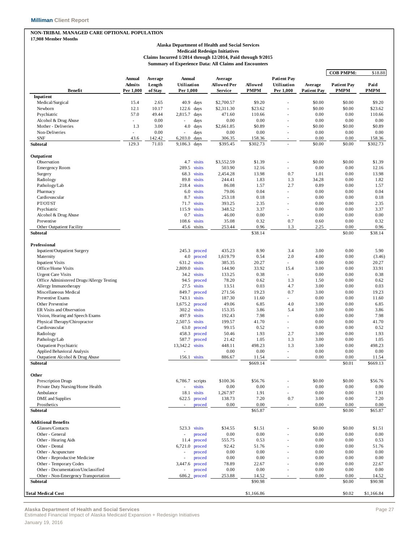#### **NON-TRIBAL MANAGED CARE OPTIONAL POPULATION**

**17,908 Member Months**

#### **Alaska Department of Health and Social Services Medicaid Redesign Initiatives Claims Incurred 1/2014 through 12/2014, Paid through 9/2015 Summary of Experience Data: All Claims and Encounters**

|                                                                            |                                      |                              |                                           |                  |                                          |                        |                                                |                               | <b>COB PMPM:</b>                  | \$18.88             |
|----------------------------------------------------------------------------|--------------------------------------|------------------------------|-------------------------------------------|------------------|------------------------------------------|------------------------|------------------------------------------------|-------------------------------|-----------------------------------|---------------------|
| Benefit                                                                    | Annual<br><b>Admits</b><br>Per 1,000 | Average<br>Length<br>of Stay | <b>Annual</b><br>Utilization<br>Per 1,000 |                  | Average<br><b>Allowed Per</b><br>Service | Allowed<br><b>PMPM</b> | <b>Patient Pay</b><br>Utilization<br>Per 1,000 | Average<br><b>Patient Pay</b> | <b>Patient Pay</b><br><b>PMPM</b> | Paid<br><b>PMPM</b> |
| Inpatient                                                                  |                                      |                              |                                           |                  |                                          |                        |                                                |                               |                                   |                     |
| Medical/Surgical                                                           | 15.4                                 | 2.65                         | 40.9                                      | days             | \$2,700.57                               | \$9.20                 |                                                | \$0.00                        | \$0.00                            | \$9.20              |
| Newborn                                                                    | 12.1                                 | 10.17                        | 122.6                                     | days             | \$2,311.30                               | \$23.62                |                                                | \$0.00                        | \$0.00                            | \$23.62             |
| Psychiatric                                                                | 57.0                                 | 49.44                        | 2,815.7                                   | days             | 471.60                                   | 110.66                 |                                                | 0.00                          | 0.00                              | 110.66              |
| Alcohol & Drug Abuse                                                       | ٠                                    | 0.00                         | ÷,                                        | days             | 0.00                                     | 0.00                   |                                                | 0.00                          | 0.00                              | 0.00                |
| Mother - Deliveries                                                        | 1.3                                  | 3.00                         | 4.0                                       | days             | \$2,661.85                               | \$0.89                 | ä,                                             | \$0.00                        | \$0.00                            | \$0.89              |
| Non-Deliveries                                                             |                                      | 0.00                         |                                           | days             | 0.00                                     | 0.00                   |                                                | 0.00                          | 0.00                              | 0.00                |
| <b>SNF</b><br><b>Subtotal</b>                                              | 43.6<br>129.3                        | 142.42<br>71.03              | 6,203.0<br>9,186.3                        | days<br>days     | 306.35<br>\$395.45                       | 158.36<br>\$302.73     | $\sim$                                         | 0.00<br>\$0.00                | 0.00<br>\$0.00                    | 158.36<br>\$302.73  |
| Outpatient                                                                 |                                      |                              |                                           |                  |                                          |                        |                                                |                               |                                   |                     |
| Observation                                                                |                                      |                              |                                           | 4.7 visits       | \$3,552.59                               | \$1.39                 |                                                | \$0.00                        | \$0.00                            | \$1.39              |
| <b>Emergency Room</b>                                                      |                                      |                              | 289.5                                     | visits           | 503.90                                   | 12.16                  | ä,                                             | 0.00                          | 0.00                              | 12.16               |
| Surgery                                                                    |                                      |                              | 68.3                                      | visits           | 2,454.28                                 | 13.98                  | 0.7                                            | 1.01                          | 0.00                              | 13.98               |
| Radiology                                                                  |                                      |                              | 89.8                                      | visits           | 244.41                                   | 1.83                   | 1.3                                            | 34.28                         | 0.00                              | 1.82                |
| Pathology/Lab                                                              |                                      |                              | 218.4                                     | visits           | 86.08                                    | 1.57                   | 2.7                                            | 0.89                          | 0.00                              | 1.57                |
| Pharmacy                                                                   |                                      |                              | 6.0                                       | visits           | 79.06                                    | 0.04                   | ä,                                             | 0.00                          | 0.00                              | 0.04                |
| Cardiovascular                                                             |                                      |                              | 8.7                                       | visits           | 253.18                                   | 0.18                   |                                                | 0.00                          | 0.00                              | 0.18                |
| PT/OT/ST                                                                   |                                      |                              | 71.7                                      | visits           | 393.25                                   | 2.35                   | ä,                                             | 0.00                          | 0.00                              | 2.35                |
| Psychiatric                                                                |                                      |                              | 115.9                                     | visits           | 348.52                                   | 3.37                   | ÷.                                             | 0.00                          | 0.00                              | 3.37                |
| Alcohol & Drug Abuse                                                       |                                      |                              | 0.7                                       | visits           | 46.00                                    | 0.00                   | ä,                                             | 0.00                          | 0.00                              | 0.00                |
| Preventive                                                                 |                                      |                              | 108.6                                     | visits           | 35.08                                    | 0.32                   | 0.7                                            | 0.60                          | 0.00                              | 0.32                |
| Other Outpatient Facility                                                  |                                      |                              |                                           | 45.6 visits      | 253.44                                   | 0.96                   | 1.3                                            | 2.25                          | 0.00                              | 0.96                |
| Subtotal                                                                   |                                      |                              |                                           |                  |                                          | \$38.14                |                                                |                               | \$0.00                            | \$38.14             |
| Professional                                                               |                                      |                              |                                           |                  |                                          |                        |                                                |                               |                                   |                     |
| Inpatient/Outpatient Surgery                                               |                                      |                              |                                           | $245.3$ proced   | 435.23                                   | 8.90                   | 3.4                                            | 3.00                          | 0.00                              | 5.90                |
| Maternity                                                                  |                                      |                              | 4.0                                       | proced           | 1,619.79                                 | 0.54                   | 2.0                                            | 4.00                          | 0.00                              | (3.46)              |
| <b>Inpatient Visits</b>                                                    |                                      |                              | 631.2                                     | visits           | 385.35                                   | 20.27                  | ÷.                                             | 0.00                          | 0.00                              | 20.27               |
| Office/Home Visits                                                         |                                      |                              | 2,809.0                                   | visits           | 144.90                                   | 33.92                  | 15.4                                           | 3.00                          | 0.00                              | 33.91               |
| <b>Urgent Care Visits</b>                                                  |                                      |                              | 34.2                                      | visits           | 133.25                                   | 0.38                   | ÷.                                             | 0.00                          | 0.00                              | 0.38                |
| Office Administered Drugs/Allergy Testing                                  |                                      |                              | 94.5                                      | proced           | 78.20                                    | 0.62                   | 1.3                                            | 1.50                          | 0.00                              | 0.62                |
| Allergy Immunotherapy                                                      |                                      |                              | 27.5                                      | visits           | 13.51                                    | 0.03                   | 4.7                                            | 3.00                          | 0.00                              | 0.03                |
| Miscellaneous Medical                                                      |                                      |                              | 849.7                                     | proced           | 271.56                                   | 19.23                  | 0.7                                            | 3.00                          | 0.00                              | 19.23               |
| Preventive Exams                                                           |                                      |                              |                                           | 743.1 visits     | 187.30                                   | 11.60                  | ÷.                                             | 0.00                          | 0.00                              | 11.60               |
| Other Preventive                                                           |                                      |                              | 1,675.2                                   | proced           | 49.06                                    | 6.85                   | 4.0                                            | 3.00                          | 0.00                              | 6.85                |
| ER Visits and Observation                                                  |                                      |                              | 302.2                                     | visits           | 153.35                                   | 3.86                   | 5.4                                            | 3.00                          | 0.00                              | 3.86                |
| Vision, Hearing and Speech Exams                                           |                                      |                              | 497.9                                     | visits           | 192.43                                   | 7.98                   | ÷.                                             | 0.00                          | 0.00                              | 7.98                |
| Physical Therapy/Chiropractor                                              |                                      |                              | 2,507.5 visits                            |                  | 199.57                                   | 41.70                  | ä,                                             | 0.00                          | 0.00                              | 41.70               |
| Cardiovascular                                                             |                                      |                              | 63.0                                      | proced           | 99.15                                    | 0.52                   | ä,                                             | 0.00                          | 0.00                              | 0.52                |
| Radiology                                                                  |                                      |                              | 458.3                                     | proced           | 50.46                                    | 1.93                   | 2.7                                            | 3.00                          | 0.00                              | 1.93                |
| Pathology/Lab                                                              |                                      |                              | 587.7                                     | proced           | 21.42                                    | 1.05                   | 1.3                                            | 3.00                          | 0.00                              | 1.05                |
| <b>Outpatient Psychiatric</b>                                              |                                      |                              | 13,342.2 visits                           |                  | 448.11                                   | 498.23                 | 1.3                                            | 3.00                          | 0.00                              | 498.23              |
| Applied Behavioral Analysis                                                |                                      |                              |                                           |                  | 0.00                                     | 0.00                   | ä,                                             | 0.00                          | 0.00                              | 0.00                |
| Outpatient Alcohol & Drug Abuse                                            |                                      |                              | 156.1                                     | visits           | 886.67                                   | 11.54                  | ä,                                             | 0.00                          | 0.00                              | 11.54               |
| <b>Subtotal</b>                                                            |                                      |                              |                                           |                  |                                          | \$669.14               |                                                |                               | \$0.01                            | \$669.13            |
| Other                                                                      |                                      |                              |                                           |                  |                                          |                        |                                                |                               |                                   |                     |
| <b>Prescription Drugs</b>                                                  |                                      |                              | 6,786.7 scripts                           |                  | \$100.36                                 | \$56.76                |                                                | \$0.00                        | \$0.00                            | \$56.76             |
| Private Duty Nursing/Home Health                                           |                                      |                              | ×,                                        | visits           | 0.00                                     | 0.00                   |                                                | 0.00                          | 0.00                              | 0.00                |
| Ambulance                                                                  |                                      |                              | 18.1                                      | visits           | 1,267.97                                 | 1.91                   | $\overline{\phantom{m}}$                       | 0.00                          | 0.00                              | 1.91                |
| DME and Supplies                                                           |                                      |                              | 622.5                                     | proced           | 138.73                                   | 7.20                   | 0.7                                            | 3.00                          | 0.00                              | 7.20                |
| Prosthetics<br>Subtotal                                                    |                                      |                              |                                           | proced           | 0.00                                     | 0.00<br>\$65.87        | ۰                                              | 0.00                          | 0.00<br>\$0.00                    | 0.00<br>\$65.87     |
|                                                                            |                                      |                              |                                           |                  |                                          |                        |                                                |                               |                                   |                     |
| <b>Additional Benefits</b>                                                 |                                      |                              |                                           |                  |                                          |                        |                                                |                               |                                   |                     |
| Glasses/Contacts                                                           |                                      |                              |                                           | 523.3 visits     | \$34.55                                  | \$1.51                 |                                                | \$0.00                        | \$0.00                            | \$1.51              |
| Other - General                                                            |                                      |                              | $\overline{\phantom{a}}$                  | proced           | 0.00                                     | 0.00                   |                                                | 0.00                          | 0.00                              | 0.00                |
| Other - Hearing Aids                                                       |                                      |                              | 11.4                                      | proced           | 555.75                                   | 0.53                   |                                                | 0.00                          | 0.00                              | 0.53                |
| Other - Dental                                                             |                                      |                              | 6,721.0                                   | proced           | 92.42                                    | 51.76                  |                                                | 0.00                          | 0.00                              | 51.76               |
| Other - Acupuncture                                                        |                                      |                              |                                           | proced           | 0.00                                     | 0.00                   |                                                | 0.00                          | 0.00                              | 0.00                |
| Other - Reproductive Medicine                                              |                                      |                              |                                           | proced           | 0.00                                     | 0.00                   |                                                | 0.00                          | 0.00                              | 0.00                |
| Other - Temporary Codes                                                    |                                      |                              | 3,447.6                                   | proced           | 78.89                                    | 22.67                  |                                                | 0.00                          | 0.00                              | 22.67               |
| Other - Documentation/Unclassified<br>Other - Non-Emergency Transportation |                                      |                              | 686.2                                     | proced<br>proced | 0.00<br>253.88                           | 0.00<br>14.52          |                                                | 0.00<br>0.00                  | 0.00<br>0.00                      | 0.00<br>14.52       |
| Subtotal                                                                   |                                      |                              |                                           |                  |                                          | \$90.98                |                                                |                               | \$0.00                            | \$90.98             |
|                                                                            |                                      |                              |                                           |                  |                                          |                        |                                                |                               |                                   |                     |
| Total Medical Cost                                                         |                                      |                              |                                           |                  |                                          | \$1,166.86             |                                                |                               | \$0.02                            | \$1,166.84          |

**Alaska Department of Health and Social Services** Page 27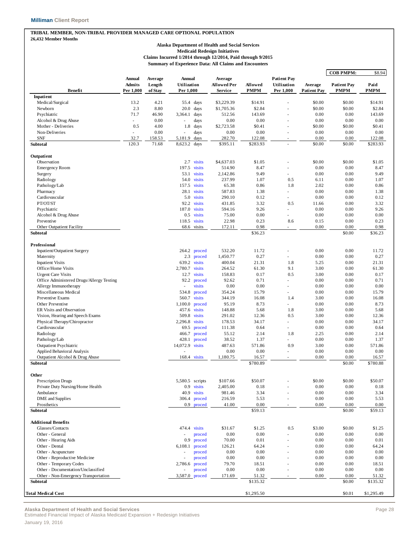#### **TRIBAL MEMBER, NON-TRIBAL PROVIDER MANAGED CARE OPTIONAL POPULATION 26,432 Member Months**

#### **Alaska Department of Health and Social Services Medicaid Redesign Initiatives Claims Incurred 1/2014 through 12/2014, Paid through 9/2015 Summary of Experience Data: All Claims and Encounters**

|                                           |                          |                   |                       |                  |                               |             |                                   |                    | <b>COB PMPM:</b>   | \$8.94      |
|-------------------------------------------|--------------------------|-------------------|-----------------------|------------------|-------------------------------|-------------|-----------------------------------|--------------------|--------------------|-------------|
|                                           | Annual<br><b>Admits</b>  | Average<br>Length | Annual<br>Utilization |                  | Average<br><b>Allowed Per</b> | Allowed     | <b>Patient Pay</b><br>Utilization | Average            | <b>Patient Pay</b> | Paid        |
| <b>Benefit</b>                            | Per 1,000                | of Stay           | Per 1.000             |                  | Service                       | <b>PMPM</b> | Per 1,000                         | <b>Patient Pay</b> | <b>PMPM</b>        | <b>PMPM</b> |
| Inpatient<br>Medical/Surgical             | 13.2                     | 4.21              | 55.4                  | days             | \$3,229.39                    | \$14.91     |                                   | \$0.00             | \$0.00             | \$14.91     |
| Newborn                                   | 2.3                      | 8.80              | 20.0                  | days             | \$1,705.36                    | \$2.84      | L,                                | \$0.00             | \$0.00             | \$2.84      |
| Psychiatric                               | 71.7                     | 46.90             | 3,364.1               | days             | 512.56                        | 143.69      |                                   | 0.00               | 0.00               | 143.69      |
| Alcohol & Drug Abuse                      | $\overline{\phantom{a}}$ | 0.00              |                       | days             | 0.00                          | 0.00        | L,                                | 0.00               | 0.00               | 0.00        |
| Mother - Deliveries                       | 0.5                      | 4.00              | 1.8                   | days             | \$2,723.58                    | \$0.41      | L,                                | \$0.00             | \$0.00             | \$0.41      |
| Non-Deliveries                            | ٠                        | 0.00              |                       | days             | 0.00                          | 0.00        | ÷,                                | 0.00               | 0.00               | 0.00        |
| <b>SNF</b>                                | 32.7                     | 158.53            | 5,181.9               | days             | 282.70                        | 122.08      | ÷                                 | 0.00               | 0.00               | 122.08      |
| Subtotal                                  | 120.3                    | 71.68             | 8,623.2               | days             | \$395.11                      | \$283.93    |                                   | \$0.00             | \$0.00             | \$283.93    |
|                                           |                          |                   |                       |                  |                               |             |                                   |                    |                    |             |
| Outpatient                                |                          |                   |                       |                  |                               |             |                                   |                    |                    |             |
| Observation                               |                          |                   |                       | 2.7 visits       | \$4,637.03                    | \$1.05      | ä,                                | \$0.00             | \$0.00             | \$1.05      |
| <b>Emergency Room</b>                     |                          |                   | 197.5                 | visits           | 514.90                        | 8.47        |                                   | 0.00               | 0.00               | 8.47        |
| Surgery                                   |                          |                   | 53.1                  | visits           | 2,142.86                      | 9.49        | ä,                                | 0.00               | 0.00               | 9.49        |
| Radiology                                 |                          |                   | 54.0                  | visits           | 237.99                        | 1.07        | 0.5                               | 6.11               | 0.00               | 1.07        |
| Pathology/Lab                             |                          |                   | 157.5                 | visits           | 65.38                         | 0.86        | 1.8                               | 2.02               | 0.00               | 0.86        |
| Pharmacy                                  |                          |                   | 28.1                  | visits           | 587.83                        | 1.38        | ÷                                 | 0.00               | 0.00               | 1.38        |
| Cardiovascular                            |                          |                   |                       | 5.0 visits       | 290.10                        | 0.12        | ä,                                | 0.00               | 0.00               | 0.12        |
| PT/OT/ST                                  |                          |                   | 92.2                  | visits           | 431.85                        | 3.32        | 0.5                               | 11.66              | 0.00               | 3.32        |
| Psychiatric                               |                          |                   | 187.0                 | visits           | 594.16                        | 9.26        | $\overline{\phantom{0}}$          | 0.00               | 0.00               | 9.26        |
| Alcohol & Drug Abuse                      |                          |                   | 0.5                   | visits           | 75.00                         | 0.00        | ä,                                | 0.00               | 0.00               | 0.00        |
| Preventive                                |                          |                   | 118.5                 | visits           | 22.98                         | 0.23        | 8.6                               | 0.15               | 0.00               | 0.23        |
| Other Outpatient Facility                 |                          |                   |                       | 68.6 visits      | 172.11                        | 0.98        | ä,                                | 0.00               | 0.00               | 0.98        |
| Subtotal                                  |                          |                   |                       |                  |                               | \$36.23     |                                   |                    | \$0.00             | \$36.23     |
| Professional                              |                          |                   |                       |                  |                               |             |                                   |                    |                    |             |
| Inpatient/Outpatient Surgery              |                          |                   | 264.2                 | proced           | 532.20                        | 11.72       |                                   | 0.00               | 0.00               | 11.72       |
| Maternity                                 |                          |                   | 2.3                   | proced           | 1,450.77                      | 0.27        | ä,                                | 0.00               | 0.00               | 0.27        |
| <b>Inpatient Visits</b>                   |                          |                   | 639.2                 | visits           | 400.04                        | 21.31       | 1.8                               | 5.25               | 0.00               | 21.31       |
| Office/Home Visits                        |                          |                   | 2,780.7               | visits           | 264.52                        | 61.30       | 9.1                               | 3.00               | 0.00               | 61.30       |
| <b>Urgent Care Visits</b>                 |                          |                   | 12.7                  | visits           | 158.83                        | 0.17        | 0.5                               | 3.00               | 0.00               | 0.17        |
| Office Administered Drugs/Allergy Testing |                          |                   | 92.2                  | proced           | 92.62                         | 0.71        | ä,                                | 0.00               | 0.00               | 0.71        |
| Allergy Immunotherapy                     |                          |                   |                       | visits           | 0.00                          | 0.00        |                                   | 0.00               | 0.00               | 0.00        |
| Miscellaneous Medical                     |                          |                   |                       |                  | 354.24                        | 15.79       | ä,                                | 0.00               | 0.00               | 15.79       |
|                                           |                          |                   | 534.8                 | proced<br>visits |                               |             |                                   |                    |                    |             |
| Preventive Exams                          |                          |                   | 560.7                 |                  | 344.19                        | 16.08       | 1.4                               | 3.00               | 0.00               | 16.08       |
| Other Preventive                          |                          |                   | 1,100.0               | proced           | 95.19                         | 8.73        | ä,                                | 0.00               | 0.00               | 8.73        |
| ER Visits and Observation                 |                          |                   | 457.6                 | visits           | 148.88                        | 5.68        | 1.8                               | 3.00               | 0.00               | 5.68        |
| Vision, Hearing and Speech Exams          |                          |                   | 509.8                 | visits           | 291.02                        | 12.36       | 0.5                               | 3.00               | 0.00               | 12.36       |
| Physical Therapy/Chiropractor             |                          |                   | 2,296.8               | visits           | 178.53                        | 34.17       | ä,                                | 0.00               | 0.00               | 34.17       |
| Cardiovascular                            |                          |                   | 69.5                  | proced           | 111.38                        | 0.64        |                                   | 0.00               | 0.00               | 0.64        |
| Radiology                                 |                          |                   | 466.7                 | proced           | 55.12                         | 2.14        | 1.8                               | 2.25               | 0.00               | 2.14        |
| Pathology/Lab                             |                          |                   | 428.1                 | proced           | 38.52                         | 1.37        |                                   | 0.00               | 0.00               | 1.37        |
| <b>Outpatient Psychiatric</b>             |                          |                   | 14,072.9              | visits           | 487.63                        | 571.86      | 0.9                               | 3.00               | 0.00               | 571.86      |
| Applied Behavioral Analysis               |                          |                   |                       |                  | 0.00                          | 0.00        | ä,                                | 0.00               | 0.00               | 0.00        |
| Outpatient Alcohol & Drug Abuse           |                          |                   |                       | 168.4 visits     | 1,180.75                      | 16.57       | ×.                                | 0.00               | 0.00               | 16.57       |
| Subtotal                                  |                          |                   |                       |                  |                               | \$780.89    |                                   |                    | \$0.00             | \$780.88    |
| Other                                     |                          |                   |                       |                  |                               |             |                                   |                    |                    |             |
| <b>Prescription Drugs</b>                 |                          |                   | 5,580.5 scripts       |                  | \$107.66                      | \$50.07     |                                   | \$0.00             | \$0.00             | \$50.07     |
| Private Duty Nursing/Home Health          |                          |                   | 0.9                   | visits           | 2,405.00                      | 0.18        |                                   | 0.00               | 0.00               | 0.18        |
| Ambulance                                 |                          |                   | 40.9                  | visits           | 981.46                        | 3.34        |                                   | 0.00               | 0.00               | 3.34        |
| <b>DME</b> and Supplies                   |                          |                   | 306.4                 | proced           | 216.59                        | 5.53        |                                   | 0.00               | 0.00               | 5.53        |
| Prosthetics                               |                          |                   | 0.9                   | proced           | 41.00                         | 0.00        | ä,                                | 0.00               | 0.00               | $0.00\,$    |
| Subtotal                                  |                          |                   |                       |                  |                               | \$59.13     |                                   |                    | \$0.00             | \$59.13     |
| <b>Additional Benefits</b>                |                          |                   |                       |                  |                               |             |                                   |                    |                    |             |
| Glasses/Contacts                          |                          |                   |                       | 474.4 visits     | \$31.67                       | \$1.25      | 0.5                               | \$3.00             | \$0.00             | \$1.25      |
| Other - General                           |                          |                   | ×,                    | proced           | 0.00                          | 0.00        |                                   | 0.00               | 0.00               | 0.00        |
| Other - Hearing Aids                      |                          |                   | 0.9                   | proced           | 70.00                         | 0.01        |                                   | 0.00               | 0.00               | 0.01        |
| Other - Dental                            |                          |                   | 6,108.1               | proced           | 126.21                        | 64.24       |                                   | 0.00               | 0.00               | 64.24       |
| Other - Acupuncture                       |                          |                   |                       | proced           | 0.00                          | 0.00        |                                   | 0.00               | 0.00               | 0.00        |
| Other - Reproductive Medicine             |                          |                   |                       | proced           | 0.00                          | 0.00        |                                   | 0.00               | 0.00               | 0.00        |
| Other - Temporary Codes                   |                          |                   | 2,786.6               | proced           | 79.70                         | 18.51       |                                   | 0.00               | 0.00               | 18.51       |
| Other - Documentation/Unclassified        |                          |                   |                       | proced           | 0.00                          | 0.00        |                                   | 0.00               | 0.00               | 0.00        |
| Other - Non-Emergency Transportation      |                          |                   |                       | 3,587.0 proced   | 171.69                        | 51.32       |                                   | 0.00               | 0.00               | 51.32       |
| Subtotal                                  |                          |                   |                       |                  |                               | \$135.32    |                                   |                    | \$0.00             | \$135.32    |
| <b>Total Medical Cost</b>                 |                          |                   |                       |                  |                               | \$1,295.50  |                                   |                    | \$0.01             | \$1,295.49  |

**Alaska Department of Health and Social Services** Page 28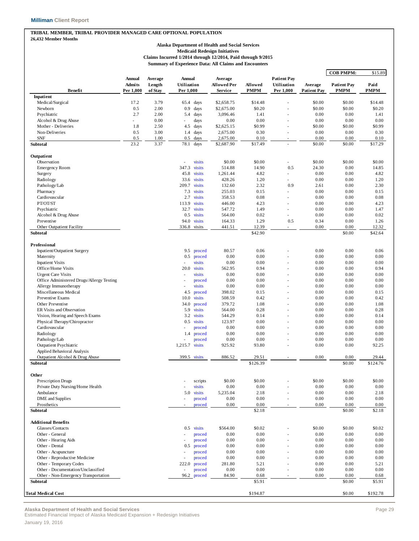#### **TRIBAL MEMBER, TRIBAL PROVIDER MANAGED CARE OPTIONAL POPULATION 26,432 Member Months**

**Alaska Department of Health and Social Services**

**Medicaid Redesign Initiatives**

**Claims Incurred 1/2014 through 12/2014, Paid through 9/2015 Summary of Experience Data: All Claims and Encounters**

|                                                    |                                |                   |                          |              |                               |                   |                                   |                    | <b>COB PMPM:</b>   | \$15.89           |
|----------------------------------------------------|--------------------------------|-------------------|--------------------------|--------------|-------------------------------|-------------------|-----------------------------------|--------------------|--------------------|-------------------|
|                                                    | <b>Annual</b><br><b>Admits</b> | Average<br>Length | Annual<br>Utilization    |              | Average<br><b>Allowed Per</b> | Allowed           | <b>Patient Pay</b><br>Utilization | Average            | <b>Patient Pay</b> | Paid              |
| <b>Benefit</b><br>Inpatient                        | Per 1,000                      | of Stay           | Per 1,000                |              | Service                       | <b>PMPM</b>       | Per 1,000                         | <b>Patient Pay</b> | <b>PMPM</b>        | PMPM              |
| Medical/Surgical                                   | 17.2                           | 3.79              | 65.4                     | days         | \$2,658.75                    | \$14.48           |                                   | \$0.00             | \$0.00             | \$14.48           |
| Newborn                                            | 0.5                            | 2.00              | 0.9                      | days         | \$2,675.00                    | \$0.20            | ä,                                | \$0.00             | \$0.00             | \$0.20            |
| Psychiatric                                        | 2.7                            | 2.00              | 5.4                      | days         | 3,096.46                      | 1.41              |                                   | 0.00               | 0.00               | 1.41              |
| Alcohol & Drug Abuse                               | L.                             | 0.00              | ä,                       | days         | 0.00                          | 0.00              | ÷,                                | 0.00               | 0.00               | 0.00              |
| Mother - Deliveries                                | 1.8                            | 2.50              | 4.5                      | days         | \$2,625.15                    | \$0.99            |                                   | \$0.00             | \$0.00             | \$0.99            |
| Non-Deliveries                                     | 0.5                            | 3.00              | 1.4                      | days         | 2,675.00                      | 0.30              |                                   | 0.00               | 0.00               | 0.30              |
| <b>SNF</b>                                         | 0.5                            | 1.00              | 0.5                      | days         | 2,675.00                      | 0.10              |                                   | 0.00               | 0.00               | 0.10              |
| Subtotal                                           | 23.2                           | 3.37              | 78.1                     | days         | \$2,687.90                    | \$17.49           |                                   | \$0.00             | \$0.00             | \$17.29           |
| Outpatient                                         |                                |                   |                          |              |                               |                   |                                   |                    |                    |                   |
| Observation                                        |                                |                   | ł,                       | visits       | \$0.00                        | \$0.00            | $\overline{\phantom{a}}$          | \$0.00             | \$0.00             | \$0.00            |
| <b>Emergency Room</b>                              |                                |                   | 347.3                    | visits       | 514.88                        | 14.90             | 0.5                               | 24.30              | 0.00               | 14.85             |
| Surgery                                            |                                |                   | 45.8                     | visits       | 1,261.44                      | 4.82              | ٠                                 | 0.00               | 0.00               | 4.82              |
| Radiology                                          |                                |                   | 33.6                     | visits       | 428.26                        | 1.20              |                                   | 0.00               | 0.00               | 1.20              |
| Pathology/Lab                                      |                                |                   | 209.7                    | visits       | 132.60                        | 2.32              | 0.9                               | 2.61               | 0.00               | 2.30              |
| Pharmacy                                           |                                |                   | 7.3                      | visits       | 255.03                        | 0.15              | ä,                                | 0.00               | 0.00               | 0.15              |
| Cardiovascular                                     |                                |                   | 2.7                      | visits       | 358.53                        | 0.08              | ä,                                | 0.00               | 0.00               | 0.08              |
| PT/OT/ST                                           |                                |                   | 113.9                    | visits       | 446.00                        | 4.23              | ä,                                | 0.00               | 0.00               | 4.23              |
| Psychiatric                                        |                                |                   | 32.7                     | visits       | 547.72                        | 1.49              |                                   | 0.00               | 0.00               | 1.47              |
| Alcohol & Drug Abuse                               |                                |                   | 0.5                      | visits       | 564.00                        | 0.02              | ä,                                | 0.00               | 0.00               | 0.02              |
| Preventive                                         |                                |                   | 94.0                     | visits       | 164.33                        | 1.29              | 0.5                               | 0.34               | 0.00               | 1.26              |
| Other Outpatient Facility                          |                                |                   |                          | 336.8 visits | 441.51                        | 12.39             | ٠                                 | 0.00               | 0.00               | 12.32             |
| Subtotal                                           |                                |                   |                          |              |                               | \$42.90           |                                   |                    | \$0.00             | \$42.64           |
| <b>Professional</b>                                |                                |                   |                          |              |                               |                   |                                   |                    |                    |                   |
| Inpatient/Outpatient Surgery                       |                                |                   | 9.5                      | proced       | 80.57                         | 0.06              |                                   | 0.00               | 0.00               | 0.06              |
| Maternity                                          |                                |                   | 0.5                      | proced       | 0.00                          | 0.00              |                                   | 0.00               | 0.00               | 0.00              |
| <b>Inpatient Visits</b>                            |                                |                   | ÷,                       | visits       | 0.00                          | 0.00              |                                   | 0.00               | 0.00               | 0.00              |
| Office/Home Visits                                 |                                |                   | 20.0                     | visits       | 562.95                        | 0.94              |                                   | 0.00               | 0.00               | 0.94              |
| <b>Urgent Care Visits</b>                          |                                |                   | ÷,                       | visits       | 0.00                          | 0.00              | ÷,                                | 0.00               | 0.00               | 0.00              |
| Office Administered Drugs/Allergy Testing          |                                |                   | ÷,                       | proced       | 0.00                          | 0.00              | ÷,                                | 0.00               | 0.00               | 0.00              |
| Allergy Immunotherapy                              |                                |                   | $\overline{\phantom{a}}$ | visits       | 0.00                          | 0.00              |                                   | 0.00               | 0.00               | 0.00              |
| Miscellaneous Medical                              |                                |                   | 4.5                      | proced       | 398.02                        | 0.15              | ä,                                | 0.00               | 0.00               | 0.15              |
| Preventive Exams                                   |                                |                   | 10.0                     | visits       | 508.59                        | 0.42              | ä,                                | 0.00               | 0.00               | 0.42              |
| Other Preventive                                   |                                |                   | 34.0                     | proced       | 379.72                        | 1.08              |                                   | 0.00               | 0.00               | 1.08              |
| ER Visits and Observation                          |                                |                   | 5.9                      | visits       | 564.00                        | 0.28              | ä,                                | 0.00               | 0.00               | 0.28              |
| Vision, Hearing and Speech Exams                   |                                |                   | 3.2                      | visits       | 544.29                        | 0.14              |                                   | 0.00               | 0.00               | 0.14              |
| Physical Therapy/Chiropractor                      |                                |                   | 0.5                      | visits       | 123.97                        | 0.00              | ä,                                | 0.00               | 0.00               | 0.00              |
| Cardiovascular                                     |                                |                   | ä,                       | proced       | 0.00                          | 0.00              |                                   | 0.00               | 0.00               | 0.00              |
| Radiology                                          |                                |                   | 1.4                      | proced       | 0.00                          | 0.00              | ä,                                | 0.00               | 0.00               | 0.00              |
| Pathology/Lab                                      |                                |                   |                          | proced       | 0.00                          | 0.00              |                                   | 0.00               | 0.00               | 0.00              |
| <b>Outpatient Psychiatric</b>                      |                                |                   | 1,215.7                  | visits       | 925.92                        | 93.80             |                                   | 0.00               | 0.00               | 92.25             |
| Applied Behavioral Analysis                        |                                |                   |                          |              |                               |                   |                                   |                    |                    |                   |
| Outpatient Alcohol & Drug Abuse<br><b>Subtotal</b> |                                |                   |                          | 399.5 visits | 886.52                        | 29.51<br>\$126.39 |                                   | 0.00               | 0.00<br>\$0.00     | 29.44<br>\$124.76 |
|                                                    |                                |                   |                          |              |                               |                   |                                   |                    |                    |                   |
| <b>Other</b>                                       |                                |                   |                          |              |                               |                   |                                   |                    |                    |                   |
| <b>Prescription Drugs</b>                          |                                |                   |                          | scripts      | \$0.00                        | \$0.00            |                                   | \$0.00             | \$0.00             | \$0.00            |
| Private Duty Nursing/Home Health                   |                                |                   |                          | visits       | 0.00                          | 0.00              |                                   | 0.00               | 0.00               | 0.00              |
| Ambulance                                          |                                |                   | 5.0                      | visits       | 5,235.04                      | 2.18              |                                   | 0.00               | 0.00               | 2.18              |
| <b>DME</b> and Supplies                            |                                |                   |                          | proced       | 0.00                          | 0.00              |                                   | 0.00               | 0.00               | 0.00              |
| Prosthetics<br>Subtotal                            |                                |                   |                          | proced       | 0.00                          | 0.00<br>\$2.18    | ä,                                | 0.00               | 0.00<br>\$0.00     | 0.00<br>\$2.18    |
|                                                    |                                |                   |                          |              |                               |                   |                                   |                    |                    |                   |
| <b>Additional Benefits</b>                         |                                |                   |                          |              |                               |                   |                                   |                    |                    |                   |
| Glasses/Contacts                                   |                                |                   | 0.5                      | visits       | \$564.00                      | \$0.02            |                                   | \$0.00             | \$0.00             | \$0.02            |
| Other - General                                    |                                |                   | ä,                       | proced       | 0.00                          | 0.00              |                                   | 0.00               | 0.00               | 0.00              |
| Other - Hearing Aids                               |                                |                   | ٠                        | proced       | 0.00                          | 0.00              |                                   | 0.00               | 0.00               | 0.00              |
| Other - Dental                                     |                                |                   | 0.5                      | proced       | 0.00                          | 0.00              |                                   | 0.00               | 0.00               | 0.00              |
| Other - Acupuncture                                |                                |                   |                          | proced       | 0.00                          | 0.00              |                                   | 0.00               | 0.00               | 0.00              |
| Other - Reproductive Medicine                      |                                |                   |                          | proced       | 0.00                          | 0.00              |                                   | 0.00               | 0.00               | 0.00              |
| Other - Temporary Codes                            |                                |                   | 222.0                    | proced       | 281.80                        | 5.21              |                                   | 0.00               | 0.00               | 5.21              |
| Other - Documentation/Unclassified                 |                                |                   | $\overline{\phantom{a}}$ | proced       | 0.00                          | 0.00              |                                   | 0.00               | 0.00               | 0.00              |
| Other - Non-Emergency Transportation<br>Subtotal   |                                |                   | 96.2                     | proced       | 84.90                         | 0.68<br>\$5.91    |                                   | 0.00               | 0.00<br>\$0.00     | 0.68<br>\$5.91    |
|                                                    |                                |                   |                          |              |                               |                   |                                   |                    |                    |                   |
| <b>Total Medical Cost</b>                          |                                |                   |                          |              |                               | \$194.87          |                                   |                    | \$0.00             | \$192.78          |

**Alaska Department of Health and Social Services** Page 29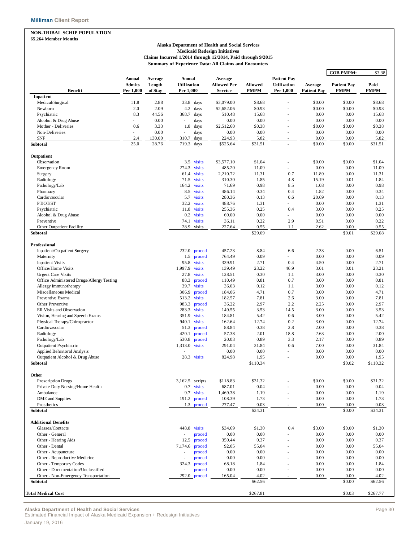### **NON-TRIBAL SCHIP POPULATION**

**65,264 Member Months**

#### **Alaska Department of Health and Social Services Medicaid Redesign Initiatives Claims Incurred 1/2014 through 12/2014, Paid through 9/2015 Summary of Experience Data: All Claims and Encounters**

|                                                  |                                             |                              |                                           |                                   |                        |                                                |                               | <b>COB PMPM:</b>                  | \$3.38              |
|--------------------------------------------------|---------------------------------------------|------------------------------|-------------------------------------------|-----------------------------------|------------------------|------------------------------------------------|-------------------------------|-----------------------------------|---------------------|
| <b>Benefit</b>                                   | <b>Annual</b><br><b>Admits</b><br>Per 1,000 | Average<br>Length<br>of Stay | <b>Annual</b><br>Utilization<br>Per 1,000 | Average<br>Allowed Per<br>Service | Allowed<br><b>PMPM</b> | <b>Patient Pay</b><br>Utilization<br>Per 1,000 | Average<br><b>Patient Pay</b> | <b>Patient Pay</b><br><b>PMPM</b> | Paid<br><b>PMPM</b> |
| Inpatient                                        |                                             |                              |                                           |                                   |                        |                                                |                               |                                   |                     |
| Medical/Surgical                                 | 11.8                                        | 2.88                         | 33.8 days                                 | \$3,079.00                        | \$8.68                 |                                                | \$0.00                        | \$0.00                            | \$8.68              |
| Newborn                                          | 2.0                                         | 2.09                         | 4.2<br>days                               | \$2,652.06                        | \$0.93                 |                                                | \$0.00                        | \$0.00                            | \$0.93              |
| Psychiatric                                      | 8.3                                         | 44.56                        | 368.7<br>days                             | 510.48                            | 15.68                  |                                                | 0.00                          | 0.00                              | 15.68               |
| Alcohol & Drug Abuse                             |                                             | 0.00                         | days<br>$\sim$                            | 0.00                              | 0.00                   |                                                | 0.00                          | 0.00                              | 0.00                |
| Mother - Deliveries                              | 0.6                                         | 3.33                         | 1.8<br>days                               | \$2,512.60                        | \$0.38                 | ÷                                              | \$0.00                        | \$0.00                            | \$0.38              |
| Non-Deliveries                                   | ×.                                          | 0.00                         | days<br>÷,                                | 0.00                              | 0.00                   | ٠                                              | 0.00                          | 0.00                              | 0.00                |
| <b>SNF</b><br><b>Subtotal</b>                    | 2.4<br>25.0                                 | 130.00<br>28.76              | 310.7<br>days<br>719.3<br>days            | 224.93<br>\$525.64                | 5.82<br>\$31.51        | $\sim$                                         | 0.00<br>\$0.00                | 0.00<br>\$0.00                    | 5.82<br>\$31.51     |
|                                                  |                                             |                              |                                           |                                   |                        |                                                |                               |                                   |                     |
| Outpatient                                       |                                             |                              |                                           |                                   |                        |                                                |                               |                                   |                     |
| Observation                                      |                                             |                              | 3.5 visits                                | \$3,577.10                        | \$1.04                 |                                                | \$0.00                        | \$0.00                            | \$1.04              |
| <b>Emergency Room</b>                            |                                             |                              | 274.3<br>visits                           | 485.20                            | 11.09                  | ä,                                             | 0.00                          | 0.00                              | 11.09               |
| Surgery                                          |                                             |                              | 61.4<br>visits                            | 2,210.72                          | 11.31                  | 0.7                                            | 11.89                         | 0.00                              | 11.31               |
| Radiology                                        |                                             |                              | 71.5<br>visits                            | 310.30                            | 1.85                   | 4.8                                            | 15.19                         | 0.01                              | 1.84                |
| Pathology/Lab                                    |                                             |                              | 164.2<br>visits                           | 71.69                             | 0.98                   | 8.5                                            | 1.08                          | 0.00                              | 0.98                |
| Pharmacy                                         |                                             |                              | visits<br>8.5                             | 486.14                            | 0.34                   | 0.4                                            | 1.82                          | 0.00                              | 0.34                |
| Cardiovascular                                   |                                             |                              | 5.7<br>visits                             | 280.36                            | 0.13                   | 0.6                                            | 20.69                         | 0.00                              | 0.13                |
| PT/OT/ST                                         |                                             |                              | 32.2<br>visits                            | 488.76                            | 1.31                   | ä,                                             | 0.00                          | 0.00                              | 1.31                |
| Psychiatric                                      |                                             |                              | 11.8<br>visits                            | 255.36                            | 0.25                   | 0.4                                            | 3.00                          | 0.00                              | 0.25                |
| Alcohol & Drug Abuse                             |                                             |                              | 0.2<br>visits                             | 69.00                             | 0.00                   | ä,                                             | 0.00                          | 0.00                              | 0.00                |
| Preventive<br>Other Outpatient Facility          |                                             |                              | visits<br>74.1<br>28.9<br>visits          | 36.11<br>227.64                   | 0.22<br>0.55           | 2.9<br>1.1                                     | 0.51<br>2.62                  | 0.00<br>0.00                      | 0.22<br>0.55        |
| Subtotal                                         |                                             |                              |                                           |                                   | \$29.09                |                                                |                               | \$0.01                            | \$29.08             |
|                                                  |                                             |                              |                                           |                                   |                        |                                                |                               |                                   |                     |
| Professional                                     |                                             |                              |                                           |                                   |                        |                                                |                               |                                   |                     |
| Inpatient/Outpatient Surgery                     |                                             |                              | 232.0<br>proced                           | 457.23                            | 8.84                   | 6.6                                            | 2.33                          | 0.00                              | 6.51                |
| Maternity                                        |                                             |                              | 1.5<br>proced                             | 764.49                            | 0.09                   | ä,                                             | 0.00                          | 0.00                              | 0.09                |
| <b>Inpatient Visits</b>                          |                                             |                              | 95.8<br>visits                            | 339.91                            | 2.71                   | 0.4                                            | 4.50                          | 0.00                              | 2.71                |
| Office/Home Visits                               |                                             |                              | 1,997.9<br>visits                         | 139.49                            | 23.22                  | 46.9                                           | 3.01                          | 0.01                              | 23.21               |
| <b>Urgent Care Visits</b>                        |                                             |                              | 27.8<br>visits                            | 128.51                            | 0.30                   | 1.1                                            | 3.00                          | 0.00                              | 0.30                |
| Office Administered Drugs/Allergy Testing        |                                             |                              | 88.3<br>proced                            | 110.49                            | 0.81                   | 0.7                                            | 3.00                          | 0.00                              | 0.81                |
| Allergy Immunotherapy                            |                                             |                              | 39.7<br>visits                            | 36.03                             | 0.12                   | 1.1                                            | 3.00                          | 0.00                              | 0.12                |
| Miscellaneous Medical                            |                                             |                              | 306.9<br>proced                           | 184.06                            | 4.71                   | 0.7                                            | 3.00                          | 0.00                              | 4.71                |
| Preventive Exams                                 |                                             |                              | 513.2 visits                              | 182.57                            | 7.81                   | 2.6                                            | 3.00                          | 0.00                              | 7.81                |
| Other Preventive                                 |                                             |                              | 983.3<br>proced                           | 36.22                             | 2.97                   | 2.2                                            | 2.25                          | 0.00                              | 2.97                |
| ER Visits and Observation                        |                                             |                              | 283.3<br>visits                           | 149.55                            | 3.53                   | 14.5                                           | 3.00                          | 0.00                              | 3.53                |
| Vision, Hearing and Speech Exams                 |                                             |                              | 351.9<br>visits                           | 184.81                            | 5.42                   | 0.6                                            | 3.00                          | 0.00                              | 5.42                |
| Physical Therapy/Chiropractor                    |                                             |                              | 940.1 visits                              | 162.64                            | 12.74                  | 0.2                                            | 3.00                          | 0.00                              | 12.74               |
| Cardiovascular                                   |                                             |                              | 51.3<br>proced                            | 88.84                             | 0.38                   | 2.8                                            | 2.00                          | 0.00                              | 0.38                |
| Radiology                                        |                                             |                              | 420.1<br>proced<br>530.8 proced           | 57.38                             | 2.01                   | 18.8                                           | 2.63                          | 0.00                              | 2.00                |
| Pathology/Lab                                    |                                             |                              |                                           | 20.03                             | 0.89                   | 3.3                                            | 2.17                          | 0.00                              | 0.89                |
| <b>Outpatient Psychiatric</b>                    |                                             |                              | 1,313.0 visits                            | 291.04                            | 31.84                  | 0.6                                            | 7.00                          | 0.00                              | 31.84               |
| Applied Behavioral Analysis                      |                                             |                              |                                           | 0.00                              | 0.00                   | ä,                                             | 0.00                          | 0.00<br>0.00                      | 0.00                |
| Outpatient Alcohol & Drug Abuse<br>Subtotal      |                                             |                              | 28.3<br>visits                            | 824.98                            | 1.95<br>\$110.34       | ÷,                                             | 0.00                          | \$0.02                            | 1.95<br>\$110.32    |
|                                                  |                                             |                              |                                           |                                   |                        |                                                |                               |                                   |                     |
| Other                                            |                                             |                              |                                           |                                   |                        |                                                |                               |                                   |                     |
| <b>Prescription Drugs</b>                        |                                             |                              | 3,162.5 scripts                           | \$118.83                          | \$31.32                |                                                | \$0.00                        | \$0.00                            | \$31.32             |
| Private Duty Nursing/Home Health                 |                                             |                              | 0.7<br>visits                             | 687.01                            | 0.04                   |                                                | 0.00                          | 0.00                              | 0.04                |
| Ambulance                                        |                                             |                              | 9.7 visits                                | 1,469.38                          | 1.19                   |                                                | 0.00                          | 0.00                              | 1.19                |
| DME and Supplies                                 |                                             |                              | 191.2 proced                              | 108.39                            | 1.73                   |                                                | 0.00                          | 0.00                              | 1.73                |
| Prosthetics<br>Subtotal                          |                                             |                              | 1.3 proced                                | 277.47                            | 0.03<br>\$34.31        | ٠                                              | 0.00                          | 0.00<br>\$0.00                    | 0.03<br>\$34.31     |
|                                                  |                                             |                              |                                           |                                   |                        |                                                |                               |                                   |                     |
| <b>Additional Benefits</b>                       |                                             |                              |                                           |                                   |                        |                                                |                               |                                   |                     |
| Glasses/Contacts                                 |                                             |                              | 448.8 visits                              | \$34.69                           | \$1.30                 | 0.4                                            | \$3.00                        | \$0.00                            | \$1.30              |
| Other - General                                  |                                             |                              | proced<br>÷,                              | 0.00                              | 0.00                   |                                                | 0.00                          | 0.00                              | 0.00                |
| Other - Hearing Aids                             |                                             |                              | 12.5<br>proced                            | 350.44                            | 0.37                   |                                                | 0.00                          | 0.00                              | 0.37                |
| Other - Dental                                   |                                             |                              | 7,174.6<br>proced                         | 92.05                             | 55.04                  |                                                | 0.00                          | 0.00                              | 55.04               |
| Other - Acupuncture                              |                                             |                              | proced<br>÷,                              | 0.00                              | 0.00                   |                                                | 0.00                          | 0.00                              | 0.00                |
| Other - Reproductive Medicine                    |                                             |                              | proced<br>÷,                              | 0.00                              | 0.00                   |                                                | 0.00                          | 0.00                              | 0.00                |
| Other - Temporary Codes                          |                                             |                              | 324.3<br>proced                           | 68.18                             | 1.84                   |                                                | 0.00                          | 0.00                              | 1.84                |
| Other - Documentation/Unclassified               |                                             |                              | proced                                    | 0.00                              | 0.00                   |                                                | 0.00                          | 0.00                              | 0.00                |
| Other - Non-Emergency Transportation<br>Subtotal |                                             |                              | $292.0$ proced                            | 165.04                            | 4.02<br>\$62.56        |                                                | 0.00                          | 0.00<br>\$0.00                    | 4.02<br>\$62.56     |
|                                                  |                                             |                              |                                           |                                   |                        |                                                |                               |                                   |                     |
| <b>Total Medical Cost</b>                        |                                             |                              |                                           |                                   | \$267.81               |                                                |                               | \$0.03                            | \$267.77            |

**Alaska Department of Health and Social Services** Page 30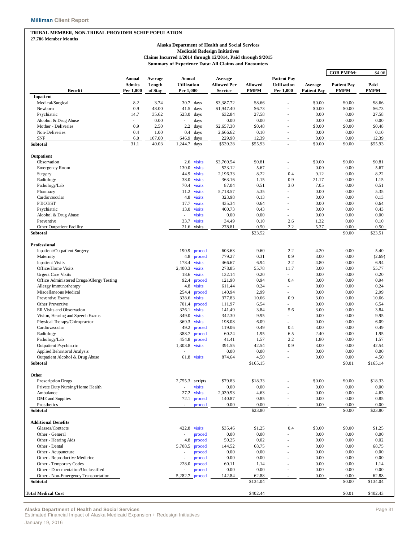#### **TRIBAL MEMBER, NON-TRIBAL PROVIDER SCHIP POPULATION**

**27,786 Member Months**

#### **Alaska Department of Health and Social Services Medicaid Redesign Initiatives Claims Incurred 1/2014 through 12/2014, Paid through 9/2015 Summary of Experience Data: All Claims and Encounters**

| <b>Patient Pay</b><br><b>Annual</b><br>Average<br>Annual<br>Average<br>Allowed<br>Utilization<br>Paid<br>Admits<br>Length<br>Utilization<br>Allowed Per<br>Average<br><b>Patient Pay</b><br><b>Benefit</b><br><b>PMPM</b><br><b>PMPM</b><br>Per 1,000<br>of Stay<br>Per 1,000<br>Service<br>Per 1,000<br><b>Patient Pay</b><br>PMPM<br>Inpatient<br>Medical/Surgical<br>8.2<br>3.74<br>\$0.00<br>30.7<br>days<br>\$3,387.72<br>\$8.66<br>\$0.00<br>\$8.66<br>0.9<br>48.00<br>\$0.00<br>\$0.00<br>Newborn<br>41.5<br>days<br>\$1,947.40<br>\$6.73<br>\$6.73<br>35.62<br>632.84<br>27.58<br>0.00<br>0.00<br>27.58<br>Psychiatric<br>14.7<br>523.0<br>days<br>Alcohol & Drug Abuse<br>0.00<br>days<br>0.00<br>0.00<br>0.00<br>0.00<br>0.00<br>$\omega$<br>ä,<br>Mother - Deliveries<br>0.9<br>2.50<br>$2.2\,$<br>days<br>\$2,657.30<br>\$0.48<br>\$0.00<br>\$0.00<br>\$0.48<br>1.00<br>Non-Deliveries<br>0.4<br>0.4<br>days<br>2,666.62<br>0.10<br>0.00<br>0.00<br>0.10<br>229.90<br><b>SNF</b><br>107.00<br>646.9<br>days<br>12.39<br>0.00<br>0.00<br>12.39<br>6.0<br>÷,<br>31.1<br>40.03<br>days<br>\$539.28<br>\$55.93<br>\$0.00<br>\$0.00<br>\$55.93<br>Subtotal<br>1,244.7<br>÷.<br>Outpatient<br>\$0.00<br>\$0.00<br>\$0.81<br>Observation<br>2.6 visits<br>\$3,769.54<br>\$0.81<br>$\overline{\phantom{m}}$<br>130.0<br>523.12<br>5.67<br>0.00<br>0.00<br>5.67<br><b>Emergency Room</b><br>visits<br>÷.<br>44.9<br>visits<br>2,196.33<br>8.22<br>0.4<br>9.12<br>0.00<br>8.22<br>Surgery<br>Radiology<br>38.0<br>visits<br>363.16<br>1.15<br>0.9<br>21.17<br>0.00<br>1.15<br>Pathology/Lab<br>70.4<br>visits<br>87.04<br>0.51<br>3.0<br>7.05<br>0.00<br>0.51<br>11.2<br>visits<br>Pharmacy<br>5,718.57<br>5.35<br>0.00<br>0.00<br>5.35<br>4.8<br>323.98<br>0.13<br>Cardiovascular<br>visits<br>0.00<br>0.00<br>0.13<br>PT/OT/ST<br>visits<br>17.7<br>435.34<br>0.64<br>0.00<br>0.00<br>0.64<br>÷.<br>Psychiatric<br>13.0<br>visits<br>400.73<br>0.43<br>0.00<br>0.00<br>0.43<br>٠<br>visits<br>0.00<br>0.00<br>0.00<br>0.00<br>Alcohol & Drug Abuse<br>0.00<br>$\overline{\phantom{a}}$<br>ä,<br>34.49<br>0.10<br>2.6<br>1.32<br>0.00<br>0.10<br>Preventive<br>33.7<br>visits<br>Other Outpatient Facility<br>278.81<br>0.50<br>2.2<br>5.37<br>21.6 visits<br>0.00<br>0.50<br>\$23.52<br>\$0.00<br>Subtotal<br>\$23.51<br>Professional<br>2.2<br>0.00<br>Inpatient/Outpatient Surgery<br>190.9<br>603.63<br>9.60<br>4.20<br>5.40<br>proced<br>4.8<br>779.27<br>0.9<br>Maternity<br>proced<br>0.31<br>3.00<br>0.00<br>(2.69)<br><b>Inpatient Visits</b><br>visits<br>6.94<br>178.4<br>466.67<br>2.2<br>4.80<br>0.00<br>6.94<br>Office/Home Visits<br>2,400.3<br>visits<br>55.78<br>11.7<br>55.77<br>278.85<br>3.00<br>0.00<br>0.20<br>0.00<br><b>Urgent Care Visits</b><br>18.6<br>visits<br>132.14<br>0.00<br>0.20<br>0.94<br>0.4<br>0.94<br>Office Administered Drugs/Allergy Testing<br>92.4<br>121.90<br>3.00<br>0.00<br>proced<br>4.8<br>0.24<br>Allergy Immunotherapy<br>visits<br>611.44<br>0.00<br>0.00<br>0.24<br>٠<br>2.99<br>2.99<br>Miscellaneous Medical<br>254.4<br>140.94<br>0.00<br>0.00<br>proced<br>×.<br>338.6<br>visits<br>Preventive Exams<br>377.83<br>10.66<br>0.9<br>3.00<br>0.00<br>10.66<br>6.54<br>Other Preventive<br>701.4<br>proced<br>111.97<br>0.00<br>0.00<br>6.54<br>×.<br>ER Visits and Observation<br>326.1<br>visits<br>141.49<br>3.84<br>5.6<br>3.00<br>0.00<br>3.84<br>349.0<br>visits<br>Vision, Hearing and Speech Exams<br>342.30<br>9.95<br>0.00<br>0.00<br>9.95<br>٠<br>Physical Therapy/Chiropractor<br>369.3 visits<br>198.08<br>6.09<br>0.00<br>0.00<br>6.09<br>٠<br>Cardiovascular<br>49.2<br>119.06<br>0.00<br>0.49<br>proced<br>0.49<br>0.4<br>3.00<br>Radiology<br>388.7<br>proced<br>60.24<br>1.95<br>6.5<br>2.40<br>0.00<br>1.95<br>454.8<br>2.2<br>Pathology/Lab<br>proced<br>41.41<br>1.57<br>1.80<br>0.00<br>1.57<br>1,303.8 visits<br><b>Outpatient Psychiatric</b><br>391.55<br>42.54<br>0.9<br>3.00<br>0.00<br>42.54<br>Applied Behavioral Analysis<br>0.00<br>0.00<br>0.00<br>0.00<br>0.00<br>ä,<br>874.64<br>4.50<br>0.00<br>Outpatient Alcohol & Drug Abuse<br>61.8 visits<br>0.00<br>4.50<br>٠<br>\$165.14<br>\$165.15<br>\$0.01<br>Subtotal<br>Other<br>Prescription Drugs<br>\$79.83<br>\$18.33<br>\$0.00<br>\$0.00<br>\$18.33<br>2,755.3 scripts<br>Private Duty Nursing/Home Health<br>visits<br>0.00<br>0.00<br>0.00<br>0.00<br>0.00<br>$\overline{\phantom{a}}$<br>Ambulance<br>27.2<br>visits<br>2,039.93<br>4.63<br>0.00<br>0.00<br>4.63<br>DME and Supplies<br>140.87<br>0.85<br>0.00<br>0.00<br>0.85<br>72.1<br>proced<br>Prosthetics<br>0.00<br>0.00<br>proced<br>0.00<br>0.00<br>0.00<br>\$23.80<br>Subtotal<br>\$0.00<br>\$23.80<br><b>Additional Benefits</b><br>422.8 visits<br>Glasses/Contacts<br>\$35.46<br>\$1.25<br>0.4<br>\$3.00<br>\$0.00<br>\$1.25<br>0.00<br>0.00<br>Other - General<br>0.00<br>0.00<br>0.00<br>proced<br>Other - Hearing Aids<br>50.25<br>0.02<br>0.00<br>0.00<br>0.02<br>4.8<br>proced<br>٠<br>Other - Dental<br>5,708.5<br>144.52<br>68.75<br>0.00<br>0.00<br>68.75<br>proced<br>Other - Acupuncture<br>0.00<br>0.00<br>0.00<br>0.00<br>0.00<br>proced<br>Other - Reproductive Medicine<br>0.00<br>0.00<br>proced<br>0.00<br>0.00<br>0.00<br>228.0<br>60.11<br>1.14<br>0.00<br>Other - Temporary Codes<br>proced<br>0.00<br>1.14<br>Other - Documentation/Unclassified<br>0.00<br>0.00<br>0.00<br>0.00<br>0.00<br>proced<br>Other - Non-Emergency Transportation<br>5,282.7<br>proced<br>142.84<br>62.88<br>0.00<br>0.00<br>62.88<br>٠<br>\$134.04<br>\$0.00<br>\$134.04<br>Subtotal<br>\$402.44<br>\$402.43<br>\$0.01 |                           |  |  |  |  | <b>COB PMPM:</b> | \$4.06 |
|------------------------------------------------------------------------------------------------------------------------------------------------------------------------------------------------------------------------------------------------------------------------------------------------------------------------------------------------------------------------------------------------------------------------------------------------------------------------------------------------------------------------------------------------------------------------------------------------------------------------------------------------------------------------------------------------------------------------------------------------------------------------------------------------------------------------------------------------------------------------------------------------------------------------------------------------------------------------------------------------------------------------------------------------------------------------------------------------------------------------------------------------------------------------------------------------------------------------------------------------------------------------------------------------------------------------------------------------------------------------------------------------------------------------------------------------------------------------------------------------------------------------------------------------------------------------------------------------------------------------------------------------------------------------------------------------------------------------------------------------------------------------------------------------------------------------------------------------------------------------------------------------------------------------------------------------------------------------------------------------------------------------------------------------------------------------------------------------------------------------------------------------------------------------------------------------------------------------------------------------------------------------------------------------------------------------------------------------------------------------------------------------------------------------------------------------------------------------------------------------------------------------------------------------------------------------------------------------------------------------------------------------------------------------------------------------------------------------------------------------------------------------------------------------------------------------------------------------------------------------------------------------------------------------------------------------------------------------------------------------------------------------------------------------------------------------------------------------------------------------------------------------------------------------------------------------------------------------------------------------------------------------------------------------------------------------------------------------------------------------------------------------------------------------------------------------------------------------------------------------------------------------------------------------------------------------------------------------------------------------------------------------------------------------------------------------------------------------------------------------------------------------------------------------------------------------------------------------------------------------------------------------------------------------------------------------------------------------------------------------------------------------------------------------------------------------------------------------------------------------------------------------------------------------------------------------------------------------------------------------------------------------------------------------------------------------------------------------------------------------------------------------------------------------------------------------------------------------------------------------------------------------------------------------------------------------------------------------------------------------------------------------------------------------------------------------------------------------------------------------------------------------------------------------------------------------------------------------------------------------------------------------------------------------------------------------------------------------------------------------------------------------------------------------------------------------------------------------------------------------------------------------------------------------------------------------------------------------------------------------------------------------------------------------------------------------------------------------------------------------------------------------------------------------------------------------------------------------------------------------------------------------------------------------------------------------------------------------------------------------------------|---------------------------|--|--|--|--|------------------|--------|
|                                                                                                                                                                                                                                                                                                                                                                                                                                                                                                                                                                                                                                                                                                                                                                                                                                                                                                                                                                                                                                                                                                                                                                                                                                                                                                                                                                                                                                                                                                                                                                                                                                                                                                                                                                                                                                                                                                                                                                                                                                                                                                                                                                                                                                                                                                                                                                                                                                                                                                                                                                                                                                                                                                                                                                                                                                                                                                                                                                                                                                                                                                                                                                                                                                                                                                                                                                                                                                                                                                                                                                                                                                                                                                                                                                                                                                                                                                                                                                                                                                                                                                                                                                                                                                                                                                                                                                                                                                                                                                                                                                                                                                                                                                                                                                                                                                                                                                                                                                                                                                                                                                                                                                                                                                                                                                                                                                                                                                                                                                                                                                                                                                    |                           |  |  |  |  |                  |        |
|                                                                                                                                                                                                                                                                                                                                                                                                                                                                                                                                                                                                                                                                                                                                                                                                                                                                                                                                                                                                                                                                                                                                                                                                                                                                                                                                                                                                                                                                                                                                                                                                                                                                                                                                                                                                                                                                                                                                                                                                                                                                                                                                                                                                                                                                                                                                                                                                                                                                                                                                                                                                                                                                                                                                                                                                                                                                                                                                                                                                                                                                                                                                                                                                                                                                                                                                                                                                                                                                                                                                                                                                                                                                                                                                                                                                                                                                                                                                                                                                                                                                                                                                                                                                                                                                                                                                                                                                                                                                                                                                                                                                                                                                                                                                                                                                                                                                                                                                                                                                                                                                                                                                                                                                                                                                                                                                                                                                                                                                                                                                                                                                                                    |                           |  |  |  |  |                  |        |
|                                                                                                                                                                                                                                                                                                                                                                                                                                                                                                                                                                                                                                                                                                                                                                                                                                                                                                                                                                                                                                                                                                                                                                                                                                                                                                                                                                                                                                                                                                                                                                                                                                                                                                                                                                                                                                                                                                                                                                                                                                                                                                                                                                                                                                                                                                                                                                                                                                                                                                                                                                                                                                                                                                                                                                                                                                                                                                                                                                                                                                                                                                                                                                                                                                                                                                                                                                                                                                                                                                                                                                                                                                                                                                                                                                                                                                                                                                                                                                                                                                                                                                                                                                                                                                                                                                                                                                                                                                                                                                                                                                                                                                                                                                                                                                                                                                                                                                                                                                                                                                                                                                                                                                                                                                                                                                                                                                                                                                                                                                                                                                                                                                    |                           |  |  |  |  |                  |        |
|                                                                                                                                                                                                                                                                                                                                                                                                                                                                                                                                                                                                                                                                                                                                                                                                                                                                                                                                                                                                                                                                                                                                                                                                                                                                                                                                                                                                                                                                                                                                                                                                                                                                                                                                                                                                                                                                                                                                                                                                                                                                                                                                                                                                                                                                                                                                                                                                                                                                                                                                                                                                                                                                                                                                                                                                                                                                                                                                                                                                                                                                                                                                                                                                                                                                                                                                                                                                                                                                                                                                                                                                                                                                                                                                                                                                                                                                                                                                                                                                                                                                                                                                                                                                                                                                                                                                                                                                                                                                                                                                                                                                                                                                                                                                                                                                                                                                                                                                                                                                                                                                                                                                                                                                                                                                                                                                                                                                                                                                                                                                                                                                                                    |                           |  |  |  |  |                  |        |
|                                                                                                                                                                                                                                                                                                                                                                                                                                                                                                                                                                                                                                                                                                                                                                                                                                                                                                                                                                                                                                                                                                                                                                                                                                                                                                                                                                                                                                                                                                                                                                                                                                                                                                                                                                                                                                                                                                                                                                                                                                                                                                                                                                                                                                                                                                                                                                                                                                                                                                                                                                                                                                                                                                                                                                                                                                                                                                                                                                                                                                                                                                                                                                                                                                                                                                                                                                                                                                                                                                                                                                                                                                                                                                                                                                                                                                                                                                                                                                                                                                                                                                                                                                                                                                                                                                                                                                                                                                                                                                                                                                                                                                                                                                                                                                                                                                                                                                                                                                                                                                                                                                                                                                                                                                                                                                                                                                                                                                                                                                                                                                                                                                    |                           |  |  |  |  |                  |        |
|                                                                                                                                                                                                                                                                                                                                                                                                                                                                                                                                                                                                                                                                                                                                                                                                                                                                                                                                                                                                                                                                                                                                                                                                                                                                                                                                                                                                                                                                                                                                                                                                                                                                                                                                                                                                                                                                                                                                                                                                                                                                                                                                                                                                                                                                                                                                                                                                                                                                                                                                                                                                                                                                                                                                                                                                                                                                                                                                                                                                                                                                                                                                                                                                                                                                                                                                                                                                                                                                                                                                                                                                                                                                                                                                                                                                                                                                                                                                                                                                                                                                                                                                                                                                                                                                                                                                                                                                                                                                                                                                                                                                                                                                                                                                                                                                                                                                                                                                                                                                                                                                                                                                                                                                                                                                                                                                                                                                                                                                                                                                                                                                                                    |                           |  |  |  |  |                  |        |
|                                                                                                                                                                                                                                                                                                                                                                                                                                                                                                                                                                                                                                                                                                                                                                                                                                                                                                                                                                                                                                                                                                                                                                                                                                                                                                                                                                                                                                                                                                                                                                                                                                                                                                                                                                                                                                                                                                                                                                                                                                                                                                                                                                                                                                                                                                                                                                                                                                                                                                                                                                                                                                                                                                                                                                                                                                                                                                                                                                                                                                                                                                                                                                                                                                                                                                                                                                                                                                                                                                                                                                                                                                                                                                                                                                                                                                                                                                                                                                                                                                                                                                                                                                                                                                                                                                                                                                                                                                                                                                                                                                                                                                                                                                                                                                                                                                                                                                                                                                                                                                                                                                                                                                                                                                                                                                                                                                                                                                                                                                                                                                                                                                    |                           |  |  |  |  |                  |        |
|                                                                                                                                                                                                                                                                                                                                                                                                                                                                                                                                                                                                                                                                                                                                                                                                                                                                                                                                                                                                                                                                                                                                                                                                                                                                                                                                                                                                                                                                                                                                                                                                                                                                                                                                                                                                                                                                                                                                                                                                                                                                                                                                                                                                                                                                                                                                                                                                                                                                                                                                                                                                                                                                                                                                                                                                                                                                                                                                                                                                                                                                                                                                                                                                                                                                                                                                                                                                                                                                                                                                                                                                                                                                                                                                                                                                                                                                                                                                                                                                                                                                                                                                                                                                                                                                                                                                                                                                                                                                                                                                                                                                                                                                                                                                                                                                                                                                                                                                                                                                                                                                                                                                                                                                                                                                                                                                                                                                                                                                                                                                                                                                                                    |                           |  |  |  |  |                  |        |
|                                                                                                                                                                                                                                                                                                                                                                                                                                                                                                                                                                                                                                                                                                                                                                                                                                                                                                                                                                                                                                                                                                                                                                                                                                                                                                                                                                                                                                                                                                                                                                                                                                                                                                                                                                                                                                                                                                                                                                                                                                                                                                                                                                                                                                                                                                                                                                                                                                                                                                                                                                                                                                                                                                                                                                                                                                                                                                                                                                                                                                                                                                                                                                                                                                                                                                                                                                                                                                                                                                                                                                                                                                                                                                                                                                                                                                                                                                                                                                                                                                                                                                                                                                                                                                                                                                                                                                                                                                                                                                                                                                                                                                                                                                                                                                                                                                                                                                                                                                                                                                                                                                                                                                                                                                                                                                                                                                                                                                                                                                                                                                                                                                    |                           |  |  |  |  |                  |        |
|                                                                                                                                                                                                                                                                                                                                                                                                                                                                                                                                                                                                                                                                                                                                                                                                                                                                                                                                                                                                                                                                                                                                                                                                                                                                                                                                                                                                                                                                                                                                                                                                                                                                                                                                                                                                                                                                                                                                                                                                                                                                                                                                                                                                                                                                                                                                                                                                                                                                                                                                                                                                                                                                                                                                                                                                                                                                                                                                                                                                                                                                                                                                                                                                                                                                                                                                                                                                                                                                                                                                                                                                                                                                                                                                                                                                                                                                                                                                                                                                                                                                                                                                                                                                                                                                                                                                                                                                                                                                                                                                                                                                                                                                                                                                                                                                                                                                                                                                                                                                                                                                                                                                                                                                                                                                                                                                                                                                                                                                                                                                                                                                                                    |                           |  |  |  |  |                  |        |
|                                                                                                                                                                                                                                                                                                                                                                                                                                                                                                                                                                                                                                                                                                                                                                                                                                                                                                                                                                                                                                                                                                                                                                                                                                                                                                                                                                                                                                                                                                                                                                                                                                                                                                                                                                                                                                                                                                                                                                                                                                                                                                                                                                                                                                                                                                                                                                                                                                                                                                                                                                                                                                                                                                                                                                                                                                                                                                                                                                                                                                                                                                                                                                                                                                                                                                                                                                                                                                                                                                                                                                                                                                                                                                                                                                                                                                                                                                                                                                                                                                                                                                                                                                                                                                                                                                                                                                                                                                                                                                                                                                                                                                                                                                                                                                                                                                                                                                                                                                                                                                                                                                                                                                                                                                                                                                                                                                                                                                                                                                                                                                                                                                    |                           |  |  |  |  |                  |        |
|                                                                                                                                                                                                                                                                                                                                                                                                                                                                                                                                                                                                                                                                                                                                                                                                                                                                                                                                                                                                                                                                                                                                                                                                                                                                                                                                                                                                                                                                                                                                                                                                                                                                                                                                                                                                                                                                                                                                                                                                                                                                                                                                                                                                                                                                                                                                                                                                                                                                                                                                                                                                                                                                                                                                                                                                                                                                                                                                                                                                                                                                                                                                                                                                                                                                                                                                                                                                                                                                                                                                                                                                                                                                                                                                                                                                                                                                                                                                                                                                                                                                                                                                                                                                                                                                                                                                                                                                                                                                                                                                                                                                                                                                                                                                                                                                                                                                                                                                                                                                                                                                                                                                                                                                                                                                                                                                                                                                                                                                                                                                                                                                                                    |                           |  |  |  |  |                  |        |
|                                                                                                                                                                                                                                                                                                                                                                                                                                                                                                                                                                                                                                                                                                                                                                                                                                                                                                                                                                                                                                                                                                                                                                                                                                                                                                                                                                                                                                                                                                                                                                                                                                                                                                                                                                                                                                                                                                                                                                                                                                                                                                                                                                                                                                                                                                                                                                                                                                                                                                                                                                                                                                                                                                                                                                                                                                                                                                                                                                                                                                                                                                                                                                                                                                                                                                                                                                                                                                                                                                                                                                                                                                                                                                                                                                                                                                                                                                                                                                                                                                                                                                                                                                                                                                                                                                                                                                                                                                                                                                                                                                                                                                                                                                                                                                                                                                                                                                                                                                                                                                                                                                                                                                                                                                                                                                                                                                                                                                                                                                                                                                                                                                    |                           |  |  |  |  |                  |        |
|                                                                                                                                                                                                                                                                                                                                                                                                                                                                                                                                                                                                                                                                                                                                                                                                                                                                                                                                                                                                                                                                                                                                                                                                                                                                                                                                                                                                                                                                                                                                                                                                                                                                                                                                                                                                                                                                                                                                                                                                                                                                                                                                                                                                                                                                                                                                                                                                                                                                                                                                                                                                                                                                                                                                                                                                                                                                                                                                                                                                                                                                                                                                                                                                                                                                                                                                                                                                                                                                                                                                                                                                                                                                                                                                                                                                                                                                                                                                                                                                                                                                                                                                                                                                                                                                                                                                                                                                                                                                                                                                                                                                                                                                                                                                                                                                                                                                                                                                                                                                                                                                                                                                                                                                                                                                                                                                                                                                                                                                                                                                                                                                                                    |                           |  |  |  |  |                  |        |
|                                                                                                                                                                                                                                                                                                                                                                                                                                                                                                                                                                                                                                                                                                                                                                                                                                                                                                                                                                                                                                                                                                                                                                                                                                                                                                                                                                                                                                                                                                                                                                                                                                                                                                                                                                                                                                                                                                                                                                                                                                                                                                                                                                                                                                                                                                                                                                                                                                                                                                                                                                                                                                                                                                                                                                                                                                                                                                                                                                                                                                                                                                                                                                                                                                                                                                                                                                                                                                                                                                                                                                                                                                                                                                                                                                                                                                                                                                                                                                                                                                                                                                                                                                                                                                                                                                                                                                                                                                                                                                                                                                                                                                                                                                                                                                                                                                                                                                                                                                                                                                                                                                                                                                                                                                                                                                                                                                                                                                                                                                                                                                                                                                    |                           |  |  |  |  |                  |        |
|                                                                                                                                                                                                                                                                                                                                                                                                                                                                                                                                                                                                                                                                                                                                                                                                                                                                                                                                                                                                                                                                                                                                                                                                                                                                                                                                                                                                                                                                                                                                                                                                                                                                                                                                                                                                                                                                                                                                                                                                                                                                                                                                                                                                                                                                                                                                                                                                                                                                                                                                                                                                                                                                                                                                                                                                                                                                                                                                                                                                                                                                                                                                                                                                                                                                                                                                                                                                                                                                                                                                                                                                                                                                                                                                                                                                                                                                                                                                                                                                                                                                                                                                                                                                                                                                                                                                                                                                                                                                                                                                                                                                                                                                                                                                                                                                                                                                                                                                                                                                                                                                                                                                                                                                                                                                                                                                                                                                                                                                                                                                                                                                                                    |                           |  |  |  |  |                  |        |
|                                                                                                                                                                                                                                                                                                                                                                                                                                                                                                                                                                                                                                                                                                                                                                                                                                                                                                                                                                                                                                                                                                                                                                                                                                                                                                                                                                                                                                                                                                                                                                                                                                                                                                                                                                                                                                                                                                                                                                                                                                                                                                                                                                                                                                                                                                                                                                                                                                                                                                                                                                                                                                                                                                                                                                                                                                                                                                                                                                                                                                                                                                                                                                                                                                                                                                                                                                                                                                                                                                                                                                                                                                                                                                                                                                                                                                                                                                                                                                                                                                                                                                                                                                                                                                                                                                                                                                                                                                                                                                                                                                                                                                                                                                                                                                                                                                                                                                                                                                                                                                                                                                                                                                                                                                                                                                                                                                                                                                                                                                                                                                                                                                    |                           |  |  |  |  |                  |        |
|                                                                                                                                                                                                                                                                                                                                                                                                                                                                                                                                                                                                                                                                                                                                                                                                                                                                                                                                                                                                                                                                                                                                                                                                                                                                                                                                                                                                                                                                                                                                                                                                                                                                                                                                                                                                                                                                                                                                                                                                                                                                                                                                                                                                                                                                                                                                                                                                                                                                                                                                                                                                                                                                                                                                                                                                                                                                                                                                                                                                                                                                                                                                                                                                                                                                                                                                                                                                                                                                                                                                                                                                                                                                                                                                                                                                                                                                                                                                                                                                                                                                                                                                                                                                                                                                                                                                                                                                                                                                                                                                                                                                                                                                                                                                                                                                                                                                                                                                                                                                                                                                                                                                                                                                                                                                                                                                                                                                                                                                                                                                                                                                                                    |                           |  |  |  |  |                  |        |
|                                                                                                                                                                                                                                                                                                                                                                                                                                                                                                                                                                                                                                                                                                                                                                                                                                                                                                                                                                                                                                                                                                                                                                                                                                                                                                                                                                                                                                                                                                                                                                                                                                                                                                                                                                                                                                                                                                                                                                                                                                                                                                                                                                                                                                                                                                                                                                                                                                                                                                                                                                                                                                                                                                                                                                                                                                                                                                                                                                                                                                                                                                                                                                                                                                                                                                                                                                                                                                                                                                                                                                                                                                                                                                                                                                                                                                                                                                                                                                                                                                                                                                                                                                                                                                                                                                                                                                                                                                                                                                                                                                                                                                                                                                                                                                                                                                                                                                                                                                                                                                                                                                                                                                                                                                                                                                                                                                                                                                                                                                                                                                                                                                    |                           |  |  |  |  |                  |        |
|                                                                                                                                                                                                                                                                                                                                                                                                                                                                                                                                                                                                                                                                                                                                                                                                                                                                                                                                                                                                                                                                                                                                                                                                                                                                                                                                                                                                                                                                                                                                                                                                                                                                                                                                                                                                                                                                                                                                                                                                                                                                                                                                                                                                                                                                                                                                                                                                                                                                                                                                                                                                                                                                                                                                                                                                                                                                                                                                                                                                                                                                                                                                                                                                                                                                                                                                                                                                                                                                                                                                                                                                                                                                                                                                                                                                                                                                                                                                                                                                                                                                                                                                                                                                                                                                                                                                                                                                                                                                                                                                                                                                                                                                                                                                                                                                                                                                                                                                                                                                                                                                                                                                                                                                                                                                                                                                                                                                                                                                                                                                                                                                                                    |                           |  |  |  |  |                  |        |
|                                                                                                                                                                                                                                                                                                                                                                                                                                                                                                                                                                                                                                                                                                                                                                                                                                                                                                                                                                                                                                                                                                                                                                                                                                                                                                                                                                                                                                                                                                                                                                                                                                                                                                                                                                                                                                                                                                                                                                                                                                                                                                                                                                                                                                                                                                                                                                                                                                                                                                                                                                                                                                                                                                                                                                                                                                                                                                                                                                                                                                                                                                                                                                                                                                                                                                                                                                                                                                                                                                                                                                                                                                                                                                                                                                                                                                                                                                                                                                                                                                                                                                                                                                                                                                                                                                                                                                                                                                                                                                                                                                                                                                                                                                                                                                                                                                                                                                                                                                                                                                                                                                                                                                                                                                                                                                                                                                                                                                                                                                                                                                                                                                    |                           |  |  |  |  |                  |        |
|                                                                                                                                                                                                                                                                                                                                                                                                                                                                                                                                                                                                                                                                                                                                                                                                                                                                                                                                                                                                                                                                                                                                                                                                                                                                                                                                                                                                                                                                                                                                                                                                                                                                                                                                                                                                                                                                                                                                                                                                                                                                                                                                                                                                                                                                                                                                                                                                                                                                                                                                                                                                                                                                                                                                                                                                                                                                                                                                                                                                                                                                                                                                                                                                                                                                                                                                                                                                                                                                                                                                                                                                                                                                                                                                                                                                                                                                                                                                                                                                                                                                                                                                                                                                                                                                                                                                                                                                                                                                                                                                                                                                                                                                                                                                                                                                                                                                                                                                                                                                                                                                                                                                                                                                                                                                                                                                                                                                                                                                                                                                                                                                                                    |                           |  |  |  |  |                  |        |
|                                                                                                                                                                                                                                                                                                                                                                                                                                                                                                                                                                                                                                                                                                                                                                                                                                                                                                                                                                                                                                                                                                                                                                                                                                                                                                                                                                                                                                                                                                                                                                                                                                                                                                                                                                                                                                                                                                                                                                                                                                                                                                                                                                                                                                                                                                                                                                                                                                                                                                                                                                                                                                                                                                                                                                                                                                                                                                                                                                                                                                                                                                                                                                                                                                                                                                                                                                                                                                                                                                                                                                                                                                                                                                                                                                                                                                                                                                                                                                                                                                                                                                                                                                                                                                                                                                                                                                                                                                                                                                                                                                                                                                                                                                                                                                                                                                                                                                                                                                                                                                                                                                                                                                                                                                                                                                                                                                                                                                                                                                                                                                                                                                    |                           |  |  |  |  |                  |        |
|                                                                                                                                                                                                                                                                                                                                                                                                                                                                                                                                                                                                                                                                                                                                                                                                                                                                                                                                                                                                                                                                                                                                                                                                                                                                                                                                                                                                                                                                                                                                                                                                                                                                                                                                                                                                                                                                                                                                                                                                                                                                                                                                                                                                                                                                                                                                                                                                                                                                                                                                                                                                                                                                                                                                                                                                                                                                                                                                                                                                                                                                                                                                                                                                                                                                                                                                                                                                                                                                                                                                                                                                                                                                                                                                                                                                                                                                                                                                                                                                                                                                                                                                                                                                                                                                                                                                                                                                                                                                                                                                                                                                                                                                                                                                                                                                                                                                                                                                                                                                                                                                                                                                                                                                                                                                                                                                                                                                                                                                                                                                                                                                                                    |                           |  |  |  |  |                  |        |
|                                                                                                                                                                                                                                                                                                                                                                                                                                                                                                                                                                                                                                                                                                                                                                                                                                                                                                                                                                                                                                                                                                                                                                                                                                                                                                                                                                                                                                                                                                                                                                                                                                                                                                                                                                                                                                                                                                                                                                                                                                                                                                                                                                                                                                                                                                                                                                                                                                                                                                                                                                                                                                                                                                                                                                                                                                                                                                                                                                                                                                                                                                                                                                                                                                                                                                                                                                                                                                                                                                                                                                                                                                                                                                                                                                                                                                                                                                                                                                                                                                                                                                                                                                                                                                                                                                                                                                                                                                                                                                                                                                                                                                                                                                                                                                                                                                                                                                                                                                                                                                                                                                                                                                                                                                                                                                                                                                                                                                                                                                                                                                                                                                    |                           |  |  |  |  |                  |        |
|                                                                                                                                                                                                                                                                                                                                                                                                                                                                                                                                                                                                                                                                                                                                                                                                                                                                                                                                                                                                                                                                                                                                                                                                                                                                                                                                                                                                                                                                                                                                                                                                                                                                                                                                                                                                                                                                                                                                                                                                                                                                                                                                                                                                                                                                                                                                                                                                                                                                                                                                                                                                                                                                                                                                                                                                                                                                                                                                                                                                                                                                                                                                                                                                                                                                                                                                                                                                                                                                                                                                                                                                                                                                                                                                                                                                                                                                                                                                                                                                                                                                                                                                                                                                                                                                                                                                                                                                                                                                                                                                                                                                                                                                                                                                                                                                                                                                                                                                                                                                                                                                                                                                                                                                                                                                                                                                                                                                                                                                                                                                                                                                                                    |                           |  |  |  |  |                  |        |
|                                                                                                                                                                                                                                                                                                                                                                                                                                                                                                                                                                                                                                                                                                                                                                                                                                                                                                                                                                                                                                                                                                                                                                                                                                                                                                                                                                                                                                                                                                                                                                                                                                                                                                                                                                                                                                                                                                                                                                                                                                                                                                                                                                                                                                                                                                                                                                                                                                                                                                                                                                                                                                                                                                                                                                                                                                                                                                                                                                                                                                                                                                                                                                                                                                                                                                                                                                                                                                                                                                                                                                                                                                                                                                                                                                                                                                                                                                                                                                                                                                                                                                                                                                                                                                                                                                                                                                                                                                                                                                                                                                                                                                                                                                                                                                                                                                                                                                                                                                                                                                                                                                                                                                                                                                                                                                                                                                                                                                                                                                                                                                                                                                    |                           |  |  |  |  |                  |        |
|                                                                                                                                                                                                                                                                                                                                                                                                                                                                                                                                                                                                                                                                                                                                                                                                                                                                                                                                                                                                                                                                                                                                                                                                                                                                                                                                                                                                                                                                                                                                                                                                                                                                                                                                                                                                                                                                                                                                                                                                                                                                                                                                                                                                                                                                                                                                                                                                                                                                                                                                                                                                                                                                                                                                                                                                                                                                                                                                                                                                                                                                                                                                                                                                                                                                                                                                                                                                                                                                                                                                                                                                                                                                                                                                                                                                                                                                                                                                                                                                                                                                                                                                                                                                                                                                                                                                                                                                                                                                                                                                                                                                                                                                                                                                                                                                                                                                                                                                                                                                                                                                                                                                                                                                                                                                                                                                                                                                                                                                                                                                                                                                                                    |                           |  |  |  |  |                  |        |
|                                                                                                                                                                                                                                                                                                                                                                                                                                                                                                                                                                                                                                                                                                                                                                                                                                                                                                                                                                                                                                                                                                                                                                                                                                                                                                                                                                                                                                                                                                                                                                                                                                                                                                                                                                                                                                                                                                                                                                                                                                                                                                                                                                                                                                                                                                                                                                                                                                                                                                                                                                                                                                                                                                                                                                                                                                                                                                                                                                                                                                                                                                                                                                                                                                                                                                                                                                                                                                                                                                                                                                                                                                                                                                                                                                                                                                                                                                                                                                                                                                                                                                                                                                                                                                                                                                                                                                                                                                                                                                                                                                                                                                                                                                                                                                                                                                                                                                                                                                                                                                                                                                                                                                                                                                                                                                                                                                                                                                                                                                                                                                                                                                    |                           |  |  |  |  |                  |        |
|                                                                                                                                                                                                                                                                                                                                                                                                                                                                                                                                                                                                                                                                                                                                                                                                                                                                                                                                                                                                                                                                                                                                                                                                                                                                                                                                                                                                                                                                                                                                                                                                                                                                                                                                                                                                                                                                                                                                                                                                                                                                                                                                                                                                                                                                                                                                                                                                                                                                                                                                                                                                                                                                                                                                                                                                                                                                                                                                                                                                                                                                                                                                                                                                                                                                                                                                                                                                                                                                                                                                                                                                                                                                                                                                                                                                                                                                                                                                                                                                                                                                                                                                                                                                                                                                                                                                                                                                                                                                                                                                                                                                                                                                                                                                                                                                                                                                                                                                                                                                                                                                                                                                                                                                                                                                                                                                                                                                                                                                                                                                                                                                                                    |                           |  |  |  |  |                  |        |
|                                                                                                                                                                                                                                                                                                                                                                                                                                                                                                                                                                                                                                                                                                                                                                                                                                                                                                                                                                                                                                                                                                                                                                                                                                                                                                                                                                                                                                                                                                                                                                                                                                                                                                                                                                                                                                                                                                                                                                                                                                                                                                                                                                                                                                                                                                                                                                                                                                                                                                                                                                                                                                                                                                                                                                                                                                                                                                                                                                                                                                                                                                                                                                                                                                                                                                                                                                                                                                                                                                                                                                                                                                                                                                                                                                                                                                                                                                                                                                                                                                                                                                                                                                                                                                                                                                                                                                                                                                                                                                                                                                                                                                                                                                                                                                                                                                                                                                                                                                                                                                                                                                                                                                                                                                                                                                                                                                                                                                                                                                                                                                                                                                    |                           |  |  |  |  |                  |        |
|                                                                                                                                                                                                                                                                                                                                                                                                                                                                                                                                                                                                                                                                                                                                                                                                                                                                                                                                                                                                                                                                                                                                                                                                                                                                                                                                                                                                                                                                                                                                                                                                                                                                                                                                                                                                                                                                                                                                                                                                                                                                                                                                                                                                                                                                                                                                                                                                                                                                                                                                                                                                                                                                                                                                                                                                                                                                                                                                                                                                                                                                                                                                                                                                                                                                                                                                                                                                                                                                                                                                                                                                                                                                                                                                                                                                                                                                                                                                                                                                                                                                                                                                                                                                                                                                                                                                                                                                                                                                                                                                                                                                                                                                                                                                                                                                                                                                                                                                                                                                                                                                                                                                                                                                                                                                                                                                                                                                                                                                                                                                                                                                                                    |                           |  |  |  |  |                  |        |
|                                                                                                                                                                                                                                                                                                                                                                                                                                                                                                                                                                                                                                                                                                                                                                                                                                                                                                                                                                                                                                                                                                                                                                                                                                                                                                                                                                                                                                                                                                                                                                                                                                                                                                                                                                                                                                                                                                                                                                                                                                                                                                                                                                                                                                                                                                                                                                                                                                                                                                                                                                                                                                                                                                                                                                                                                                                                                                                                                                                                                                                                                                                                                                                                                                                                                                                                                                                                                                                                                                                                                                                                                                                                                                                                                                                                                                                                                                                                                                                                                                                                                                                                                                                                                                                                                                                                                                                                                                                                                                                                                                                                                                                                                                                                                                                                                                                                                                                                                                                                                                                                                                                                                                                                                                                                                                                                                                                                                                                                                                                                                                                                                                    |                           |  |  |  |  |                  |        |
|                                                                                                                                                                                                                                                                                                                                                                                                                                                                                                                                                                                                                                                                                                                                                                                                                                                                                                                                                                                                                                                                                                                                                                                                                                                                                                                                                                                                                                                                                                                                                                                                                                                                                                                                                                                                                                                                                                                                                                                                                                                                                                                                                                                                                                                                                                                                                                                                                                                                                                                                                                                                                                                                                                                                                                                                                                                                                                                                                                                                                                                                                                                                                                                                                                                                                                                                                                                                                                                                                                                                                                                                                                                                                                                                                                                                                                                                                                                                                                                                                                                                                                                                                                                                                                                                                                                                                                                                                                                                                                                                                                                                                                                                                                                                                                                                                                                                                                                                                                                                                                                                                                                                                                                                                                                                                                                                                                                                                                                                                                                                                                                                                                    |                           |  |  |  |  |                  |        |
|                                                                                                                                                                                                                                                                                                                                                                                                                                                                                                                                                                                                                                                                                                                                                                                                                                                                                                                                                                                                                                                                                                                                                                                                                                                                                                                                                                                                                                                                                                                                                                                                                                                                                                                                                                                                                                                                                                                                                                                                                                                                                                                                                                                                                                                                                                                                                                                                                                                                                                                                                                                                                                                                                                                                                                                                                                                                                                                                                                                                                                                                                                                                                                                                                                                                                                                                                                                                                                                                                                                                                                                                                                                                                                                                                                                                                                                                                                                                                                                                                                                                                                                                                                                                                                                                                                                                                                                                                                                                                                                                                                                                                                                                                                                                                                                                                                                                                                                                                                                                                                                                                                                                                                                                                                                                                                                                                                                                                                                                                                                                                                                                                                    |                           |  |  |  |  |                  |        |
|                                                                                                                                                                                                                                                                                                                                                                                                                                                                                                                                                                                                                                                                                                                                                                                                                                                                                                                                                                                                                                                                                                                                                                                                                                                                                                                                                                                                                                                                                                                                                                                                                                                                                                                                                                                                                                                                                                                                                                                                                                                                                                                                                                                                                                                                                                                                                                                                                                                                                                                                                                                                                                                                                                                                                                                                                                                                                                                                                                                                                                                                                                                                                                                                                                                                                                                                                                                                                                                                                                                                                                                                                                                                                                                                                                                                                                                                                                                                                                                                                                                                                                                                                                                                                                                                                                                                                                                                                                                                                                                                                                                                                                                                                                                                                                                                                                                                                                                                                                                                                                                                                                                                                                                                                                                                                                                                                                                                                                                                                                                                                                                                                                    |                           |  |  |  |  |                  |        |
|                                                                                                                                                                                                                                                                                                                                                                                                                                                                                                                                                                                                                                                                                                                                                                                                                                                                                                                                                                                                                                                                                                                                                                                                                                                                                                                                                                                                                                                                                                                                                                                                                                                                                                                                                                                                                                                                                                                                                                                                                                                                                                                                                                                                                                                                                                                                                                                                                                                                                                                                                                                                                                                                                                                                                                                                                                                                                                                                                                                                                                                                                                                                                                                                                                                                                                                                                                                                                                                                                                                                                                                                                                                                                                                                                                                                                                                                                                                                                                                                                                                                                                                                                                                                                                                                                                                                                                                                                                                                                                                                                                                                                                                                                                                                                                                                                                                                                                                                                                                                                                                                                                                                                                                                                                                                                                                                                                                                                                                                                                                                                                                                                                    |                           |  |  |  |  |                  |        |
|                                                                                                                                                                                                                                                                                                                                                                                                                                                                                                                                                                                                                                                                                                                                                                                                                                                                                                                                                                                                                                                                                                                                                                                                                                                                                                                                                                                                                                                                                                                                                                                                                                                                                                                                                                                                                                                                                                                                                                                                                                                                                                                                                                                                                                                                                                                                                                                                                                                                                                                                                                                                                                                                                                                                                                                                                                                                                                                                                                                                                                                                                                                                                                                                                                                                                                                                                                                                                                                                                                                                                                                                                                                                                                                                                                                                                                                                                                                                                                                                                                                                                                                                                                                                                                                                                                                                                                                                                                                                                                                                                                                                                                                                                                                                                                                                                                                                                                                                                                                                                                                                                                                                                                                                                                                                                                                                                                                                                                                                                                                                                                                                                                    |                           |  |  |  |  |                  |        |
|                                                                                                                                                                                                                                                                                                                                                                                                                                                                                                                                                                                                                                                                                                                                                                                                                                                                                                                                                                                                                                                                                                                                                                                                                                                                                                                                                                                                                                                                                                                                                                                                                                                                                                                                                                                                                                                                                                                                                                                                                                                                                                                                                                                                                                                                                                                                                                                                                                                                                                                                                                                                                                                                                                                                                                                                                                                                                                                                                                                                                                                                                                                                                                                                                                                                                                                                                                                                                                                                                                                                                                                                                                                                                                                                                                                                                                                                                                                                                                                                                                                                                                                                                                                                                                                                                                                                                                                                                                                                                                                                                                                                                                                                                                                                                                                                                                                                                                                                                                                                                                                                                                                                                                                                                                                                                                                                                                                                                                                                                                                                                                                                                                    |                           |  |  |  |  |                  |        |
|                                                                                                                                                                                                                                                                                                                                                                                                                                                                                                                                                                                                                                                                                                                                                                                                                                                                                                                                                                                                                                                                                                                                                                                                                                                                                                                                                                                                                                                                                                                                                                                                                                                                                                                                                                                                                                                                                                                                                                                                                                                                                                                                                                                                                                                                                                                                                                                                                                                                                                                                                                                                                                                                                                                                                                                                                                                                                                                                                                                                                                                                                                                                                                                                                                                                                                                                                                                                                                                                                                                                                                                                                                                                                                                                                                                                                                                                                                                                                                                                                                                                                                                                                                                                                                                                                                                                                                                                                                                                                                                                                                                                                                                                                                                                                                                                                                                                                                                                                                                                                                                                                                                                                                                                                                                                                                                                                                                                                                                                                                                                                                                                                                    |                           |  |  |  |  |                  |        |
|                                                                                                                                                                                                                                                                                                                                                                                                                                                                                                                                                                                                                                                                                                                                                                                                                                                                                                                                                                                                                                                                                                                                                                                                                                                                                                                                                                                                                                                                                                                                                                                                                                                                                                                                                                                                                                                                                                                                                                                                                                                                                                                                                                                                                                                                                                                                                                                                                                                                                                                                                                                                                                                                                                                                                                                                                                                                                                                                                                                                                                                                                                                                                                                                                                                                                                                                                                                                                                                                                                                                                                                                                                                                                                                                                                                                                                                                                                                                                                                                                                                                                                                                                                                                                                                                                                                                                                                                                                                                                                                                                                                                                                                                                                                                                                                                                                                                                                                                                                                                                                                                                                                                                                                                                                                                                                                                                                                                                                                                                                                                                                                                                                    |                           |  |  |  |  |                  |        |
|                                                                                                                                                                                                                                                                                                                                                                                                                                                                                                                                                                                                                                                                                                                                                                                                                                                                                                                                                                                                                                                                                                                                                                                                                                                                                                                                                                                                                                                                                                                                                                                                                                                                                                                                                                                                                                                                                                                                                                                                                                                                                                                                                                                                                                                                                                                                                                                                                                                                                                                                                                                                                                                                                                                                                                                                                                                                                                                                                                                                                                                                                                                                                                                                                                                                                                                                                                                                                                                                                                                                                                                                                                                                                                                                                                                                                                                                                                                                                                                                                                                                                                                                                                                                                                                                                                                                                                                                                                                                                                                                                                                                                                                                                                                                                                                                                                                                                                                                                                                                                                                                                                                                                                                                                                                                                                                                                                                                                                                                                                                                                                                                                                    |                           |  |  |  |  |                  |        |
|                                                                                                                                                                                                                                                                                                                                                                                                                                                                                                                                                                                                                                                                                                                                                                                                                                                                                                                                                                                                                                                                                                                                                                                                                                                                                                                                                                                                                                                                                                                                                                                                                                                                                                                                                                                                                                                                                                                                                                                                                                                                                                                                                                                                                                                                                                                                                                                                                                                                                                                                                                                                                                                                                                                                                                                                                                                                                                                                                                                                                                                                                                                                                                                                                                                                                                                                                                                                                                                                                                                                                                                                                                                                                                                                                                                                                                                                                                                                                                                                                                                                                                                                                                                                                                                                                                                                                                                                                                                                                                                                                                                                                                                                                                                                                                                                                                                                                                                                                                                                                                                                                                                                                                                                                                                                                                                                                                                                                                                                                                                                                                                                                                    |                           |  |  |  |  |                  |        |
|                                                                                                                                                                                                                                                                                                                                                                                                                                                                                                                                                                                                                                                                                                                                                                                                                                                                                                                                                                                                                                                                                                                                                                                                                                                                                                                                                                                                                                                                                                                                                                                                                                                                                                                                                                                                                                                                                                                                                                                                                                                                                                                                                                                                                                                                                                                                                                                                                                                                                                                                                                                                                                                                                                                                                                                                                                                                                                                                                                                                                                                                                                                                                                                                                                                                                                                                                                                                                                                                                                                                                                                                                                                                                                                                                                                                                                                                                                                                                                                                                                                                                                                                                                                                                                                                                                                                                                                                                                                                                                                                                                                                                                                                                                                                                                                                                                                                                                                                                                                                                                                                                                                                                                                                                                                                                                                                                                                                                                                                                                                                                                                                                                    |                           |  |  |  |  |                  |        |
|                                                                                                                                                                                                                                                                                                                                                                                                                                                                                                                                                                                                                                                                                                                                                                                                                                                                                                                                                                                                                                                                                                                                                                                                                                                                                                                                                                                                                                                                                                                                                                                                                                                                                                                                                                                                                                                                                                                                                                                                                                                                                                                                                                                                                                                                                                                                                                                                                                                                                                                                                                                                                                                                                                                                                                                                                                                                                                                                                                                                                                                                                                                                                                                                                                                                                                                                                                                                                                                                                                                                                                                                                                                                                                                                                                                                                                                                                                                                                                                                                                                                                                                                                                                                                                                                                                                                                                                                                                                                                                                                                                                                                                                                                                                                                                                                                                                                                                                                                                                                                                                                                                                                                                                                                                                                                                                                                                                                                                                                                                                                                                                                                                    |                           |  |  |  |  |                  |        |
|                                                                                                                                                                                                                                                                                                                                                                                                                                                                                                                                                                                                                                                                                                                                                                                                                                                                                                                                                                                                                                                                                                                                                                                                                                                                                                                                                                                                                                                                                                                                                                                                                                                                                                                                                                                                                                                                                                                                                                                                                                                                                                                                                                                                                                                                                                                                                                                                                                                                                                                                                                                                                                                                                                                                                                                                                                                                                                                                                                                                                                                                                                                                                                                                                                                                                                                                                                                                                                                                                                                                                                                                                                                                                                                                                                                                                                                                                                                                                                                                                                                                                                                                                                                                                                                                                                                                                                                                                                                                                                                                                                                                                                                                                                                                                                                                                                                                                                                                                                                                                                                                                                                                                                                                                                                                                                                                                                                                                                                                                                                                                                                                                                    |                           |  |  |  |  |                  |        |
|                                                                                                                                                                                                                                                                                                                                                                                                                                                                                                                                                                                                                                                                                                                                                                                                                                                                                                                                                                                                                                                                                                                                                                                                                                                                                                                                                                                                                                                                                                                                                                                                                                                                                                                                                                                                                                                                                                                                                                                                                                                                                                                                                                                                                                                                                                                                                                                                                                                                                                                                                                                                                                                                                                                                                                                                                                                                                                                                                                                                                                                                                                                                                                                                                                                                                                                                                                                                                                                                                                                                                                                                                                                                                                                                                                                                                                                                                                                                                                                                                                                                                                                                                                                                                                                                                                                                                                                                                                                                                                                                                                                                                                                                                                                                                                                                                                                                                                                                                                                                                                                                                                                                                                                                                                                                                                                                                                                                                                                                                                                                                                                                                                    |                           |  |  |  |  |                  |        |
|                                                                                                                                                                                                                                                                                                                                                                                                                                                                                                                                                                                                                                                                                                                                                                                                                                                                                                                                                                                                                                                                                                                                                                                                                                                                                                                                                                                                                                                                                                                                                                                                                                                                                                                                                                                                                                                                                                                                                                                                                                                                                                                                                                                                                                                                                                                                                                                                                                                                                                                                                                                                                                                                                                                                                                                                                                                                                                                                                                                                                                                                                                                                                                                                                                                                                                                                                                                                                                                                                                                                                                                                                                                                                                                                                                                                                                                                                                                                                                                                                                                                                                                                                                                                                                                                                                                                                                                                                                                                                                                                                                                                                                                                                                                                                                                                                                                                                                                                                                                                                                                                                                                                                                                                                                                                                                                                                                                                                                                                                                                                                                                                                                    |                           |  |  |  |  |                  |        |
|                                                                                                                                                                                                                                                                                                                                                                                                                                                                                                                                                                                                                                                                                                                                                                                                                                                                                                                                                                                                                                                                                                                                                                                                                                                                                                                                                                                                                                                                                                                                                                                                                                                                                                                                                                                                                                                                                                                                                                                                                                                                                                                                                                                                                                                                                                                                                                                                                                                                                                                                                                                                                                                                                                                                                                                                                                                                                                                                                                                                                                                                                                                                                                                                                                                                                                                                                                                                                                                                                                                                                                                                                                                                                                                                                                                                                                                                                                                                                                                                                                                                                                                                                                                                                                                                                                                                                                                                                                                                                                                                                                                                                                                                                                                                                                                                                                                                                                                                                                                                                                                                                                                                                                                                                                                                                                                                                                                                                                                                                                                                                                                                                                    |                           |  |  |  |  |                  |        |
|                                                                                                                                                                                                                                                                                                                                                                                                                                                                                                                                                                                                                                                                                                                                                                                                                                                                                                                                                                                                                                                                                                                                                                                                                                                                                                                                                                                                                                                                                                                                                                                                                                                                                                                                                                                                                                                                                                                                                                                                                                                                                                                                                                                                                                                                                                                                                                                                                                                                                                                                                                                                                                                                                                                                                                                                                                                                                                                                                                                                                                                                                                                                                                                                                                                                                                                                                                                                                                                                                                                                                                                                                                                                                                                                                                                                                                                                                                                                                                                                                                                                                                                                                                                                                                                                                                                                                                                                                                                                                                                                                                                                                                                                                                                                                                                                                                                                                                                                                                                                                                                                                                                                                                                                                                                                                                                                                                                                                                                                                                                                                                                                                                    |                           |  |  |  |  |                  |        |
|                                                                                                                                                                                                                                                                                                                                                                                                                                                                                                                                                                                                                                                                                                                                                                                                                                                                                                                                                                                                                                                                                                                                                                                                                                                                                                                                                                                                                                                                                                                                                                                                                                                                                                                                                                                                                                                                                                                                                                                                                                                                                                                                                                                                                                                                                                                                                                                                                                                                                                                                                                                                                                                                                                                                                                                                                                                                                                                                                                                                                                                                                                                                                                                                                                                                                                                                                                                                                                                                                                                                                                                                                                                                                                                                                                                                                                                                                                                                                                                                                                                                                                                                                                                                                                                                                                                                                                                                                                                                                                                                                                                                                                                                                                                                                                                                                                                                                                                                                                                                                                                                                                                                                                                                                                                                                                                                                                                                                                                                                                                                                                                                                                    |                           |  |  |  |  |                  |        |
|                                                                                                                                                                                                                                                                                                                                                                                                                                                                                                                                                                                                                                                                                                                                                                                                                                                                                                                                                                                                                                                                                                                                                                                                                                                                                                                                                                                                                                                                                                                                                                                                                                                                                                                                                                                                                                                                                                                                                                                                                                                                                                                                                                                                                                                                                                                                                                                                                                                                                                                                                                                                                                                                                                                                                                                                                                                                                                                                                                                                                                                                                                                                                                                                                                                                                                                                                                                                                                                                                                                                                                                                                                                                                                                                                                                                                                                                                                                                                                                                                                                                                                                                                                                                                                                                                                                                                                                                                                                                                                                                                                                                                                                                                                                                                                                                                                                                                                                                                                                                                                                                                                                                                                                                                                                                                                                                                                                                                                                                                                                                                                                                                                    |                           |  |  |  |  |                  |        |
|                                                                                                                                                                                                                                                                                                                                                                                                                                                                                                                                                                                                                                                                                                                                                                                                                                                                                                                                                                                                                                                                                                                                                                                                                                                                                                                                                                                                                                                                                                                                                                                                                                                                                                                                                                                                                                                                                                                                                                                                                                                                                                                                                                                                                                                                                                                                                                                                                                                                                                                                                                                                                                                                                                                                                                                                                                                                                                                                                                                                                                                                                                                                                                                                                                                                                                                                                                                                                                                                                                                                                                                                                                                                                                                                                                                                                                                                                                                                                                                                                                                                                                                                                                                                                                                                                                                                                                                                                                                                                                                                                                                                                                                                                                                                                                                                                                                                                                                                                                                                                                                                                                                                                                                                                                                                                                                                                                                                                                                                                                                                                                                                                                    |                           |  |  |  |  |                  |        |
|                                                                                                                                                                                                                                                                                                                                                                                                                                                                                                                                                                                                                                                                                                                                                                                                                                                                                                                                                                                                                                                                                                                                                                                                                                                                                                                                                                                                                                                                                                                                                                                                                                                                                                                                                                                                                                                                                                                                                                                                                                                                                                                                                                                                                                                                                                                                                                                                                                                                                                                                                                                                                                                                                                                                                                                                                                                                                                                                                                                                                                                                                                                                                                                                                                                                                                                                                                                                                                                                                                                                                                                                                                                                                                                                                                                                                                                                                                                                                                                                                                                                                                                                                                                                                                                                                                                                                                                                                                                                                                                                                                                                                                                                                                                                                                                                                                                                                                                                                                                                                                                                                                                                                                                                                                                                                                                                                                                                                                                                                                                                                                                                                                    |                           |  |  |  |  |                  |        |
|                                                                                                                                                                                                                                                                                                                                                                                                                                                                                                                                                                                                                                                                                                                                                                                                                                                                                                                                                                                                                                                                                                                                                                                                                                                                                                                                                                                                                                                                                                                                                                                                                                                                                                                                                                                                                                                                                                                                                                                                                                                                                                                                                                                                                                                                                                                                                                                                                                                                                                                                                                                                                                                                                                                                                                                                                                                                                                                                                                                                                                                                                                                                                                                                                                                                                                                                                                                                                                                                                                                                                                                                                                                                                                                                                                                                                                                                                                                                                                                                                                                                                                                                                                                                                                                                                                                                                                                                                                                                                                                                                                                                                                                                                                                                                                                                                                                                                                                                                                                                                                                                                                                                                                                                                                                                                                                                                                                                                                                                                                                                                                                                                                    |                           |  |  |  |  |                  |        |
|                                                                                                                                                                                                                                                                                                                                                                                                                                                                                                                                                                                                                                                                                                                                                                                                                                                                                                                                                                                                                                                                                                                                                                                                                                                                                                                                                                                                                                                                                                                                                                                                                                                                                                                                                                                                                                                                                                                                                                                                                                                                                                                                                                                                                                                                                                                                                                                                                                                                                                                                                                                                                                                                                                                                                                                                                                                                                                                                                                                                                                                                                                                                                                                                                                                                                                                                                                                                                                                                                                                                                                                                                                                                                                                                                                                                                                                                                                                                                                                                                                                                                                                                                                                                                                                                                                                                                                                                                                                                                                                                                                                                                                                                                                                                                                                                                                                                                                                                                                                                                                                                                                                                                                                                                                                                                                                                                                                                                                                                                                                                                                                                                                    |                           |  |  |  |  |                  |        |
|                                                                                                                                                                                                                                                                                                                                                                                                                                                                                                                                                                                                                                                                                                                                                                                                                                                                                                                                                                                                                                                                                                                                                                                                                                                                                                                                                                                                                                                                                                                                                                                                                                                                                                                                                                                                                                                                                                                                                                                                                                                                                                                                                                                                                                                                                                                                                                                                                                                                                                                                                                                                                                                                                                                                                                                                                                                                                                                                                                                                                                                                                                                                                                                                                                                                                                                                                                                                                                                                                                                                                                                                                                                                                                                                                                                                                                                                                                                                                                                                                                                                                                                                                                                                                                                                                                                                                                                                                                                                                                                                                                                                                                                                                                                                                                                                                                                                                                                                                                                                                                                                                                                                                                                                                                                                                                                                                                                                                                                                                                                                                                                                                                    |                           |  |  |  |  |                  |        |
|                                                                                                                                                                                                                                                                                                                                                                                                                                                                                                                                                                                                                                                                                                                                                                                                                                                                                                                                                                                                                                                                                                                                                                                                                                                                                                                                                                                                                                                                                                                                                                                                                                                                                                                                                                                                                                                                                                                                                                                                                                                                                                                                                                                                                                                                                                                                                                                                                                                                                                                                                                                                                                                                                                                                                                                                                                                                                                                                                                                                                                                                                                                                                                                                                                                                                                                                                                                                                                                                                                                                                                                                                                                                                                                                                                                                                                                                                                                                                                                                                                                                                                                                                                                                                                                                                                                                                                                                                                                                                                                                                                                                                                                                                                                                                                                                                                                                                                                                                                                                                                                                                                                                                                                                                                                                                                                                                                                                                                                                                                                                                                                                                                    |                           |  |  |  |  |                  |        |
|                                                                                                                                                                                                                                                                                                                                                                                                                                                                                                                                                                                                                                                                                                                                                                                                                                                                                                                                                                                                                                                                                                                                                                                                                                                                                                                                                                                                                                                                                                                                                                                                                                                                                                                                                                                                                                                                                                                                                                                                                                                                                                                                                                                                                                                                                                                                                                                                                                                                                                                                                                                                                                                                                                                                                                                                                                                                                                                                                                                                                                                                                                                                                                                                                                                                                                                                                                                                                                                                                                                                                                                                                                                                                                                                                                                                                                                                                                                                                                                                                                                                                                                                                                                                                                                                                                                                                                                                                                                                                                                                                                                                                                                                                                                                                                                                                                                                                                                                                                                                                                                                                                                                                                                                                                                                                                                                                                                                                                                                                                                                                                                                                                    |                           |  |  |  |  |                  |        |
|                                                                                                                                                                                                                                                                                                                                                                                                                                                                                                                                                                                                                                                                                                                                                                                                                                                                                                                                                                                                                                                                                                                                                                                                                                                                                                                                                                                                                                                                                                                                                                                                                                                                                                                                                                                                                                                                                                                                                                                                                                                                                                                                                                                                                                                                                                                                                                                                                                                                                                                                                                                                                                                                                                                                                                                                                                                                                                                                                                                                                                                                                                                                                                                                                                                                                                                                                                                                                                                                                                                                                                                                                                                                                                                                                                                                                                                                                                                                                                                                                                                                                                                                                                                                                                                                                                                                                                                                                                                                                                                                                                                                                                                                                                                                                                                                                                                                                                                                                                                                                                                                                                                                                                                                                                                                                                                                                                                                                                                                                                                                                                                                                                    |                           |  |  |  |  |                  |        |
|                                                                                                                                                                                                                                                                                                                                                                                                                                                                                                                                                                                                                                                                                                                                                                                                                                                                                                                                                                                                                                                                                                                                                                                                                                                                                                                                                                                                                                                                                                                                                                                                                                                                                                                                                                                                                                                                                                                                                                                                                                                                                                                                                                                                                                                                                                                                                                                                                                                                                                                                                                                                                                                                                                                                                                                                                                                                                                                                                                                                                                                                                                                                                                                                                                                                                                                                                                                                                                                                                                                                                                                                                                                                                                                                                                                                                                                                                                                                                                                                                                                                                                                                                                                                                                                                                                                                                                                                                                                                                                                                                                                                                                                                                                                                                                                                                                                                                                                                                                                                                                                                                                                                                                                                                                                                                                                                                                                                                                                                                                                                                                                                                                    | <b>Total Medical Cost</b> |  |  |  |  |                  |        |

**Alaska Department of Health and Social Services** Page 31